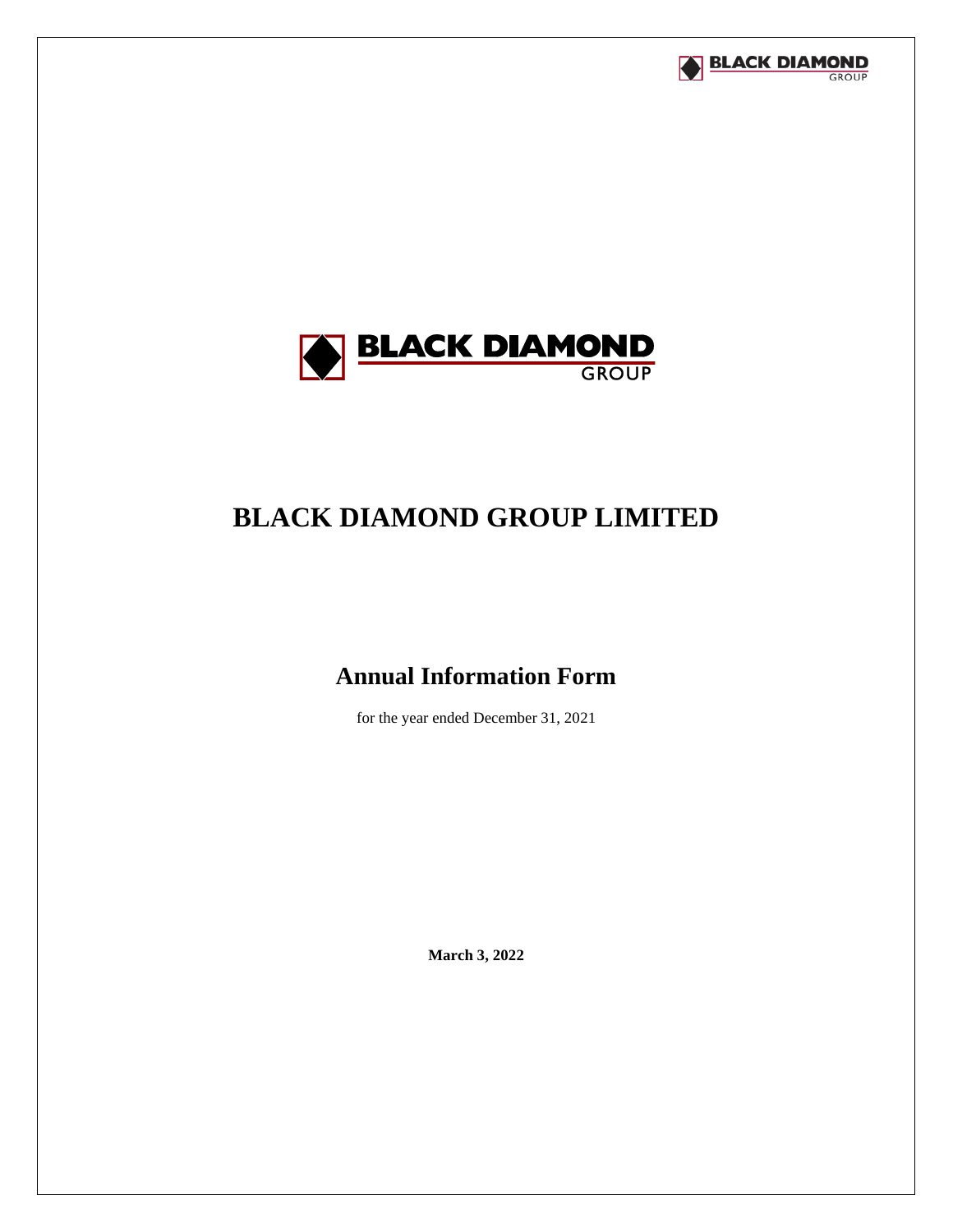



# **BLACK DIAMOND GROUP LIMITED**

# **Annual Information Form**

for the year ended December 31, 2021

**March 3, 2022**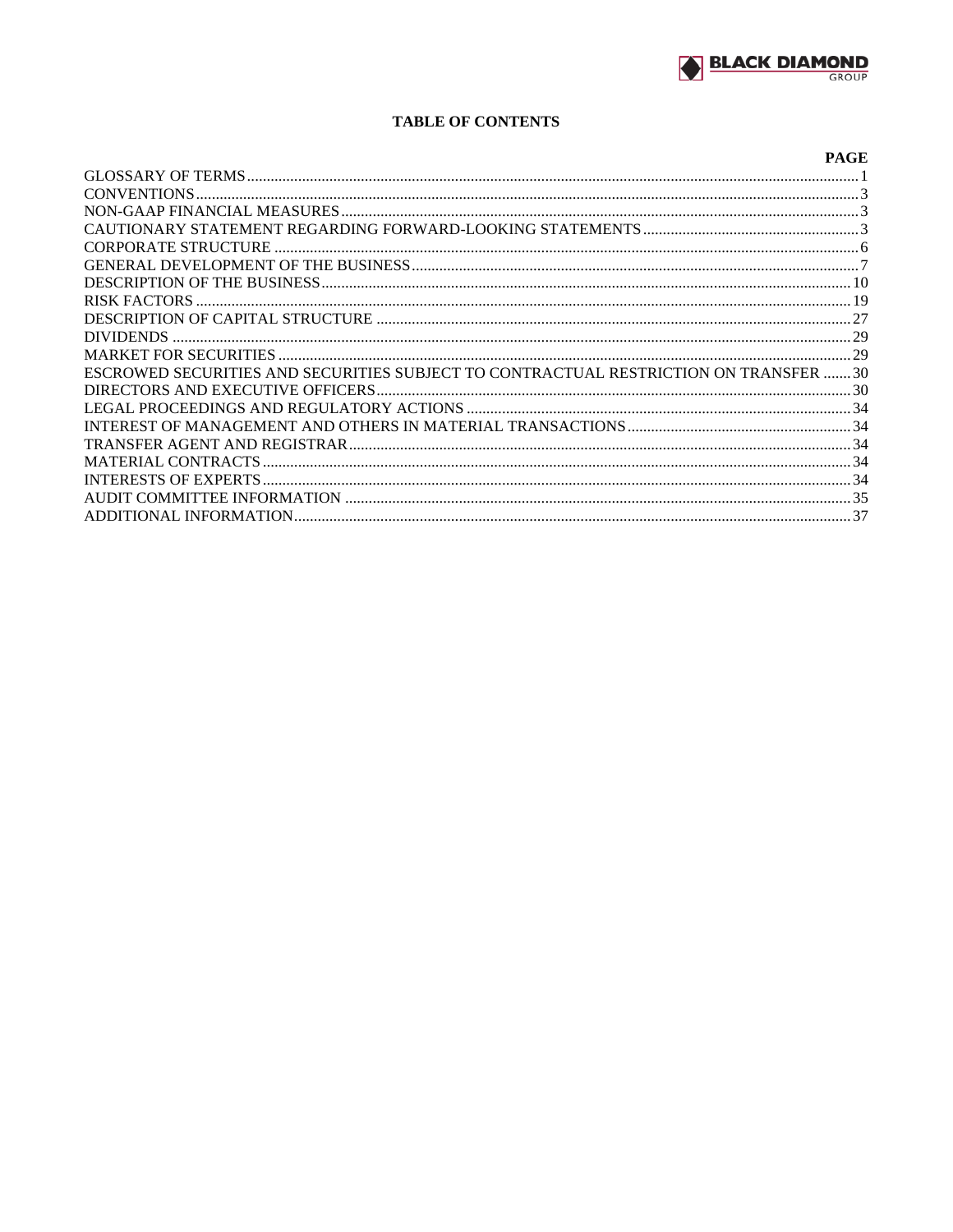# **TABLE OF CONTENTS**

|                                                                                      | <b>PAGE</b> |
|--------------------------------------------------------------------------------------|-------------|
|                                                                                      |             |
|                                                                                      |             |
|                                                                                      |             |
|                                                                                      |             |
|                                                                                      |             |
|                                                                                      |             |
|                                                                                      |             |
|                                                                                      |             |
|                                                                                      |             |
|                                                                                      |             |
|                                                                                      |             |
| ESCROWED SECURITIES AND SECURITIES SUBJECT TO CONTRACTUAL RESTRICTION ON TRANSFER 30 |             |
|                                                                                      |             |
|                                                                                      |             |
|                                                                                      |             |
|                                                                                      |             |
|                                                                                      |             |
|                                                                                      |             |
|                                                                                      |             |
|                                                                                      |             |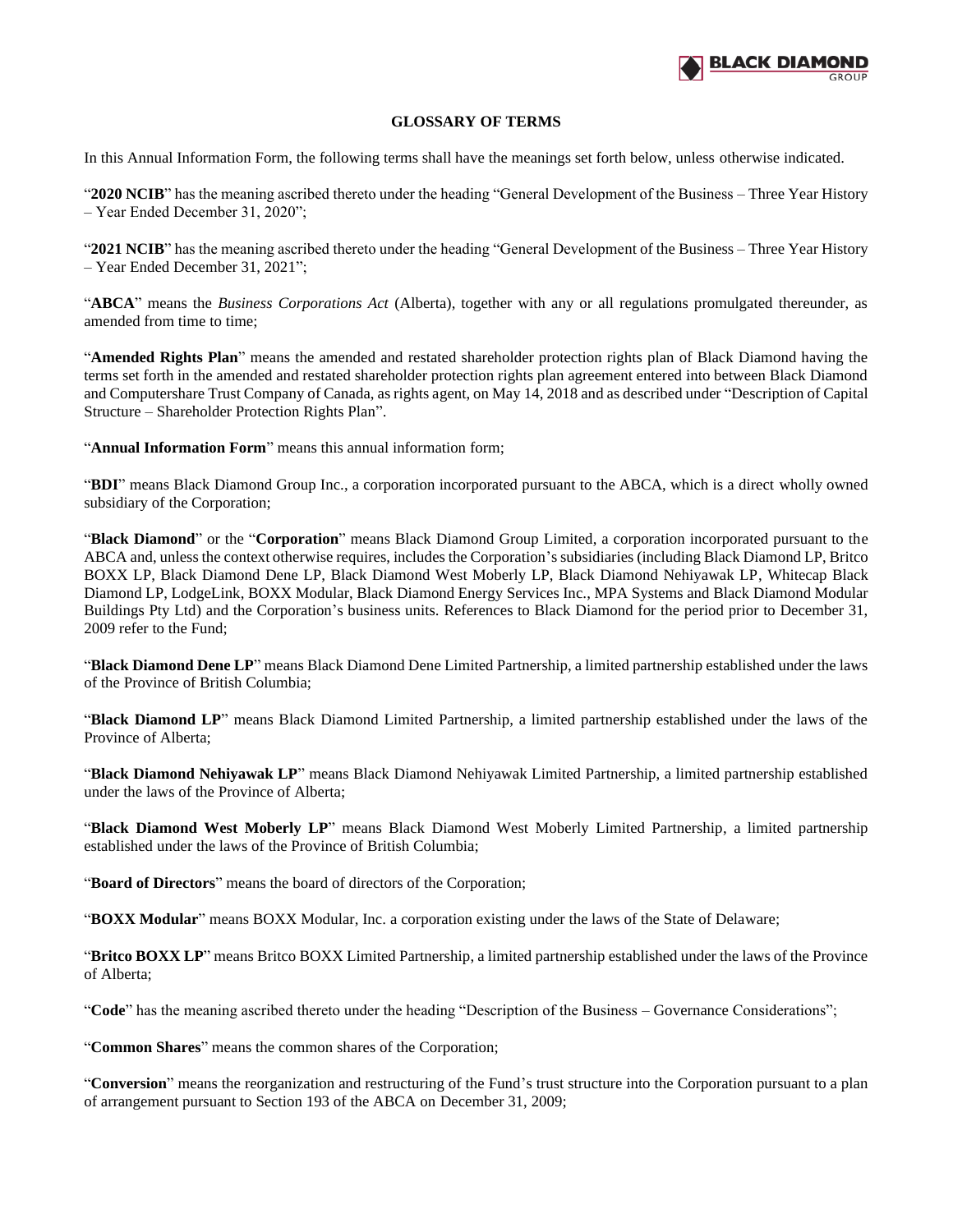

## **GLOSSARY OF TERMS**

<span id="page-2-0"></span>In this Annual Information Form, the following terms shall have the meanings set forth below, unless otherwise indicated.

"**2020 NCIB**" has the meaning ascribed thereto under the heading "General Development of the Business – Three Year History – Year Ended December 31, 2020";

"**2021 NCIB**" has the meaning ascribed thereto under the heading "General Development of the Business – Three Year History – Year Ended December 31, 2021";

"**ABCA**" means the *Business Corporations Act* (Alberta), together with any or all regulations promulgated thereunder, as amended from time to time;

"**Amended Rights Plan**" means the amended and restated shareholder protection rights plan of Black Diamond having the terms set forth in the amended and restated shareholder protection rights plan agreement entered into between Black Diamond and Computershare Trust Company of Canada, as rights agent, on May 14, 2018 and as described under "Description of Capital Structure – Shareholder Protection Rights Plan".

"**Annual Information Form**" means this annual information form;

"**BDI**" means Black Diamond Group Inc., a corporation incorporated pursuant to the ABCA, which is a direct wholly owned subsidiary of the Corporation;

"**Black Diamond**" or the "**Corporation**" means Black Diamond Group Limited, a corporation incorporated pursuant to the ABCA and, unless the context otherwise requires, includes the Corporation's subsidiaries (including Black Diamond LP, Britco BOXX LP, Black Diamond Dene LP, Black Diamond West Moberly LP, Black Diamond Nehiyawak LP, Whitecap Black Diamond LP, LodgeLink, BOXX Modular, Black Diamond Energy Services Inc., MPA Systems and Black Diamond Modular Buildings Pty Ltd) and the Corporation's business units. References to Black Diamond for the period prior to December 31, 2009 refer to the Fund;

"**Black Diamond Dene LP**" means Black Diamond Dene Limited Partnership, a limited partnership established under the laws of the Province of British Columbia;

"**Black Diamond LP**" means Black Diamond Limited Partnership, a limited partnership established under the laws of the Province of Alberta;

"**Black Diamond Nehiyawak LP**" means Black Diamond Nehiyawak Limited Partnership, a limited partnership established under the laws of the Province of Alberta;

"**Black Diamond West Moberly LP**" means Black Diamond West Moberly Limited Partnership, a limited partnership established under the laws of the Province of British Columbia;

"**Board of Directors**" means the board of directors of the Corporation;

"**BOXX Modular**" means BOXX Modular, Inc. a corporation existing under the laws of the State of Delaware;

"**Britco BOXX LP**" means Britco BOXX Limited Partnership, a limited partnership established under the laws of the Province of Alberta;

"**Code**" has the meaning ascribed thereto under the heading "Description of the Business – Governance Considerations";

"**Common Shares**" means the common shares of the Corporation;

"**Conversion**" means the reorganization and restructuring of the Fund's trust structure into the Corporation pursuant to a plan of arrangement pursuant to Section 193 of the ABCA on December 31, 2009;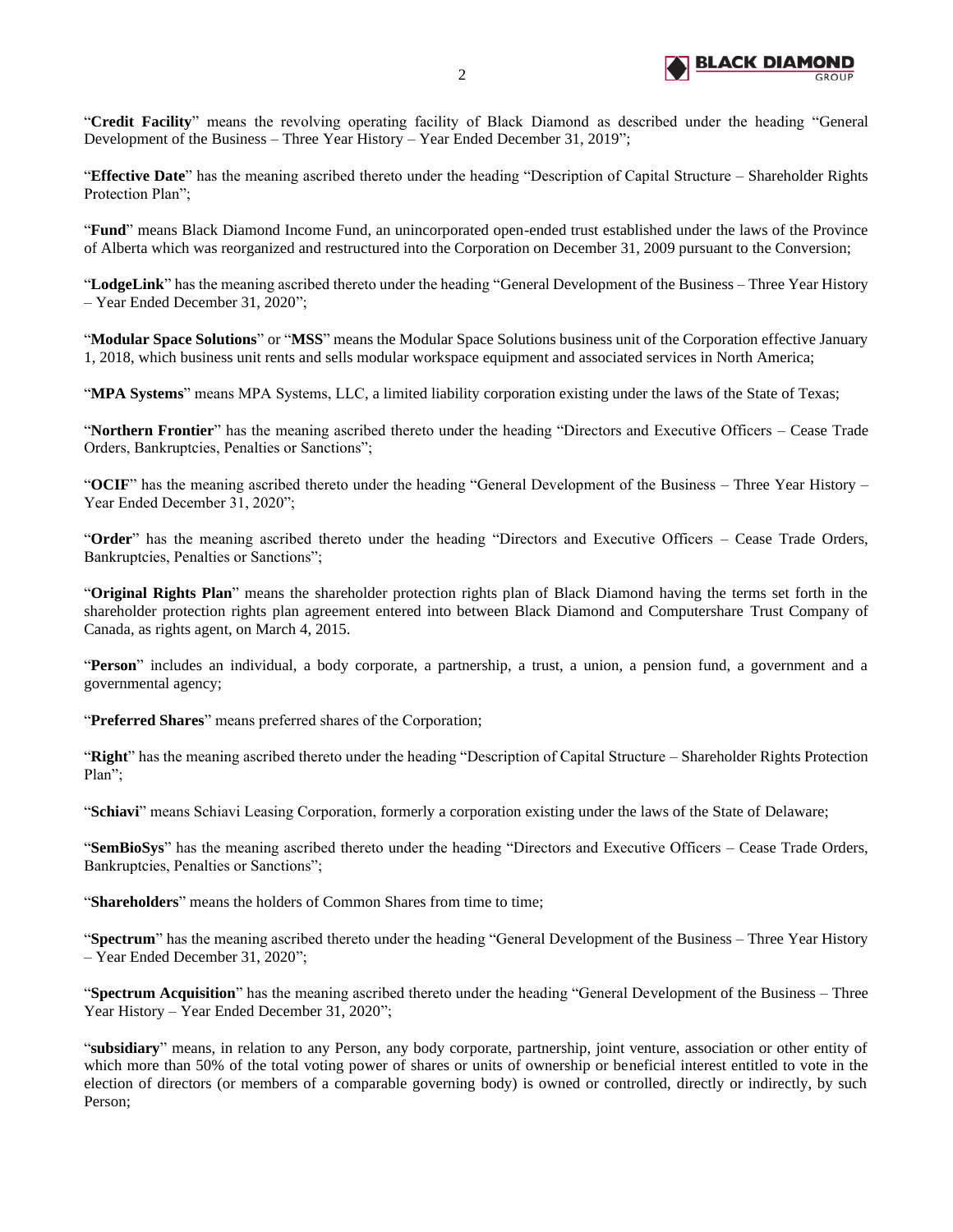

"**Credit Facility**" means the revolving operating facility of Black Diamond as described under the heading "General Development of the Business – Three Year History – Year Ended December 31, 2019";

"**Effective Date**" has the meaning ascribed thereto under the heading "Description of Capital Structure – Shareholder Rights Protection Plan";

"**Fund**" means Black Diamond Income Fund, an unincorporated open-ended trust established under the laws of the Province of Alberta which was reorganized and restructured into the Corporation on December 31, 2009 pursuant to the Conversion;

"**LodgeLink**" has the meaning ascribed thereto under the heading "General Development of the Business – Three Year History – Year Ended December 31, 2020";

"**Modular Space Solutions**" or "**MSS**" means the Modular Space Solutions business unit of the Corporation effective January 1, 2018, which business unit rents and sells modular workspace equipment and associated services in North America;

"**MPA Systems**" means MPA Systems, LLC, a limited liability corporation existing under the laws of the State of Texas;

"**Northern Frontier**" has the meaning ascribed thereto under the heading "Directors and Executive Officers – Cease Trade Orders, Bankruptcies, Penalties or Sanctions";

"**OCIF**" has the meaning ascribed thereto under the heading "General Development of the Business – Three Year History – Year Ended December 31, 2020";

"**Order**" has the meaning ascribed thereto under the heading "Directors and Executive Officers – Cease Trade Orders, Bankruptcies, Penalties or Sanctions";

"**Original Rights Plan**" means the shareholder protection rights plan of Black Diamond having the terms set forth in the shareholder protection rights plan agreement entered into between Black Diamond and Computershare Trust Company of Canada, as rights agent, on March 4, 2015.

"**Person**" includes an individual, a body corporate, a partnership, a trust, a union, a pension fund, a government and a governmental agency;

"**Preferred Shares**" means preferred shares of the Corporation;

"**Right**" has the meaning ascribed thereto under the heading "Description of Capital Structure – Shareholder Rights Protection Plan";

"**Schiavi**" means Schiavi Leasing Corporation, formerly a corporation existing under the laws of the State of Delaware;

"**SemBioSys**" has the meaning ascribed thereto under the heading "Directors and Executive Officers – Cease Trade Orders, Bankruptcies, Penalties or Sanctions";

"**Shareholders**" means the holders of Common Shares from time to time;

"**Spectrum**" has the meaning ascribed thereto under the heading "General Development of the Business – Three Year History – Year Ended December 31, 2020";

"**Spectrum Acquisition**" has the meaning ascribed thereto under the heading "General Development of the Business – Three Year History – Year Ended December 31, 2020";

"**subsidiary**" means, in relation to any Person, any body corporate, partnership, joint venture, association or other entity of which more than 50% of the total voting power of shares or units of ownership or beneficial interest entitled to vote in the election of directors (or members of a comparable governing body) is owned or controlled, directly or indirectly, by such Person;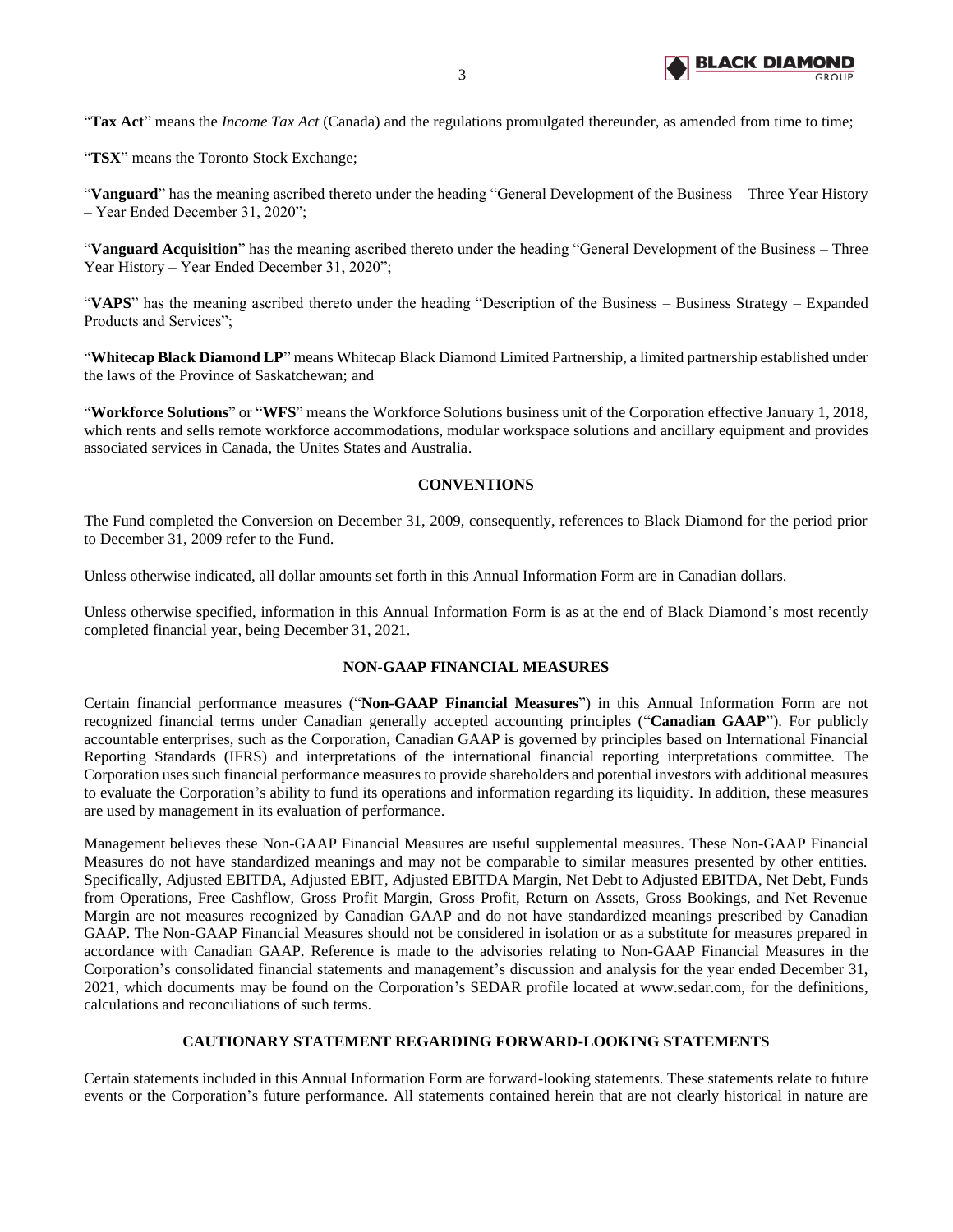

"**Tax Act**" means the *Income Tax Act* (Canada) and the regulations promulgated thereunder, as amended from time to time;

"**TSX**" means the Toronto Stock Exchange;

"**Vanguard**" has the meaning ascribed thereto under the heading "General Development of the Business – Three Year History – Year Ended December 31, 2020";

"**Vanguard Acquisition**" has the meaning ascribed thereto under the heading "General Development of the Business – Three Year History – Year Ended December 31, 2020";

"**VAPS**" has the meaning ascribed thereto under the heading "Description of the Business – Business Strategy – Expanded Products and Services";

"**Whitecap Black Diamond LP**" means Whitecap Black Diamond Limited Partnership, a limited partnership established under the laws of the Province of Saskatchewan; and

"**Workforce Solutions**" or "**WFS**" means the Workforce Solutions business unit of the Corporation effective January 1, 2018, which rents and sells remote workforce accommodations, modular workspace solutions and ancillary equipment and provides associated services in Canada, the Unites States and Australia.

## **CONVENTIONS**

<span id="page-4-0"></span>The Fund completed the Conversion on December 31, 2009, consequently, references to Black Diamond for the period prior to December 31, 2009 refer to the Fund.

Unless otherwise indicated, all dollar amounts set forth in this Annual Information Form are in Canadian dollars.

Unless otherwise specified, information in this Annual Information Form is as at the end of Black Diamond's most recently completed financial year, being December 31, 2021.

# **NON-GAAP FINANCIAL MEASURES**

<span id="page-4-1"></span>Certain financial performance measures ("**Non-GAAP Financial Measures**") in this Annual Information Form are not recognized financial terms under Canadian generally accepted accounting principles ("**Canadian GAAP**"). For publicly accountable enterprises, such as the Corporation, Canadian GAAP is governed by principles based on International Financial Reporting Standards (IFRS) and interpretations of the international financial reporting interpretations committee. The Corporation uses such financial performance measures to provide shareholders and potential investors with additional measures to evaluate the Corporation's ability to fund its operations and information regarding its liquidity. In addition, these measures are used by management in its evaluation of performance.

Management believes these Non-GAAP Financial Measures are useful supplemental measures. These Non-GAAP Financial Measures do not have standardized meanings and may not be comparable to similar measures presented by other entities. Specifically, Adjusted EBITDA, Adjusted EBIT, Adjusted EBITDA Margin, Net Debt to Adjusted EBITDA, Net Debt, Funds from Operations, Free Cashflow, Gross Profit Margin, Gross Profit, Return on Assets, Gross Bookings, and Net Revenue Margin are not measures recognized by Canadian GAAP and do not have standardized meanings prescribed by Canadian GAAP. The Non-GAAP Financial Measures should not be considered in isolation or as a substitute for measures prepared in accordance with Canadian GAAP. Reference is made to the advisories relating to Non-GAAP Financial Measures in the Corporation's consolidated financial statements and management's discussion and analysis for the year ended December 31, 2021, which documents may be found on the Corporation's SEDAR profile located at www.sedar.com, for the definitions, calculations and reconciliations of such terms.

# **CAUTIONARY STATEMENT REGARDING FORWARD-LOOKING STATEMENTS**

<span id="page-4-2"></span>Certain statements included in this Annual Information Form are forward-looking statements. These statements relate to future events or the Corporation's future performance. All statements contained herein that are not clearly historical in nature are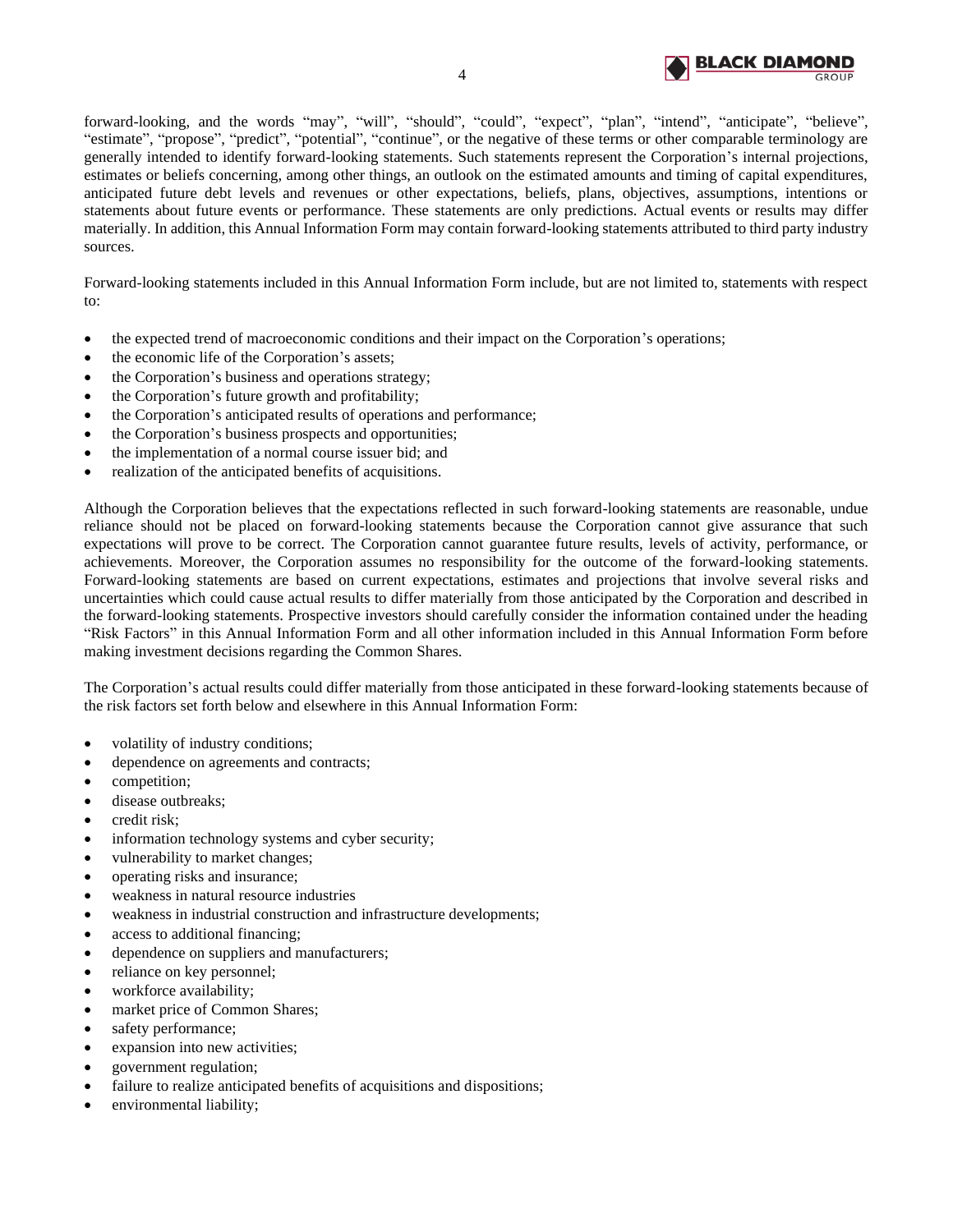

forward-looking, and the words "may", "will", "should", "could", "expect", "plan", "intend", "anticipate", "believe", "estimate", "propose", "predict", "potential", "continue", or the negative of these terms or other comparable terminology are generally intended to identify forward-looking statements. Such statements represent the Corporation's internal projections, estimates or beliefs concerning, among other things, an outlook on the estimated amounts and timing of capital expenditures, anticipated future debt levels and revenues or other expectations, beliefs, plans, objectives, assumptions, intentions or statements about future events or performance. These statements are only predictions. Actual events or results may differ materially. In addition, this Annual Information Form may contain forward-looking statements attributed to third party industry sources.

Forward-looking statements included in this Annual Information Form include, but are not limited to, statements with respect to:

- the expected trend of macroeconomic conditions and their impact on the Corporation's operations;
- the economic life of the Corporation's assets;
- the Corporation's business and operations strategy;
- the Corporation's future growth and profitability;
- the Corporation's anticipated results of operations and performance;
- the Corporation's business prospects and opportunities;
- the implementation of a normal course issuer bid; and
- realization of the anticipated benefits of acquisitions.

Although the Corporation believes that the expectations reflected in such forward-looking statements are reasonable, undue reliance should not be placed on forward-looking statements because the Corporation cannot give assurance that such expectations will prove to be correct. The Corporation cannot guarantee future results, levels of activity, performance, or achievements. Moreover, the Corporation assumes no responsibility for the outcome of the forward-looking statements. Forward-looking statements are based on current expectations, estimates and projections that involve several risks and uncertainties which could cause actual results to differ materially from those anticipated by the Corporation and described in the forward-looking statements. Prospective investors should carefully consider the information contained under the heading "Risk Factors" in this Annual Information Form and all other information included in this Annual Information Form before making investment decisions regarding the Common Shares.

The Corporation's actual results could differ materially from those anticipated in these forward-looking statements because of the risk factors set forth below and elsewhere in this Annual Information Form:

- volatility of industry conditions;
- dependence on agreements and contracts;
- competition;
- disease outbreaks;
- credit risk;
- information technology systems and cyber security;
- vulnerability to market changes;
- operating risks and insurance;
- weakness in natural resource industries
- weakness in industrial construction and infrastructure developments;
- access to additional financing;
- dependence on suppliers and manufacturers;
- reliance on key personnel;
- workforce availability;
- market price of Common Shares;
- safety performance;
- expansion into new activities;
- government regulation;
- failure to realize anticipated benefits of acquisitions and dispositions;
- environmental liability;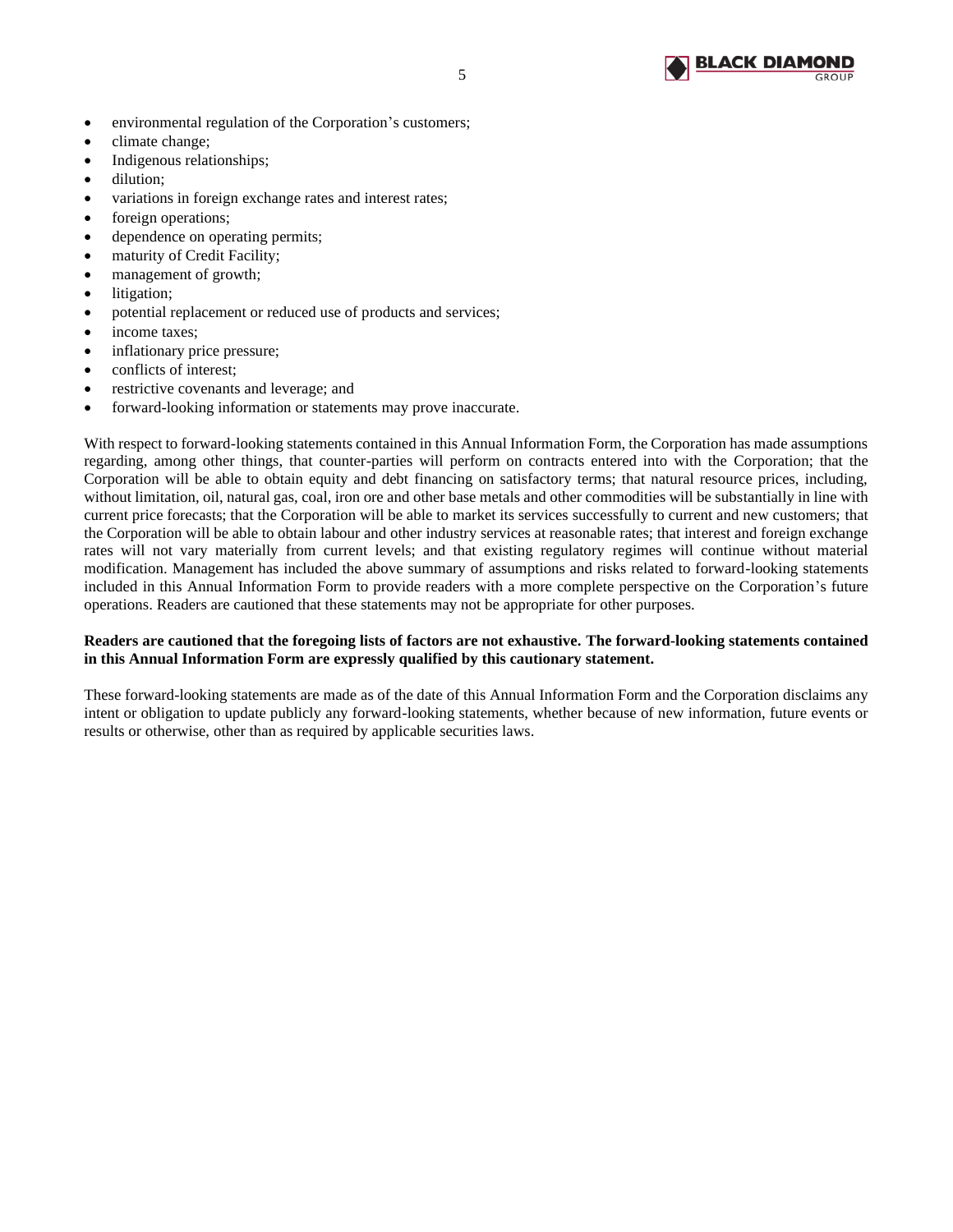

- environmental regulation of the Corporation's customers;
- climate change;
- Indigenous relationships;
- dilution;
- variations in foreign exchange rates and interest rates;
- foreign operations;
- dependence on operating permits;
- maturity of Credit Facility;
- management of growth;
- litigation;
- potential replacement or reduced use of products and services;
- income taxes;
- inflationary price pressure;
- conflicts of interest;
- restrictive covenants and leverage; and
- forward-looking information or statements may prove inaccurate.

With respect to forward-looking statements contained in this Annual Information Form, the Corporation has made assumptions regarding, among other things, that counter-parties will perform on contracts entered into with the Corporation; that the Corporation will be able to obtain equity and debt financing on satisfactory terms; that natural resource prices, including, without limitation, oil, natural gas, coal, iron ore and other base metals and other commodities will be substantially in line with current price forecasts; that the Corporation will be able to market its services successfully to current and new customers; that the Corporation will be able to obtain labour and other industry services at reasonable rates; that interest and foreign exchange rates will not vary materially from current levels; and that existing regulatory regimes will continue without material modification. Management has included the above summary of assumptions and risks related to forward-looking statements included in this Annual Information Form to provide readers with a more complete perspective on the Corporation's future operations. Readers are cautioned that these statements may not be appropriate for other purposes.

## **Readers are cautioned that the foregoing lists of factors are not exhaustive. The forward-looking statements contained in this Annual Information Form are expressly qualified by this cautionary statement.**

These forward-looking statements are made as of the date of this Annual Information Form and the Corporation disclaims any intent or obligation to update publicly any forward-looking statements, whether because of new information, future events or results or otherwise, other than as required by applicable securities laws.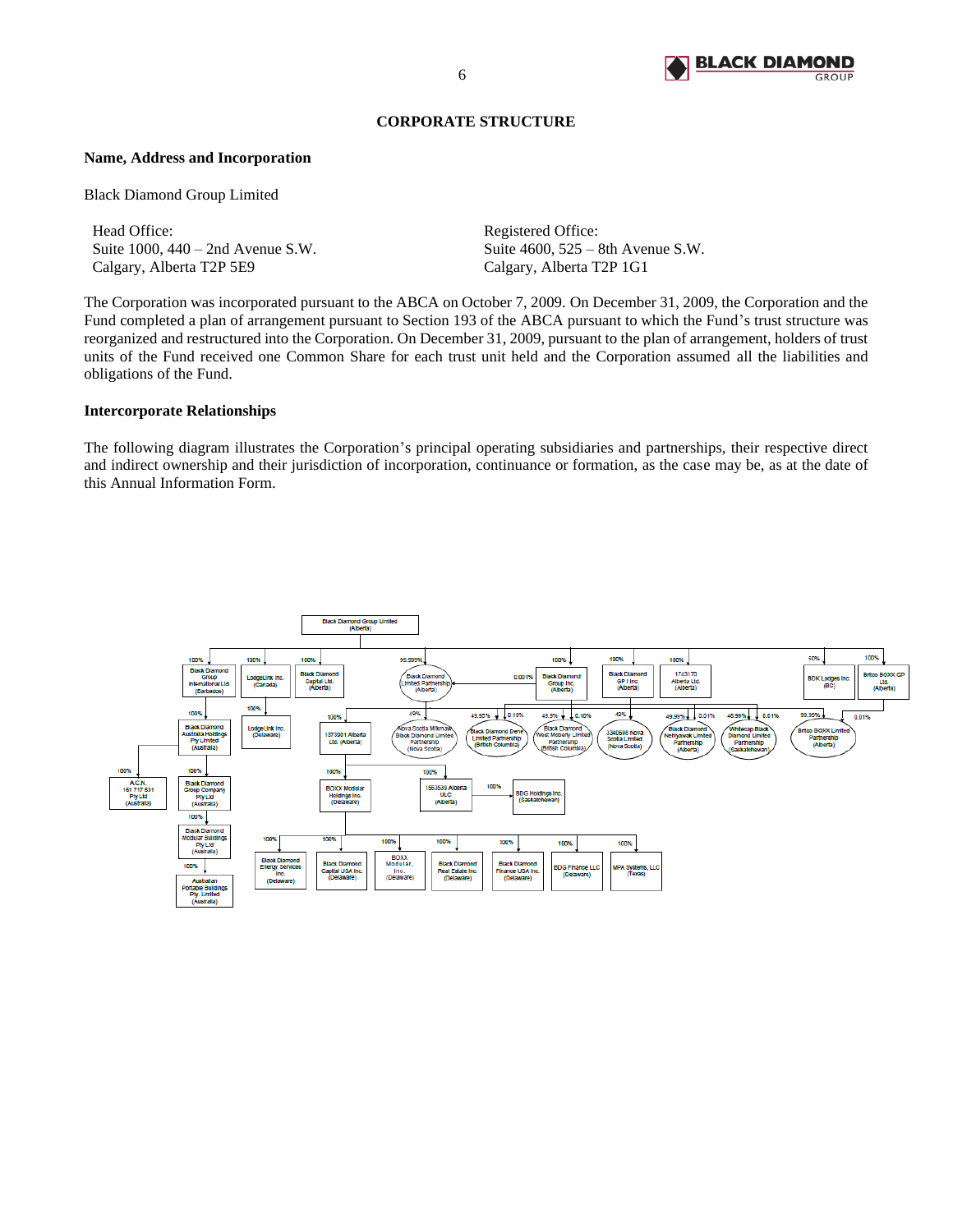

## **CORPORATE STRUCTURE**

#### <span id="page-7-0"></span>**Name, Address and Incorporation**

Black Diamond Group Limited

Head Office: Registered Office: Suite 1000, 440 – 2nd Avenue S.W. Suite 4600, 525 – 8th Avenue S.W. Calgary, Alberta T2P 5E9 Calgary, Alberta T2P 1G1

The Corporation was incorporated pursuant to the ABCA on October 7, 2009. On December 31, 2009, the Corporation and the Fund completed a plan of arrangement pursuant to Section 193 of the ABCA pursuant to which the Fund's trust structure was reorganized and restructured into the Corporation. On December 31, 2009, pursuant to the plan of arrangement, holders of trust units of the Fund received one Common Share for each trust unit held and the Corporation assumed all the liabilities and obligations of the Fund.

## **Intercorporate Relationships**

The following diagram illustrates the Corporation's principal operating subsidiaries and partnerships, their respective direct and indirect ownership and their jurisdiction of incorporation, continuance or formation, as the case may be, as at the date of this Annual Information Form.

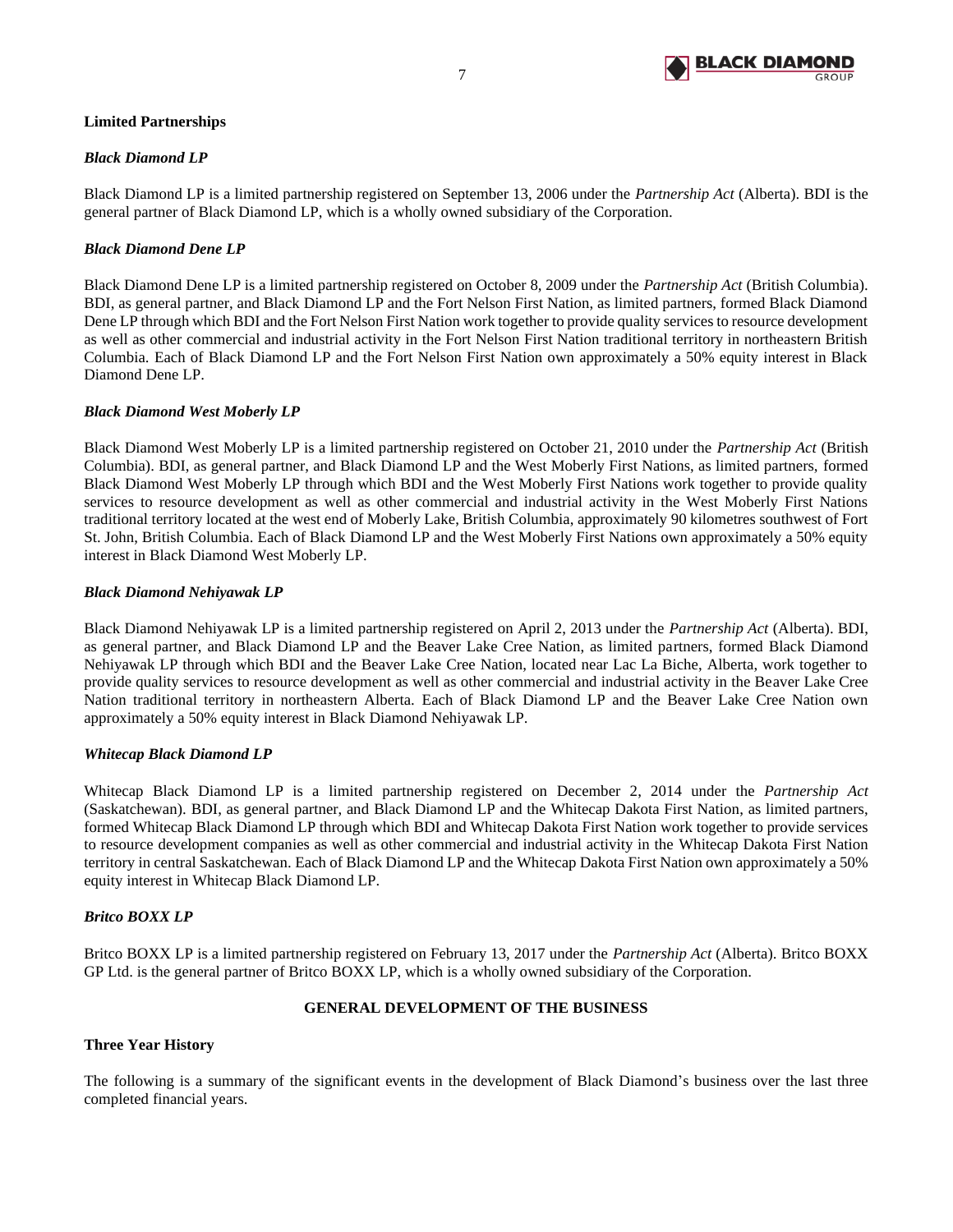

# **Limited Partnerships**

# *Black Diamond LP*

Black Diamond LP is a limited partnership registered on September 13, 2006 under the *Partnership Act* (Alberta). BDI is the general partner of Black Diamond LP, which is a wholly owned subsidiary of the Corporation.

# *Black Diamond Dene LP*

Black Diamond Dene LP is a limited partnership registered on October 8, 2009 under the *Partnership Act* (British Columbia). BDI, as general partner, and Black Diamond LP and the Fort Nelson First Nation, as limited partners, formed Black Diamond Dene LP through which BDI and the Fort Nelson First Nation work together to provide quality services to resource development as well as other commercial and industrial activity in the Fort Nelson First Nation traditional territory in northeastern British Columbia. Each of Black Diamond LP and the Fort Nelson First Nation own approximately a 50% equity interest in Black Diamond Dene LP.

## *Black Diamond West Moberly LP*

Black Diamond West Moberly LP is a limited partnership registered on October 21, 2010 under the *Partnership Act* (British Columbia). BDI, as general partner, and Black Diamond LP and the West Moberly First Nations, as limited partners, formed Black Diamond West Moberly LP through which BDI and the West Moberly First Nations work together to provide quality services to resource development as well as other commercial and industrial activity in the West Moberly First Nations traditional territory located at the west end of Moberly Lake, British Columbia, approximately 90 kilometres southwest of Fort St. John, British Columbia. Each of Black Diamond LP and the West Moberly First Nations own approximately a 50% equity interest in Black Diamond West Moberly LP.

# *Black Diamond Nehiyawak LP*

Black Diamond Nehiyawak LP is a limited partnership registered on April 2, 2013 under the *Partnership Act* (Alberta). BDI, as general partner, and Black Diamond LP and the Beaver Lake Cree Nation, as limited partners, formed Black Diamond Nehiyawak LP through which BDI and the Beaver Lake Cree Nation, located near Lac La Biche, Alberta, work together to provide quality services to resource development as well as other commercial and industrial activity in the Beaver Lake Cree Nation traditional territory in northeastern Alberta. Each of Black Diamond LP and the Beaver Lake Cree Nation own approximately a 50% equity interest in Black Diamond Nehiyawak LP.

## *Whitecap Black Diamond LP*

Whitecap Black Diamond LP is a limited partnership registered on December 2, 2014 under the *Partnership Act*  (Saskatchewan). BDI, as general partner, and Black Diamond LP and the Whitecap Dakota First Nation, as limited partners, formed Whitecap Black Diamond LP through which BDI and Whitecap Dakota First Nation work together to provide services to resource development companies as well as other commercial and industrial activity in the Whitecap Dakota First Nation territory in central Saskatchewan. Each of Black Diamond LP and the Whitecap Dakota First Nation own approximately a 50% equity interest in Whitecap Black Diamond LP.

## *Britco BOXX LP*

Britco BOXX LP is a limited partnership registered on February 13, 2017 under the *Partnership Act* (Alberta). Britco BOXX GP Ltd. is the general partner of Britco BOXX LP, which is a wholly owned subsidiary of the Corporation.

## **GENERAL DEVELOPMENT OF THE BUSINESS**

## <span id="page-8-0"></span>**Three Year History**

The following is a summary of the significant events in the development of Black Diamond's business over the last three completed financial years.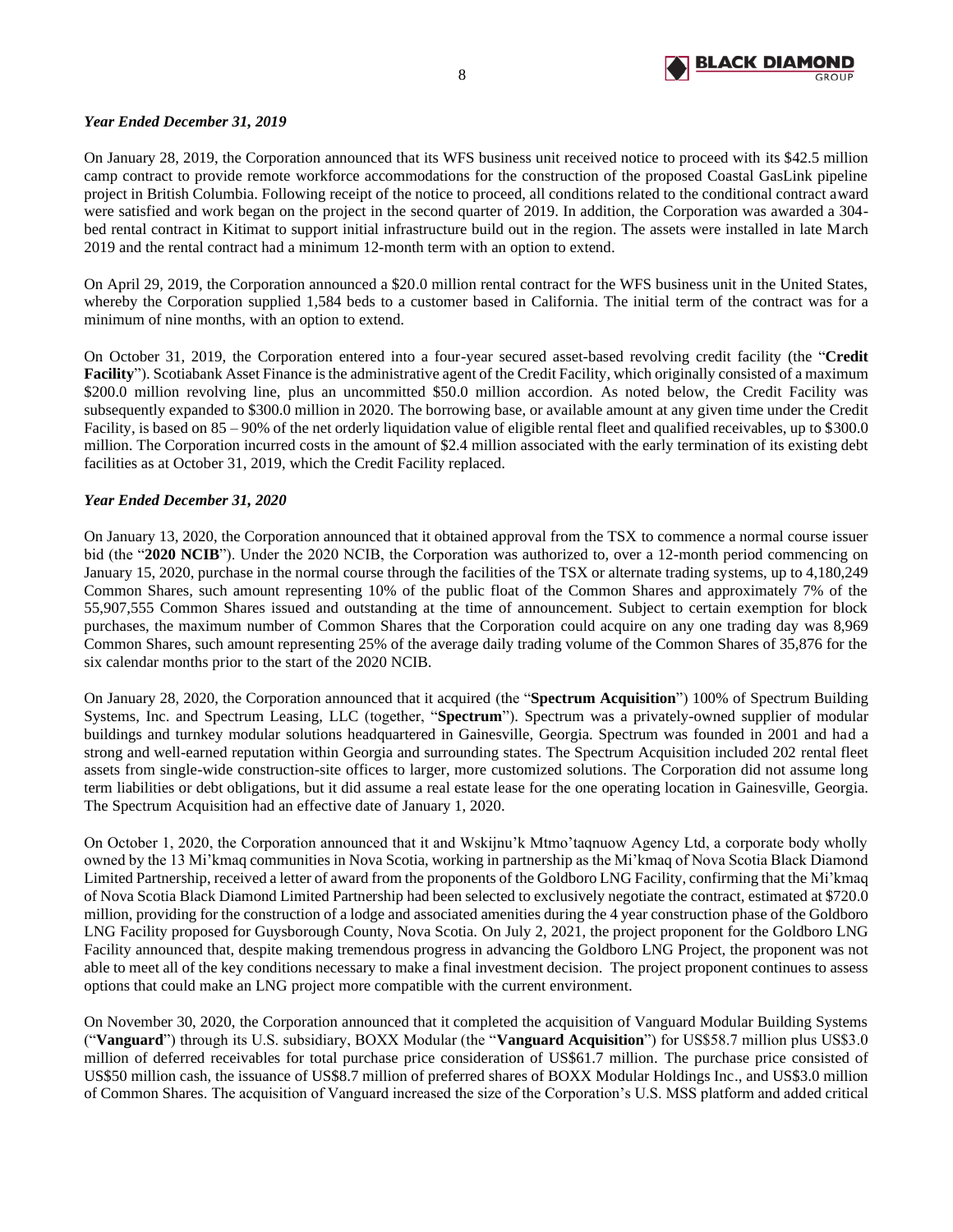

# *Year Ended December 31, 2019*

On January 28, 2019, the Corporation announced that its WFS business unit received notice to proceed with its \$42.5 million camp contract to provide remote workforce accommodations for the construction of the proposed Coastal GasLink pipeline project in British Columbia. Following receipt of the notice to proceed, all conditions related to the conditional contract award were satisfied and work began on the project in the second quarter of 2019. In addition, the Corporation was awarded a 304 bed rental contract in Kitimat to support initial infrastructure build out in the region. The assets were installed in late March 2019 and the rental contract had a minimum 12-month term with an option to extend.

On April 29, 2019, the Corporation announced a \$20.0 million rental contract for the WFS business unit in the United States, whereby the Corporation supplied 1,584 beds to a customer based in California. The initial term of the contract was for a minimum of nine months, with an option to extend.

On October 31, 2019, the Corporation entered into a four-year secured asset-based revolving credit facility (the "**Credit Facility**"). Scotiabank Asset Finance is the administrative agent of the Credit Facility, which originally consisted of a maximum \$200.0 million revolving line, plus an uncommitted \$50.0 million accordion. As noted below, the Credit Facility was subsequently expanded to \$300.0 million in 2020. The borrowing base, or available amount at any given time under the Credit Facility, is based on 85 – 90% of the net orderly liquidation value of eligible rental fleet and qualified receivables, up to \$300.0 million. The Corporation incurred costs in the amount of \$2.4 million associated with the early termination of its existing debt facilities as at October 31, 2019, which the Credit Facility replaced.

## *Year Ended December 31, 2020*

On January 13, 2020, the Corporation announced that it obtained approval from the TSX to commence a normal course issuer bid (the "**2020 NCIB**"). Under the 2020 NCIB, the Corporation was authorized to, over a 12-month period commencing on January 15, 2020, purchase in the normal course through the facilities of the TSX or alternate trading systems, up to 4,180,249 Common Shares, such amount representing 10% of the public float of the Common Shares and approximately 7% of the 55,907,555 Common Shares issued and outstanding at the time of announcement. Subject to certain exemption for block purchases, the maximum number of Common Shares that the Corporation could acquire on any one trading day was 8,969 Common Shares, such amount representing 25% of the average daily trading volume of the Common Shares of 35,876 for the six calendar months prior to the start of the 2020 NCIB.

On January 28, 2020, the Corporation announced that it acquired (the "**Spectrum Acquisition**") 100% of Spectrum Building Systems, Inc. and Spectrum Leasing, LLC (together, "**Spectrum**"). Spectrum was a privately-owned supplier of modular buildings and turnkey modular solutions headquartered in Gainesville, Georgia. Spectrum was founded in 2001 and had a strong and well-earned reputation within Georgia and surrounding states. The Spectrum Acquisition included 202 rental fleet assets from single-wide construction-site offices to larger, more customized solutions. The Corporation did not assume long term liabilities or debt obligations, but it did assume a real estate lease for the one operating location in Gainesville, Georgia. The Spectrum Acquisition had an effective date of January 1, 2020.

On October 1, 2020, the Corporation announced that it and Wskijnu'k Mtmo'taqnuow Agency Ltd, a corporate body wholly owned by the 13 Mi'kmaq communities in Nova Scotia, working in partnership as the Mi'kmaq of Nova Scotia Black Diamond Limited Partnership, received a letter of award from the proponents of the Goldboro LNG Facility, confirming that the Mi'kmaq of Nova Scotia Black Diamond Limited Partnership had been selected to exclusively negotiate the contract, estimated at \$720.0 million, providing for the construction of a lodge and associated amenities during the 4 year construction phase of the Goldboro LNG Facility proposed for Guysborough County, Nova Scotia. On July 2, 2021, the project proponent for the Goldboro LNG Facility announced that, despite making tremendous progress in advancing the Goldboro LNG Project, the proponent was not able to meet all of the key conditions necessary to make a final investment decision. The project proponent continues to assess options that could make an LNG project more compatible with the current environment.

On November 30, 2020, the Corporation announced that it completed the acquisition of Vanguard Modular Building Systems ("**Vanguard**") through its U.S. subsidiary, BOXX Modular (the "**Vanguard Acquisition**") for US\$58.7 million plus US\$3.0 million of deferred receivables for total purchase price consideration of US\$61.7 million. The purchase price consisted of US\$50 million cash, the issuance of US\$8.7 million of preferred shares of BOXX Modular Holdings Inc., and US\$3.0 million of Common Shares. The acquisition of Vanguard increased the size of the Corporation's U.S. MSS platform and added critical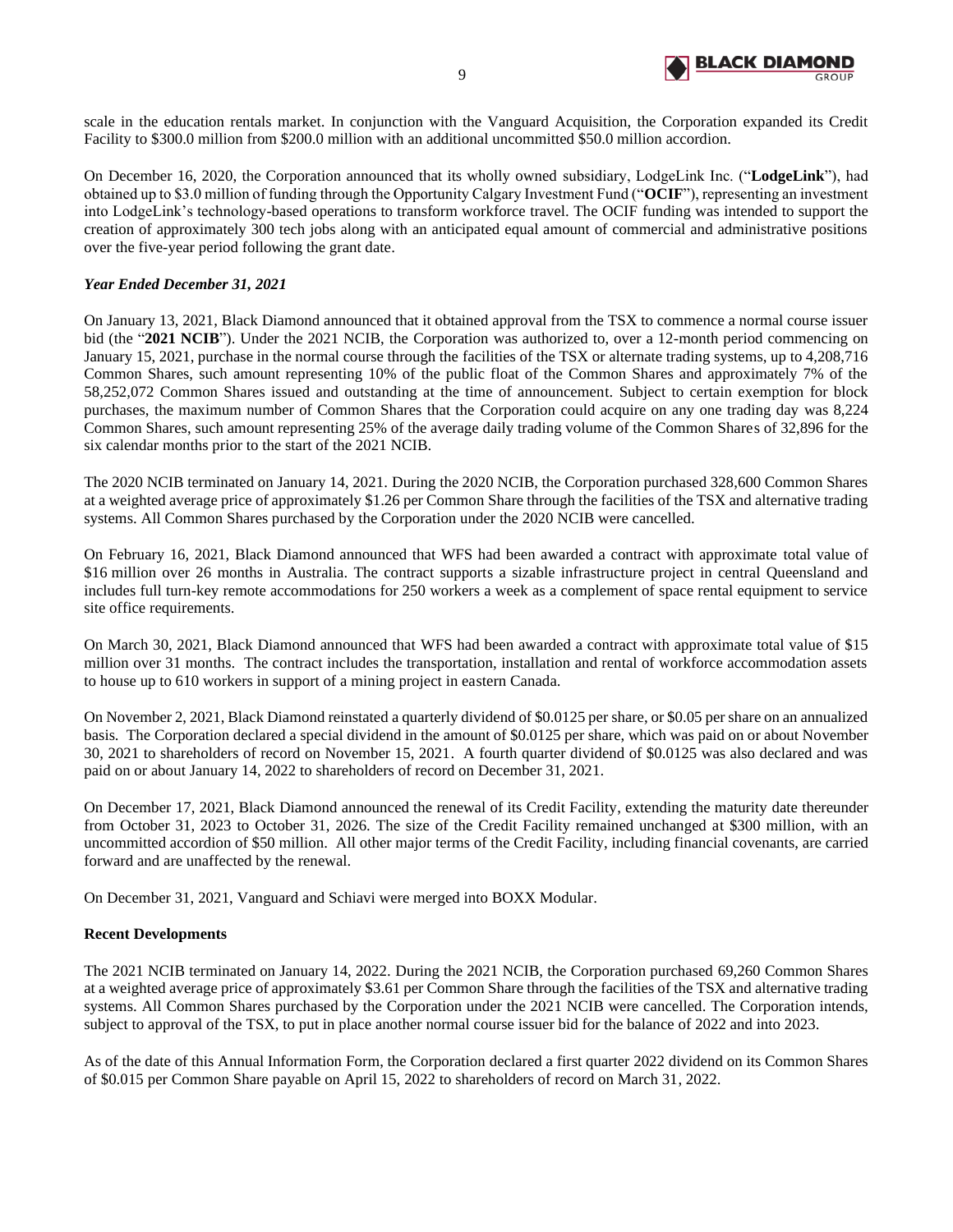

scale in the education rentals market. In conjunction with the Vanguard Acquisition, the Corporation expanded its Credit Facility to \$300.0 million from \$200.0 million with an additional uncommitted \$50.0 million accordion.

On December 16, 2020, the Corporation announced that its wholly owned subsidiary, LodgeLink Inc. ("**LodgeLink**"), had obtained up to \$3.0 million of funding through the Opportunity Calgary Investment Fund ("**OCIF**"), representing an investment into LodgeLink's technology-based operations to transform workforce travel. The OCIF funding was intended to support the creation of approximately 300 tech jobs along with an anticipated equal amount of commercial and administrative positions over the five-year period following the grant date.

## *Year Ended December 31, 2021*

On January 13, 2021, Black Diamond announced that it obtained approval from the TSX to commence a normal course issuer bid (the "2021 NCIB"). Under the 2021 NCIB, the Corporation was authorized to, over a 12-month period commencing on January 15, 2021, purchase in the normal course through the facilities of the TSX or alternate trading systems, up to 4,208,716 Common Shares, such amount representing 10% of the public float of the Common Shares and approximately 7% of the 58,252,072 Common Shares issued and outstanding at the time of announcement. Subject to certain exemption for block purchases, the maximum number of Common Shares that the Corporation could acquire on any one trading day was 8,224 Common Shares, such amount representing 25% of the average daily trading volume of the Common Shares of 32,896 for the six calendar months prior to the start of the 2021 NCIB.

The 2020 NCIB terminated on January 14, 2021. During the 2020 NCIB, the Corporation purchased 328,600 Common Shares at a weighted average price of approximately \$1.26 per Common Share through the facilities of the TSX and alternative trading systems. All Common Shares purchased by the Corporation under the 2020 NCIB were cancelled.

On February 16, 2021, Black Diamond announced that WFS had been awarded a contract with approximate total value of \$16 million over 26 months in Australia. The contract supports a sizable infrastructure project in central Queensland and includes full turn-key remote accommodations for 250 workers a week as a complement of space rental equipment to service site office requirements.

On March 30, 2021, Black Diamond announced that WFS had been awarded a contract with approximate total value of \$15 million over 31 months. The contract includes the transportation, installation and rental of workforce accommodation assets to house up to 610 workers in support of a mining project in eastern Canada.

On November 2, 2021, Black Diamond reinstated a quarterly dividend of \$0.0125 per share, or \$0.05 per share on an annualized basis. The Corporation declared a special dividend in the amount of \$0.0125 per share, which was paid on or about November 30, 2021 to shareholders of record on November 15, 2021. A fourth quarter dividend of \$0.0125 was also declared and was paid on or about January 14, 2022 to shareholders of record on December 31, 2021.

On December 17, 2021, Black Diamond announced the renewal of its Credit Facility, extending the maturity date thereunder from October 31, 2023 to October 31, 2026. The size of the Credit Facility remained unchanged at \$300 million, with an uncommitted accordion of \$50 million. All other major terms of the Credit Facility, including financial covenants, are carried forward and are unaffected by the renewal.

On December 31, 2021, Vanguard and Schiavi were merged into BOXX Modular.

#### **Recent Developments**

The 2021 NCIB terminated on January 14, 2022. During the 2021 NCIB, the Corporation purchased 69,260 Common Shares at a weighted average price of approximately \$3.61 per Common Share through the facilities of the TSX and alternative trading systems. All Common Shares purchased by the Corporation under the 2021 NCIB were cancelled. The Corporation intends, subject to approval of the TSX, to put in place another normal course issuer bid for the balance of 2022 and into 2023.

As of the date of this Annual Information Form, the Corporation declared a first quarter 2022 dividend on its Common Shares of \$0.015 per Common Share payable on April 15, 2022 to shareholders of record on March 31, 2022.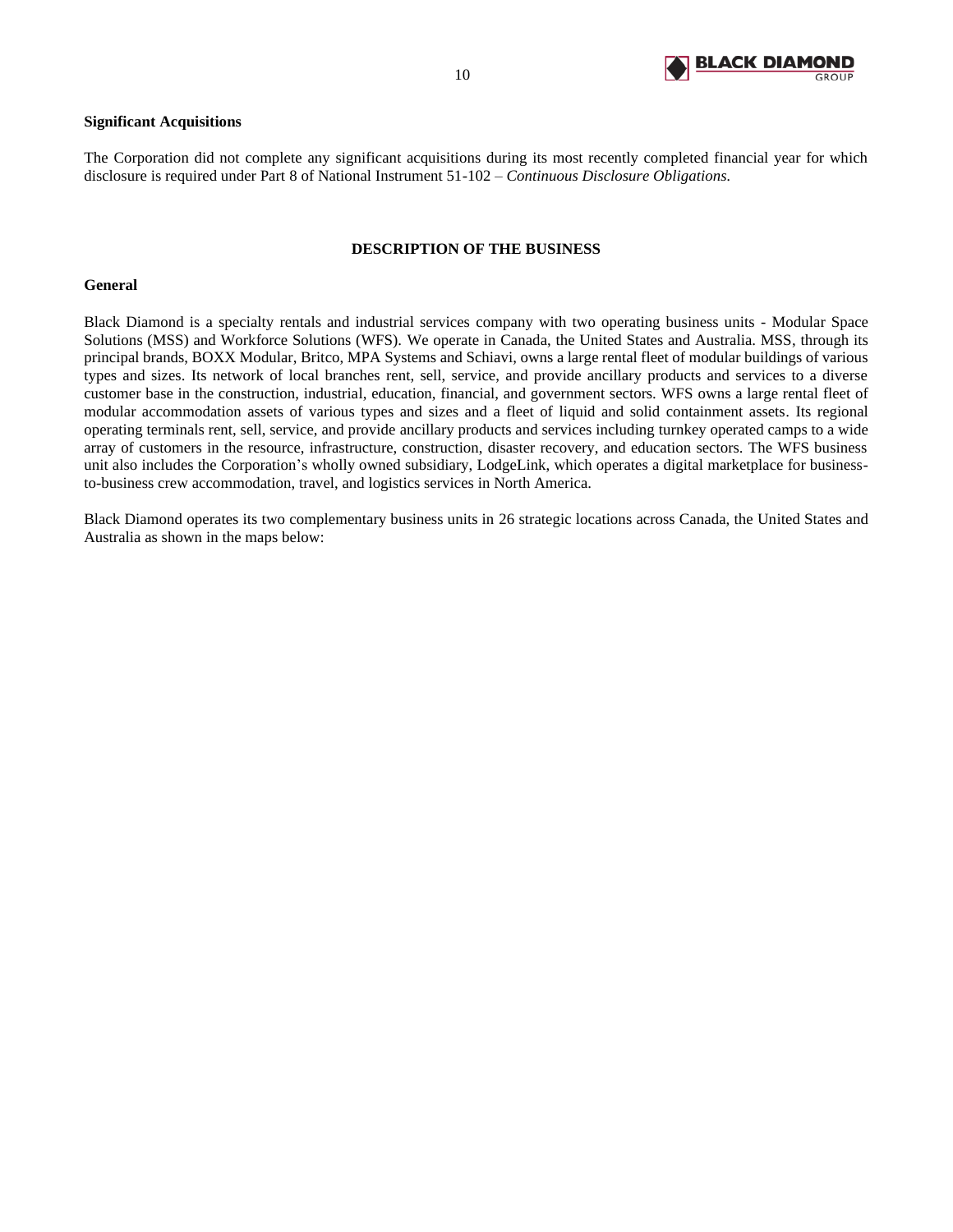

## **Significant Acquisitions**

The Corporation did not complete any significant acquisitions during its most recently completed financial year for which disclosure is required under Part 8 of National Instrument 51-102 – *Continuous Disclosure Obligations.*

## **DESCRIPTION OF THE BUSINESS**

#### <span id="page-11-0"></span>**General**

Black Diamond is a specialty rentals and industrial services company with two operating business units - Modular Space Solutions (MSS) and Workforce Solutions (WFS). We operate in Canada, the United States and Australia. MSS, through its principal brands, BOXX Modular, Britco, MPA Systems and Schiavi, owns a large rental fleet of modular buildings of various types and sizes. Its network of local branches rent, sell, service, and provide ancillary products and services to a diverse customer base in the construction, industrial, education, financial, and government sectors. WFS owns a large rental fleet of modular accommodation assets of various types and sizes and a fleet of liquid and solid containment assets. Its regional operating terminals rent, sell, service, and provide ancillary products and services including turnkey operated camps to a wide array of customers in the resource, infrastructure, construction, disaster recovery, and education sectors. The WFS business unit also includes the Corporation's wholly owned subsidiary, LodgeLink, which operates a digital marketplace for businessto-business crew accommodation, travel, and logistics services in North America.

Black Diamond operates its two complementary business units in 26 strategic locations across Canada, the United States and Australia as shown in the maps below: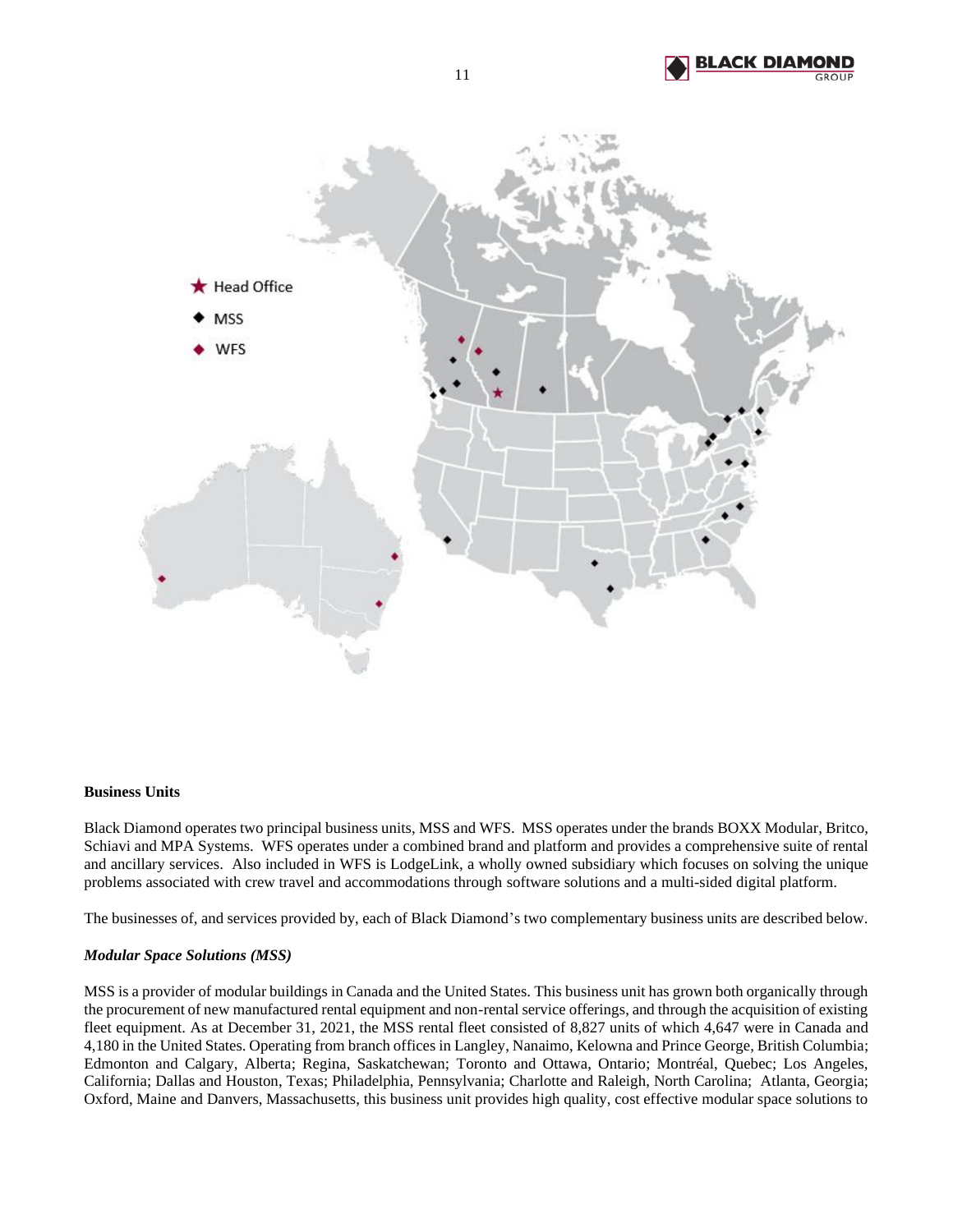



#### **Business Units**

Black Diamond operates two principal business units, MSS and WFS. MSS operates under the brands BOXX Modular, Britco, Schiavi and MPA Systems. WFS operates under a combined brand and platform and provides a comprehensive suite of rental and ancillary services. Also included in WFS is LodgeLink, a wholly owned subsidiary which focuses on solving the unique problems associated with crew travel and accommodations through software solutions and a multi-sided digital platform.

The businesses of, and services provided by, each of Black Diamond's two complementary business units are described below.

#### *Modular Space Solutions (MSS)*

MSS is a provider of modular buildings in Canada and the United States. This business unit has grown both organically through the procurement of new manufactured rental equipment and non-rental service offerings, and through the acquisition of existing fleet equipment. As at December 31, 2021, the MSS rental fleet consisted of 8,827 units of which 4,647 were in Canada and 4,180 in the United States. Operating from branch offices in Langley, Nanaimo, Kelowna and Prince George, British Columbia; Edmonton and Calgary, Alberta; Regina, Saskatchewan; Toronto and Ottawa, Ontario; Montréal, Quebec; Los Angeles, California; Dallas and Houston, Texas; Philadelphia, Pennsylvania; Charlotte and Raleigh, North Carolina; Atlanta, Georgia; Oxford, Maine and Danvers, Massachusetts, this business unit provides high quality, cost effective modular space solutions to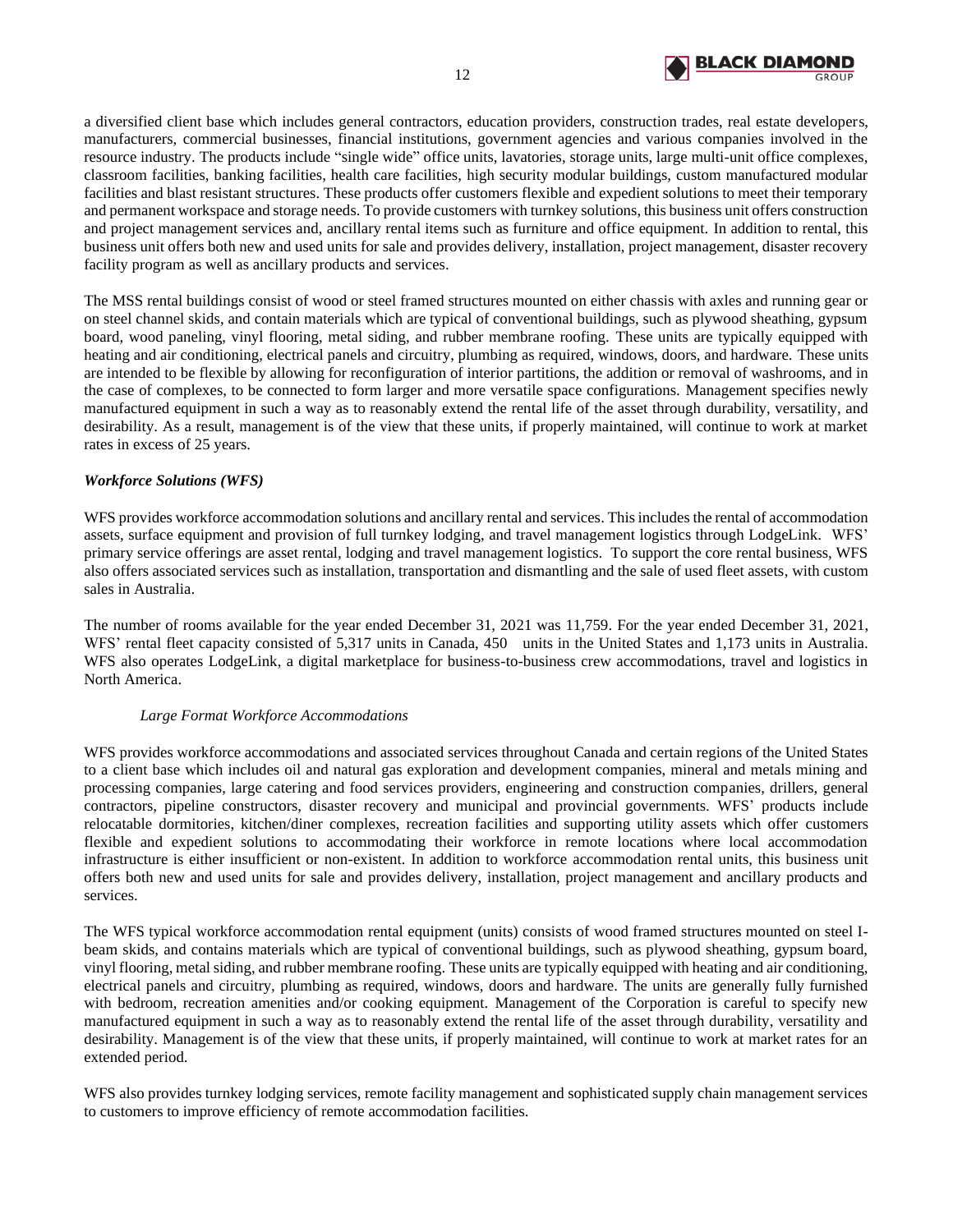

a diversified client base which includes general contractors, education providers, construction trades, real estate developers, manufacturers, commercial businesses, financial institutions, government agencies and various companies involved in the resource industry. The products include "single wide" office units, lavatories, storage units, large multi-unit office complexes, classroom facilities, banking facilities, health care facilities, high security modular buildings, custom manufactured modular facilities and blast resistant structures. These products offer customers flexible and expedient solutions to meet their temporary and permanent workspace and storage needs. To provide customers with turnkey solutions, this business unit offers construction and project management services and, ancillary rental items such as furniture and office equipment. In addition to rental, this business unit offers both new and used units for sale and provides delivery, installation, project management, disaster recovery facility program as well as ancillary products and services.

The MSS rental buildings consist of wood or steel framed structures mounted on either chassis with axles and running gear or on steel channel skids, and contain materials which are typical of conventional buildings, such as plywood sheathing, gypsum board, wood paneling, vinyl flooring, metal siding, and rubber membrane roofing. These units are typically equipped with heating and air conditioning, electrical panels and circuitry, plumbing as required, windows, doors, and hardware. These units are intended to be flexible by allowing for reconfiguration of interior partitions, the addition or removal of washrooms, and in the case of complexes, to be connected to form larger and more versatile space configurations. Management specifies newly manufactured equipment in such a way as to reasonably extend the rental life of the asset through durability, versatility, and desirability. As a result, management is of the view that these units, if properly maintained, will continue to work at market rates in excess of 25 years.

## *Workforce Solutions (WFS)*

WFS provides workforce accommodation solutions and ancillary rental and services. This includes the rental of accommodation assets, surface equipment and provision of full turnkey lodging, and travel management logistics through LodgeLink. WFS' primary service offerings are asset rental, lodging and travel management logistics. To support the core rental business, WFS also offers associated services such as installation, transportation and dismantling and the sale of used fleet assets, with custom sales in Australia.

The number of rooms available for the year ended December 31, 2021 was 11,759. For the year ended December 31, 2021, WFS' rental fleet capacity consisted of 5,317 units in Canada, 450 units in the United States and 1,173 units in Australia. WFS also operates LodgeLink, a digital marketplace for business-to-business crew accommodations, travel and logistics in North America.

## *Large Format Workforce Accommodations*

WFS provides workforce accommodations and associated services throughout Canada and certain regions of the United States to a client base which includes oil and natural gas exploration and development companies, mineral and metals mining and processing companies, large catering and food services providers, engineering and construction companies, drillers, general contractors, pipeline constructors, disaster recovery and municipal and provincial governments. WFS' products include relocatable dormitories, kitchen/diner complexes, recreation facilities and supporting utility assets which offer customers flexible and expedient solutions to accommodating their workforce in remote locations where local accommodation infrastructure is either insufficient or non-existent. In addition to workforce accommodation rental units, this business unit offers both new and used units for sale and provides delivery, installation, project management and ancillary products and services.

The WFS typical workforce accommodation rental equipment (units) consists of wood framed structures mounted on steel Ibeam skids, and contains materials which are typical of conventional buildings, such as plywood sheathing, gypsum board, vinyl flooring, metal siding, and rubber membrane roofing. These units are typically equipped with heating and air conditioning, electrical panels and circuitry, plumbing as required, windows, doors and hardware. The units are generally fully furnished with bedroom, recreation amenities and/or cooking equipment. Management of the Corporation is careful to specify new manufactured equipment in such a way as to reasonably extend the rental life of the asset through durability, versatility and desirability. Management is of the view that these units, if properly maintained, will continue to work at market rates for an extended period.

WFS also provides turnkey lodging services, remote facility management and sophisticated supply chain management services to customers to improve efficiency of remote accommodation facilities.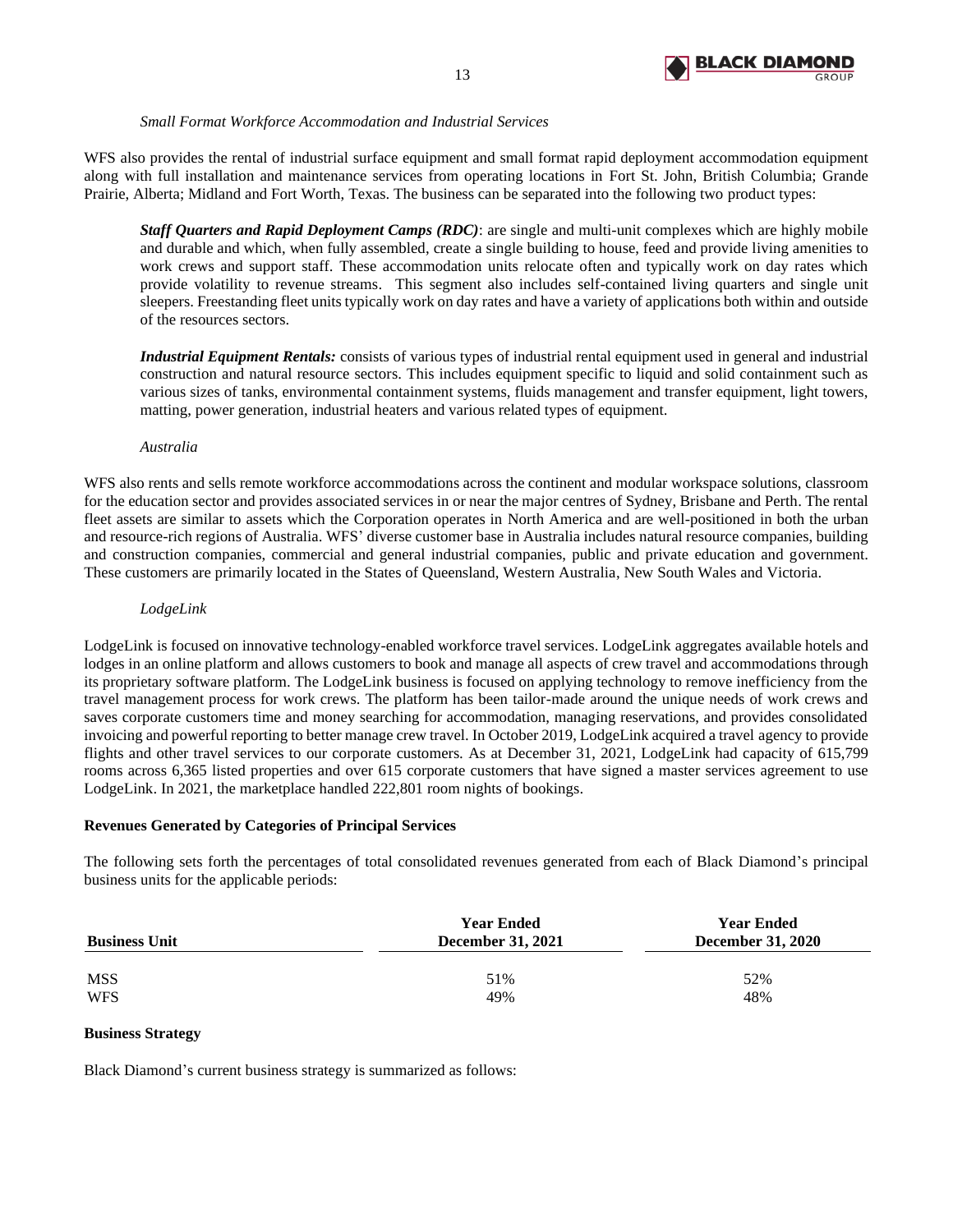

## *Small Format Workforce Accommodation and Industrial Services*

WFS also provides the rental of industrial surface equipment and small format rapid deployment accommodation equipment along with full installation and maintenance services from operating locations in Fort St. John, British Columbia; Grande Prairie, Alberta; Midland and Fort Worth, Texas. The business can be separated into the following two product types:

*Staff Quarters and Rapid Deployment Camps (RDC)*: are single and multi-unit complexes which are highly mobile and durable and which, when fully assembled, create a single building to house, feed and provide living amenities to work crews and support staff. These accommodation units relocate often and typically work on day rates which provide volatility to revenue streams. This segment also includes self-contained living quarters and single unit sleepers. Freestanding fleet units typically work on day rates and have a variety of applications both within and outside of the resources sectors.

*Industrial Equipment Rentals:* consists of various types of industrial rental equipment used in general and industrial construction and natural resource sectors. This includes equipment specific to liquid and solid containment such as various sizes of tanks, environmental containment systems, fluids management and transfer equipment, light towers, matting, power generation, industrial heaters and various related types of equipment.

## *Australia*

WFS also rents and sells remote workforce accommodations across the continent and modular workspace solutions, classroom for the education sector and provides associated services in or near the major centres of Sydney, Brisbane and Perth. The rental fleet assets are similar to assets which the Corporation operates in North America and are well-positioned in both the urban and resource-rich regions of Australia. WFS' diverse customer base in Australia includes natural resource companies, building and construction companies, commercial and general industrial companies, public and private education and government. These customers are primarily located in the States of Queensland, Western Australia, New South Wales and Victoria.

#### *LodgeLink*

LodgeLink is focused on innovative technology-enabled workforce travel services. LodgeLink aggregates available hotels and lodges in an online platform and allows customers to book and manage all aspects of crew travel and accommodations through its proprietary software platform. The LodgeLink business is focused on applying technology to remove inefficiency from the travel management process for work crews. The platform has been tailor-made around the unique needs of work crews and saves corporate customers time and money searching for accommodation, managing reservations, and provides consolidated invoicing and powerful reporting to better manage crew travel. In October 2019, LodgeLink acquired a travel agency to provide flights and other travel services to our corporate customers. As at December 31, 2021, LodgeLink had capacity of 615,799 rooms across 6,365 listed properties and over 615 corporate customers that have signed a master services agreement to use LodgeLink. In 2021, the marketplace handled 222,801 room nights of bookings.

## **Revenues Generated by Categories of Principal Services**

The following sets forth the percentages of total consolidated revenues generated from each of Black Diamond's principal business units for the applicable periods:

| <b>Business Unit</b> | <b>Year Ended</b><br><b>December 31, 2021</b> | <b>Year Ended</b><br><b>December 31, 2020</b> |
|----------------------|-----------------------------------------------|-----------------------------------------------|
| MSS                  | 51%                                           | 52%                                           |
| <b>WFS</b>           | 49%                                           | 48%                                           |

## **Business Strategy**

Black Diamond's current business strategy is summarized as follows: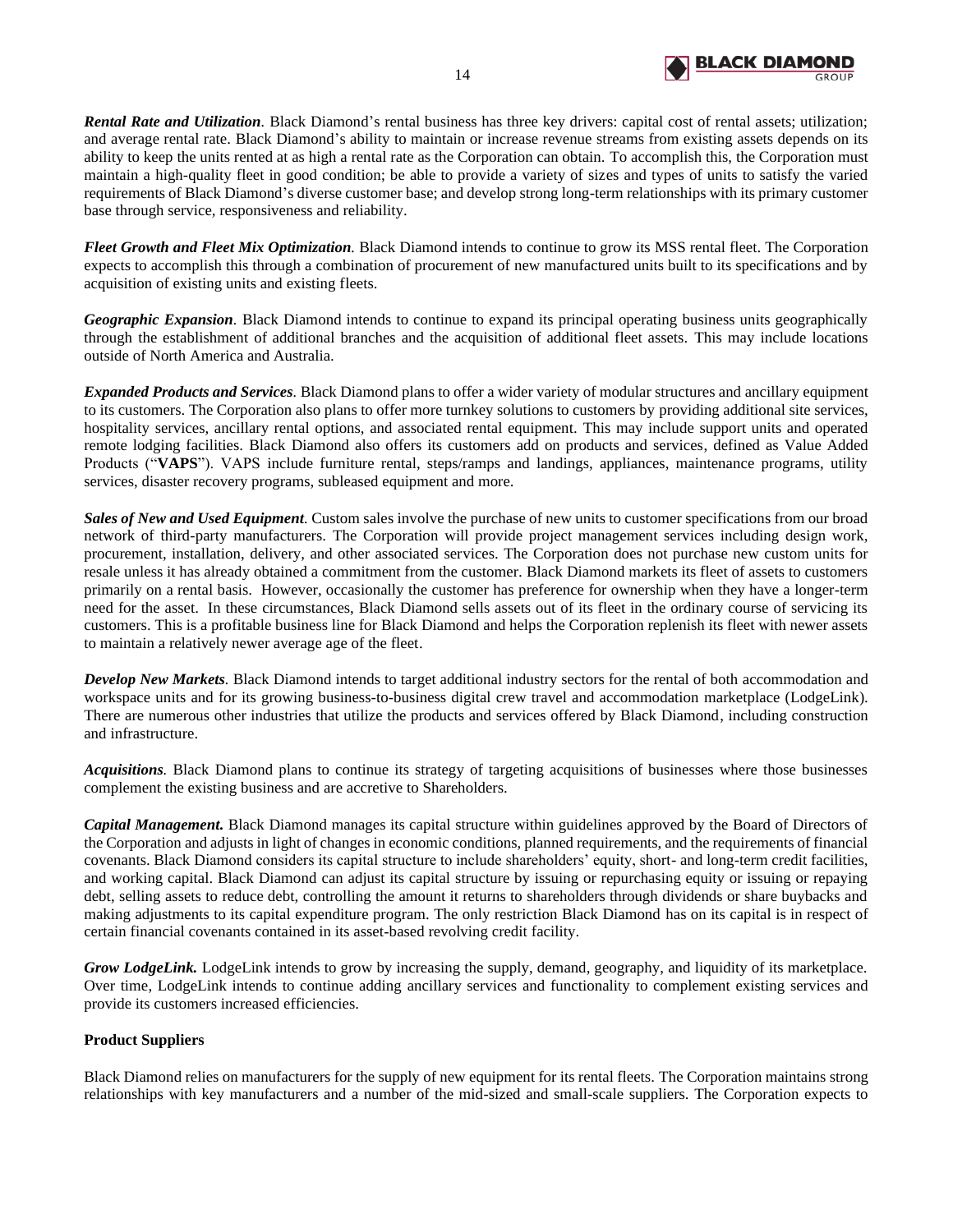

*Rental Rate and Utilization.* Black Diamond's rental business has three key drivers: capital cost of rental assets; utilization; and average rental rate. Black Diamond's ability to maintain or increase revenue streams from existing assets depends on its ability to keep the units rented at as high a rental rate as the Corporation can obtain. To accomplish this, the Corporation must maintain a high-quality fleet in good condition; be able to provide a variety of sizes and types of units to satisfy the varied requirements of Black Diamond's diverse customer base; and develop strong long-term relationships with its primary customer base through service, responsiveness and reliability.

*Fleet Growth and Fleet Mix Optimization.* Black Diamond intends to continue to grow its MSS rental fleet. The Corporation expects to accomplish this through a combination of procurement of new manufactured units built to its specifications and by acquisition of existing units and existing fleets.

*Geographic Expansion.* Black Diamond intends to continue to expand its principal operating business units geographically through the establishment of additional branches and the acquisition of additional fleet assets. This may include locations outside of North America and Australia.

*Expanded Products and Services.* Black Diamond plans to offer a wider variety of modular structures and ancillary equipment to its customers. The Corporation also plans to offer more turnkey solutions to customers by providing additional site services, hospitality services, ancillary rental options, and associated rental equipment. This may include support units and operated remote lodging facilities. Black Diamond also offers its customers add on products and services, defined as Value Added Products ("**VAPS**"). VAPS include furniture rental, steps/ramps and landings, appliances, maintenance programs, utility services, disaster recovery programs, subleased equipment and more.

*Sales of New and Used Equipment.* Custom sales involve the purchase of new units to customer specifications from our broad network of third-party manufacturers. The Corporation will provide project management services including design work, procurement, installation, delivery, and other associated services. The Corporation does not purchase new custom units for resale unless it has already obtained a commitment from the customer*.* Black Diamond markets its fleet of assets to customers primarily on a rental basis. However, occasionally the customer has preference for ownership when they have a longer-term need for the asset. In these circumstances, Black Diamond sells assets out of its fleet in the ordinary course of servicing its customers. This is a profitable business line for Black Diamond and helps the Corporation replenish its fleet with newer assets to maintain a relatively newer average age of the fleet.

*Develop New Markets.* Black Diamond intends to target additional industry sectors for the rental of both accommodation and workspace units and for its growing business-to-business digital crew travel and accommodation marketplace (LodgeLink). There are numerous other industries that utilize the products and services offered by Black Diamond, including construction and infrastructure.

*Acquisitions.* Black Diamond plans to continue its strategy of targeting acquisitions of businesses where those businesses complement the existing business and are accretive to Shareholders.

*Capital Management.* Black Diamond manages its capital structure within guidelines approved by the Board of Directors of the Corporation and adjusts in light of changes in economic conditions, planned requirements, and the requirements of financial covenants. Black Diamond considers its capital structure to include shareholders' equity, short- and long-term credit facilities, and working capital. Black Diamond can adjust its capital structure by issuing or repurchasing equity or issuing or repaying debt, selling assets to reduce debt, controlling the amount it returns to shareholders through dividends or share buybacks and making adjustments to its capital expenditure program. The only restriction Black Diamond has on its capital is in respect of certain financial covenants contained in its asset‑based revolving credit facility.

*Grow LodgeLink.* LodgeLink intends to grow by increasing the supply, demand, geography, and liquidity of its marketplace. Over time, LodgeLink intends to continue adding ancillary services and functionality to complement existing services and provide its customers increased efficiencies.

# **Product Suppliers**

Black Diamond relies on manufacturers for the supply of new equipment for its rental fleets. The Corporation maintains strong relationships with key manufacturers and a number of the mid-sized and small-scale suppliers. The Corporation expects to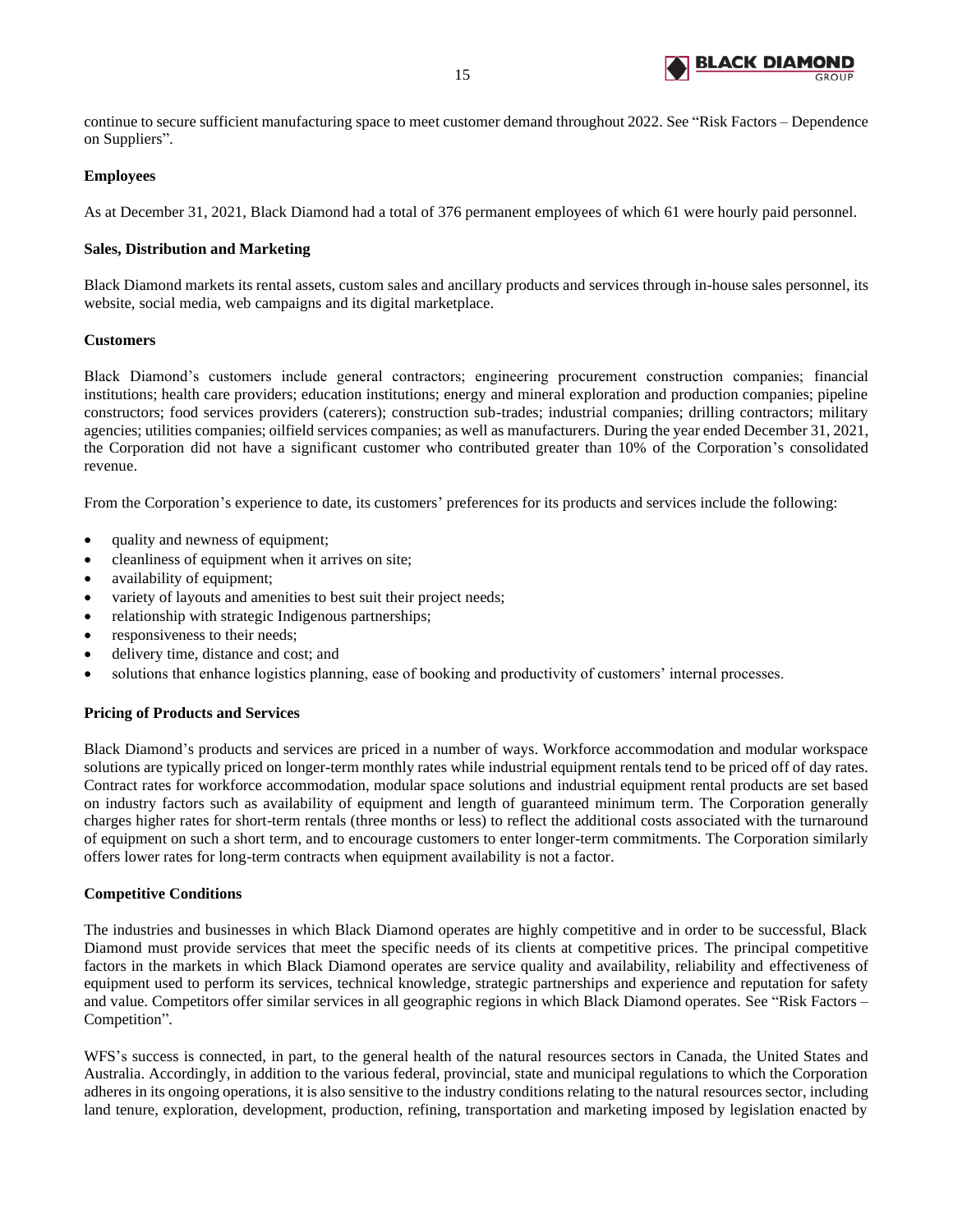

continue to secure sufficient manufacturing space to meet customer demand throughout 2022. See "Risk Factors – Dependence on Suppliers".

# **Employees**

As at December 31, 2021, Black Diamond had a total of 376 permanent employees of which 61 were hourly paid personnel.

# **Sales, Distribution and Marketing**

Black Diamond markets its rental assets, custom sales and ancillary products and services through in-house sales personnel, its website, social media, web campaigns and its digital marketplace.

## **Customers**

Black Diamond's customers include general contractors; engineering procurement construction companies; financial institutions; health care providers; education institutions; energy and mineral exploration and production companies; pipeline constructors; food services providers (caterers); construction sub-trades; industrial companies; drilling contractors; military agencies; utilities companies; oilfield services companies; as well as manufacturers. During the year ended December 31, 2021, the Corporation did not have a significant customer who contributed greater than 10% of the Corporation's consolidated revenue.

From the Corporation's experience to date, its customers' preferences for its products and services include the following:

- quality and newness of equipment;
- cleanliness of equipment when it arrives on site;
- availability of equipment;
- variety of layouts and amenities to best suit their project needs;
- relationship with strategic Indigenous partnerships;
- responsiveness to their needs;
- delivery time, distance and cost; and
- solutions that enhance logistics planning, ease of booking and productivity of customers' internal processes.

## **Pricing of Products and Services**

Black Diamond's products and services are priced in a number of ways. Workforce accommodation and modular workspace solutions are typically priced on longer-term monthly rates while industrial equipment rentals tend to be priced off of day rates. Contract rates for workforce accommodation, modular space solutions and industrial equipment rental products are set based on industry factors such as availability of equipment and length of guaranteed minimum term. The Corporation generally charges higher rates for short-term rentals (three months or less) to reflect the additional costs associated with the turnaround of equipment on such a short term, and to encourage customers to enter longer-term commitments. The Corporation similarly offers lower rates for long-term contracts when equipment availability is not a factor.

## **Competitive Conditions**

The industries and businesses in which Black Diamond operates are highly competitive and in order to be successful, Black Diamond must provide services that meet the specific needs of its clients at competitive prices. The principal competitive factors in the markets in which Black Diamond operates are service quality and availability, reliability and effectiveness of equipment used to perform its services, technical knowledge, strategic partnerships and experience and reputation for safety and value. Competitors offer similar services in all geographic regions in which Black Diamond operates. See "Risk Factors – Competition".

WFS's success is connected, in part, to the general health of the natural resources sectors in Canada, the United States and Australia. Accordingly, in addition to the various federal, provincial, state and municipal regulations to which the Corporation adheres in its ongoing operations, it is also sensitive to the industry conditions relating to the natural resources sector, including land tenure, exploration, development, production, refining, transportation and marketing imposed by legislation enacted by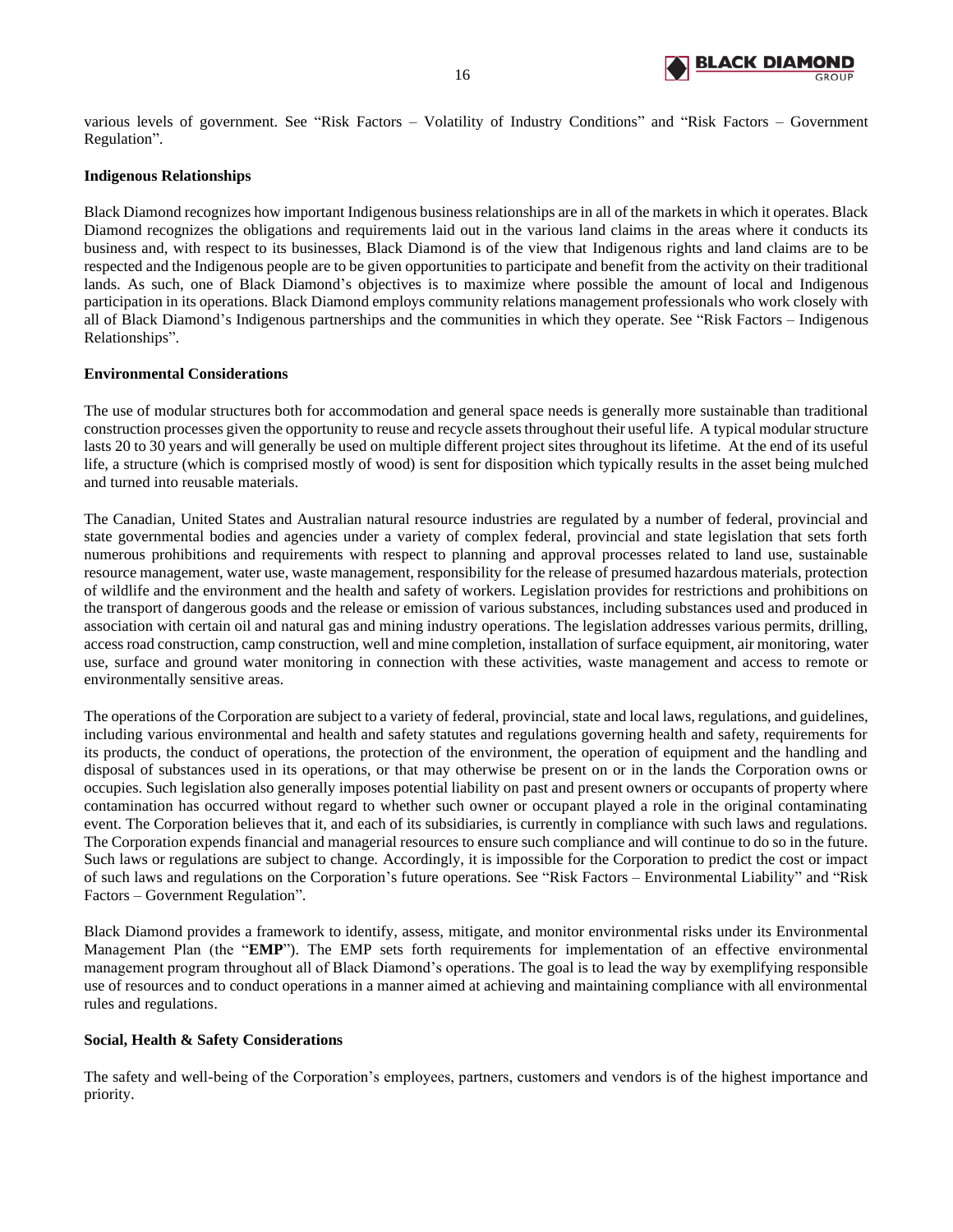

various levels of government. See "Risk Factors – Volatility of Industry Conditions" and "Risk Factors – Government Regulation".

## **Indigenous Relationships**

Black Diamond recognizes how important Indigenous business relationships are in all of the markets in which it operates. Black Diamond recognizes the obligations and requirements laid out in the various land claims in the areas where it conducts its business and, with respect to its businesses, Black Diamond is of the view that Indigenous rights and land claims are to be respected and the Indigenous people are to be given opportunities to participate and benefit from the activity on their traditional lands. As such, one of Black Diamond's objectives is to maximize where possible the amount of local and Indigenous participation in its operations. Black Diamond employs community relations management professionals who work closely with all of Black Diamond's Indigenous partnerships and the communities in which they operate. See "Risk Factors – Indigenous Relationships".

#### **Environmental Considerations**

The use of modular structures both for accommodation and general space needs is generally more sustainable than traditional construction processes given the opportunity to reuse and recycle assets throughout their useful life. A typical modular structure lasts 20 to 30 years and will generally be used on multiple different project sites throughout its lifetime. At the end of its useful life, a structure (which is comprised mostly of wood) is sent for disposition which typically results in the asset being mulched and turned into reusable materials.

The Canadian, United States and Australian natural resource industries are regulated by a number of federal, provincial and state governmental bodies and agencies under a variety of complex federal, provincial and state legislation that sets forth numerous prohibitions and requirements with respect to planning and approval processes related to land use, sustainable resource management, water use, waste management, responsibility for the release of presumed hazardous materials, protection of wildlife and the environment and the health and safety of workers. Legislation provides for restrictions and prohibitions on the transport of dangerous goods and the release or emission of various substances, including substances used and produced in association with certain oil and natural gas and mining industry operations. The legislation addresses various permits, drilling, access road construction, camp construction, well and mine completion, installation of surface equipment, air monitoring, water use, surface and ground water monitoring in connection with these activities, waste management and access to remote or environmentally sensitive areas.

The operations of the Corporation are subject to a variety of federal, provincial, state and local laws, regulations, and guidelines, including various environmental and health and safety statutes and regulations governing health and safety, requirements for its products, the conduct of operations, the protection of the environment, the operation of equipment and the handling and disposal of substances used in its operations, or that may otherwise be present on or in the lands the Corporation owns or occupies. Such legislation also generally imposes potential liability on past and present owners or occupants of property where contamination has occurred without regard to whether such owner or occupant played a role in the original contaminating event. The Corporation believes that it, and each of its subsidiaries, is currently in compliance with such laws and regulations. The Corporation expends financial and managerial resources to ensure such compliance and will continue to do so in the future. Such laws or regulations are subject to change. Accordingly, it is impossible for the Corporation to predict the cost or impact of such laws and regulations on the Corporation's future operations. See "Risk Factors – Environmental Liability" and "Risk Factors – Government Regulation".

Black Diamond provides a framework to identify, assess, mitigate, and monitor environmental risks under its Environmental Management Plan (the "**EMP**"). The EMP sets forth requirements for implementation of an effective environmental management program throughout all of Black Diamond's operations. The goal is to lead the way by exemplifying responsible use of resources and to conduct operations in a manner aimed at achieving and maintaining compliance with all environmental rules and regulations.

#### **Social, Health & Safety Considerations**

The safety and well-being of the Corporation's employees, partners, customers and vendors is of the highest importance and priority.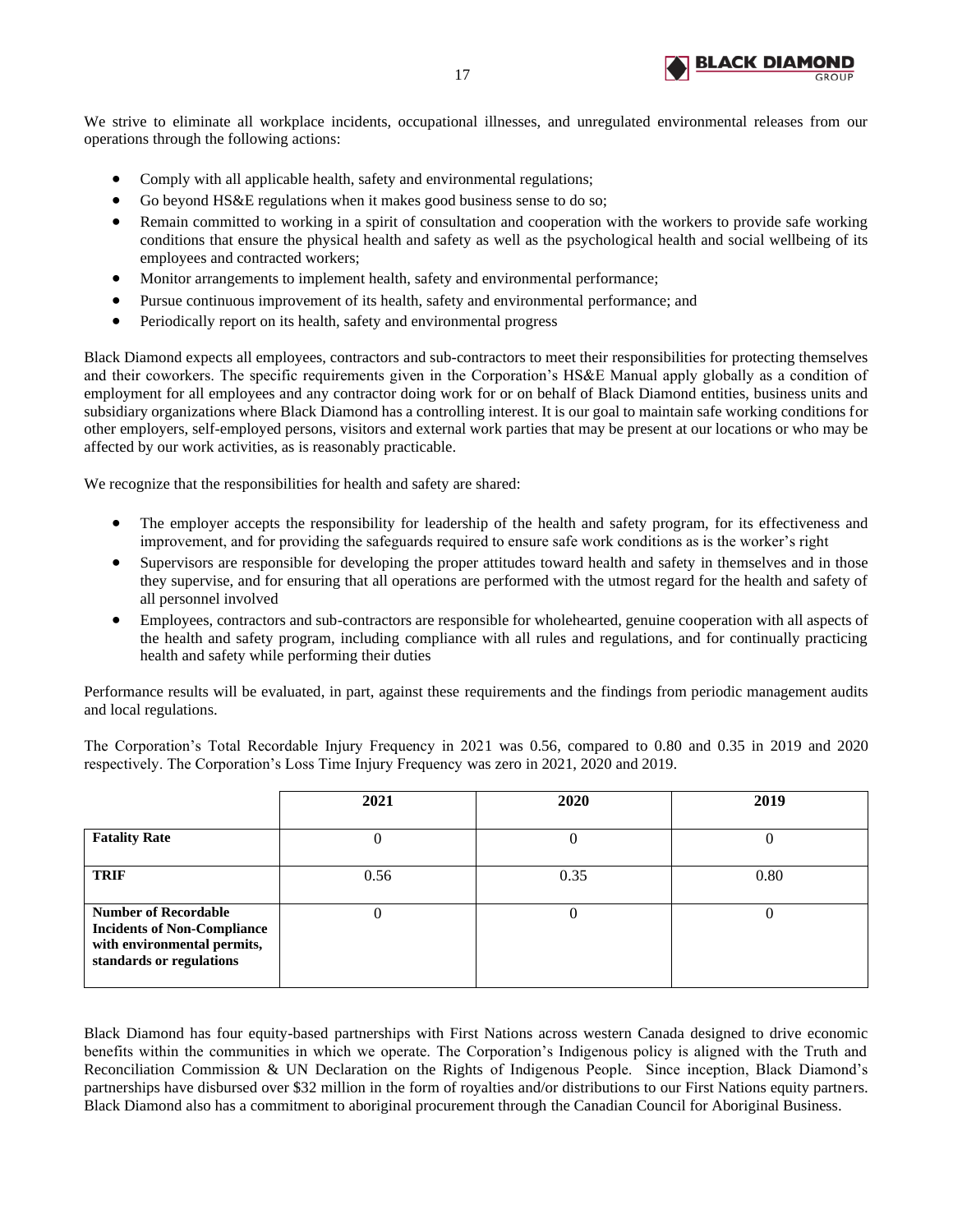

We strive to eliminate all workplace incidents, occupational illnesses, and unregulated environmental releases from our operations through the following actions:

- Comply with all applicable health, safety and environmental regulations;
- Go beyond HS&E regulations when it makes good business sense to do so;
- Remain committed to working in a spirit of consultation and cooperation with the workers to provide safe working conditions that ensure the physical health and safety as well as the psychological health and social wellbeing of its employees and contracted workers;
- Monitor arrangements to implement health, safety and environmental performance;
- Pursue continuous improvement of its health, safety and environmental performance; and
- Periodically report on its health, safety and environmental progress

Black Diamond expects all employees, contractors and sub-contractors to meet their responsibilities for protecting themselves and their coworkers. The specific requirements given in the Corporation's HS&E Manual apply globally as a condition of employment for all employees and any contractor doing work for or on behalf of Black Diamond entities, business units and subsidiary organizations where Black Diamond has a controlling interest. It is our goal to maintain safe working conditions for other employers, self-employed persons, visitors and external work parties that may be present at our locations or who may be affected by our work activities, as is reasonably practicable.

We recognize that the responsibilities for health and safety are shared:

- The employer accepts the responsibility for leadership of the health and safety program, for its effectiveness and improvement, and for providing the safeguards required to ensure safe work conditions as is the worker's right
- Supervisors are responsible for developing the proper attitudes toward health and safety in themselves and in those they supervise, and for ensuring that all operations are performed with the utmost regard for the health and safety of all personnel involved
- Employees, contractors and sub-contractors are responsible for wholehearted, genuine cooperation with all aspects of the health and safety program, including compliance with all rules and regulations, and for continually practicing health and safety while performing their duties

Performance results will be evaluated, in part, against these requirements and the findings from periodic management audits and local regulations.

The Corporation's Total Recordable Injury Frequency in 2021 was 0.56, compared to 0.80 and 0.35 in 2019 and 2020 respectively. The Corporation's Loss Time Injury Frequency was zero in 2021, 2020 and 2019.

|                                                                                                                              | 2021 | 2020 | 2019 |
|------------------------------------------------------------------------------------------------------------------------------|------|------|------|
| <b>Fatality Rate</b>                                                                                                         |      | U    |      |
| <b>TRIF</b>                                                                                                                  | 0.56 | 0.35 | 0.80 |
| <b>Number of Recordable</b><br><b>Incidents of Non-Compliance</b><br>with environmental permits,<br>standards or regulations |      | U    |      |

Black Diamond has four equity-based partnerships with First Nations across western Canada designed to drive economic benefits within the communities in which we operate. The Corporation's Indigenous policy is aligned with the Truth and Reconciliation Commission & UN Declaration on the Rights of Indigenous People. Since inception, Black Diamond's partnerships have disbursed over \$32 million in the form of royalties and/or distributions to our First Nations equity partners. Black Diamond also has a commitment to aboriginal procurement through the Canadian Council for Aboriginal Business.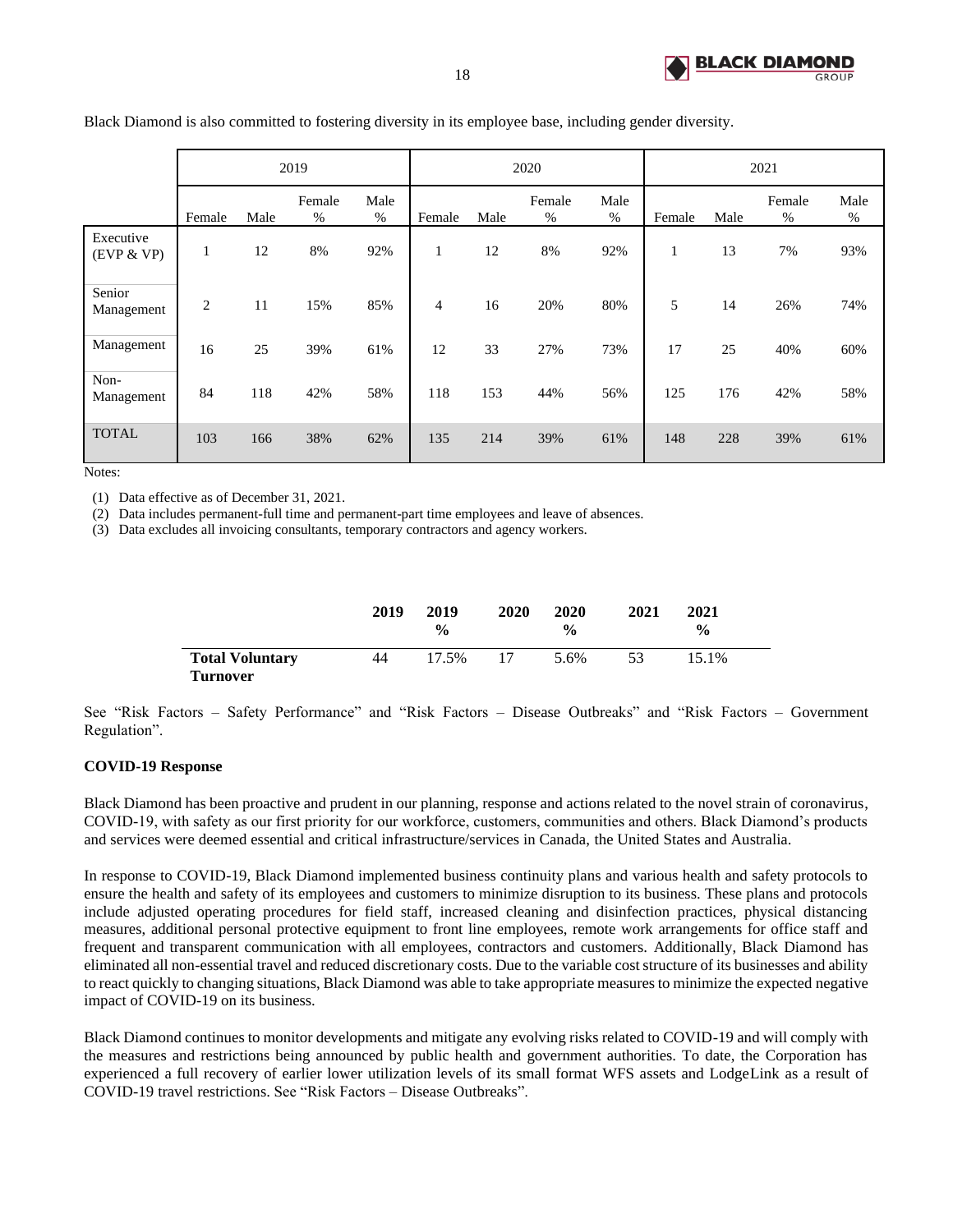

|                         |                |      | 2019           |              |        |      | 2020           |              |        |      | 2021           |              |
|-------------------------|----------------|------|----------------|--------------|--------|------|----------------|--------------|--------|------|----------------|--------------|
|                         | Female         | Male | Female<br>$\%$ | Male<br>$\%$ | Female | Male | Female<br>$\%$ | Male<br>$\%$ | Female | Male | Female<br>$\%$ | Male<br>$\%$ |
| Executive<br>(EVP & VP) | 1              | 12   | 8%             | 92%          | -      | 12   | 8%             | 92%          |        | 13   | 7%             | 93%          |
| Senior<br>Management    | $\overline{2}$ | 11   | 15%            | 85%          | 4      | 16   | 20%            | 80%          | 5      | 14   | 26%            | 74%          |
| Management              | 16             | 25   | 39%            | 61%          | 12     | 33   | 27%            | 73%          | 17     | 25   | 40%            | 60%          |
| Non-<br>Management      | 84             | 118  | 42%            | 58%          | 118    | 153  | 44%            | 56%          | 125    | 176  | 42%            | 58%          |
| <b>TOTAL</b>            | 103            | 166  | 38%            | 62%          | 135    | 214  | 39%            | 61%          | 148    | 228  | 39%            | 61%          |

Black Diamond is also committed to fostering diversity in its employee base, including gender diversity.

Notes:

(1) Data effective as of December 31, 2021.

(2) Data includes permanent-full time and permanent-part time employees and leave of absences.

(3) Data excludes all invoicing consultants, temporary contractors and agency workers.

|                                           | 2019 | 2019<br>$\frac{0}{0}$ | 2020 | 2020<br>$\frac{6}{9}$ | 2021 | <b>2021</b><br>$\frac{6}{9}$ |
|-------------------------------------------|------|-----------------------|------|-----------------------|------|------------------------------|
| <b>Total Voluntary</b><br><b>Turnover</b> | 44   | 17.5%                 | 17   | 5.6%                  | 53   | 15.1%                        |

See "Risk Factors – Safety Performance" and "Risk Factors – Disease Outbreaks" and "Risk Factors – Government Regulation".

## **COVID-19 Response**

Black Diamond has been proactive and prudent in our planning, response and actions related to the novel strain of coronavirus, COVID-19, with safety as our first priority for our workforce, customers, communities and others. Black Diamond's products and services were deemed essential and critical infrastructure/services in Canada, the United States and Australia.

In response to COVID-19, Black Diamond implemented business continuity plans and various health and safety protocols to ensure the health and safety of its employees and customers to minimize disruption to its business. These plans and protocols include adjusted operating procedures for field staff, increased cleaning and disinfection practices, physical distancing measures, additional personal protective equipment to front line employees, remote work arrangements for office staff and frequent and transparent communication with all employees, contractors and customers. Additionally, Black Diamond has eliminated all non-essential travel and reduced discretionary costs. Due to the variable cost structure of its businesses and ability to react quickly to changing situations, Black Diamond was able to take appropriate measures to minimize the expected negative impact of COVID-19 on its business.

Black Diamond continues to monitor developments and mitigate any evolving risks related to COVID-19 and will comply with the measures and restrictions being announced by public health and government authorities. To date, the Corporation has experienced a full recovery of earlier lower utilization levels of its small format WFS assets and LodgeLink as a result of COVID-19 travel restrictions. See "Risk Factors – Disease Outbreaks".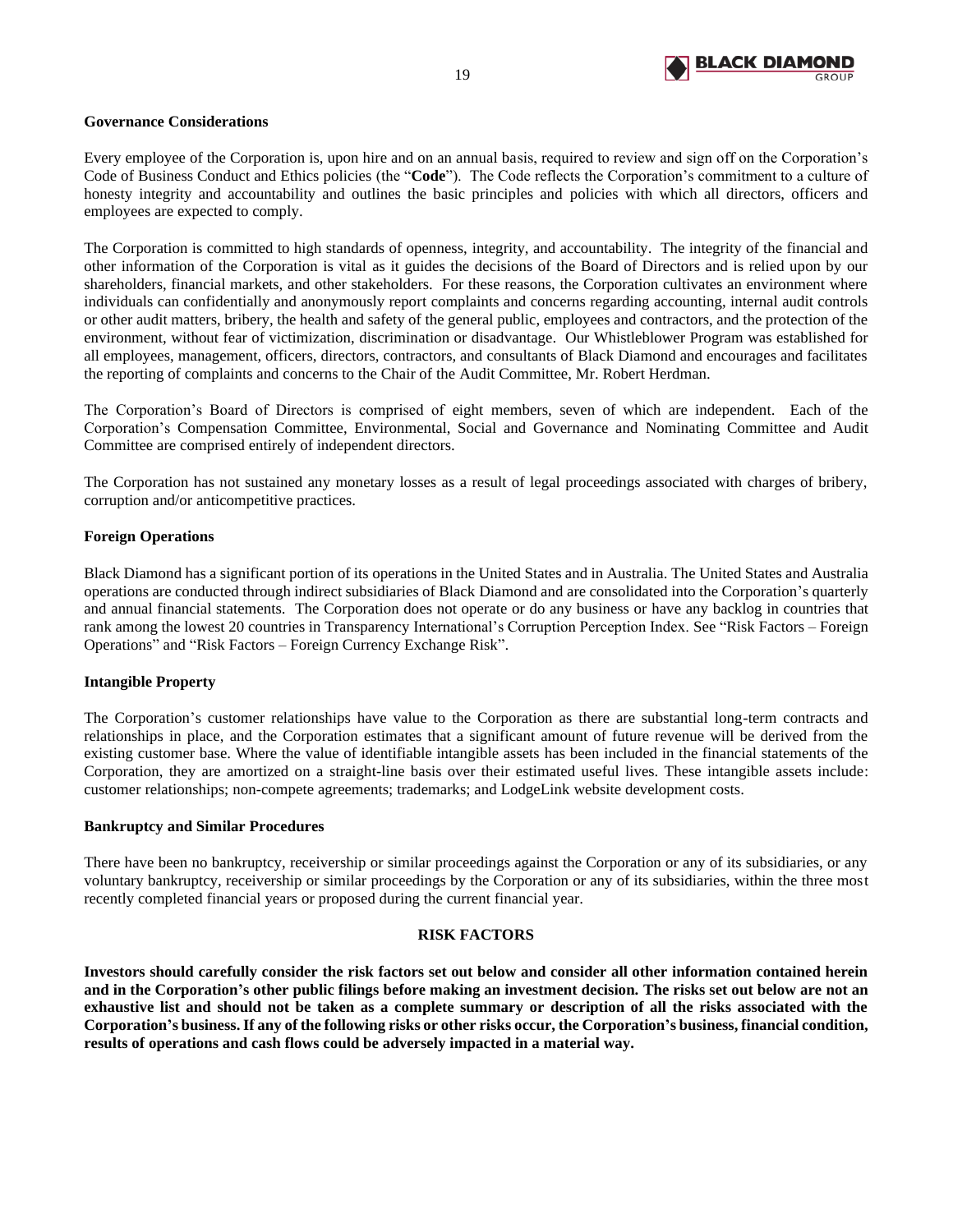

## **Governance Considerations**

Every employee of the Corporation is, upon hire and on an annual basis, required to review and sign off on the Corporation's Code of Business Conduct and Ethics policies (the "**Code**"). The Code reflects the Corporation's commitment to a culture of honesty integrity and accountability and outlines the basic principles and policies with which all directors, officers and employees are expected to comply.

The Corporation is committed to high standards of openness, integrity, and accountability. The integrity of the financial and other information of the Corporation is vital as it guides the decisions of the Board of Directors and is relied upon by our shareholders, financial markets, and other stakeholders. For these reasons, the Corporation cultivates an environment where individuals can confidentially and anonymously report complaints and concerns regarding accounting, internal audit controls or other audit matters, bribery, the health and safety of the general public, employees and contractors, and the protection of the environment, without fear of victimization, discrimination or disadvantage. Our Whistleblower Program was established for all employees, management, officers, directors, contractors, and consultants of Black Diamond and encourages and facilitates the reporting of complaints and concerns to the Chair of the Audit Committee, Mr. Robert Herdman.

The Corporation's Board of Directors is comprised of eight members, seven of which are independent. Each of the Corporation's Compensation Committee, Environmental, Social and Governance and Nominating Committee and Audit Committee are comprised entirely of independent directors.

The Corporation has not sustained any monetary losses as a result of legal proceedings associated with charges of bribery, corruption and/or anticompetitive practices.

## **Foreign Operations**

Black Diamond has a significant portion of its operations in the United States and in Australia. The United States and Australia operations are conducted through indirect subsidiaries of Black Diamond and are consolidated into the Corporation's quarterly and annual financial statements. The Corporation does not operate or do any business or have any backlog in countries that rank among the lowest 20 countries in Transparency International's Corruption Perception Index. See "Risk Factors – Foreign Operations" and "Risk Factors – Foreign Currency Exchange Risk".

#### **Intangible Property**

The Corporation's customer relationships have value to the Corporation as there are substantial long-term contracts and relationships in place, and the Corporation estimates that a significant amount of future revenue will be derived from the existing customer base. Where the value of identifiable intangible assets has been included in the financial statements of the Corporation, they are amortized on a straight-line basis over their estimated useful lives. These intangible assets include: customer relationships; non-compete agreements; trademarks; and LodgeLink website development costs.

#### **Bankruptcy and Similar Procedures**

There have been no bankruptcy, receivership or similar proceedings against the Corporation or any of its subsidiaries, or any voluntary bankruptcy, receivership or similar proceedings by the Corporation or any of its subsidiaries, within the three most recently completed financial years or proposed during the current financial year.

#### **RISK FACTORS**

<span id="page-20-0"></span>**Investors should carefully consider the risk factors set out below and consider all other information contained herein and in the Corporation's other public filings before making an investment decision. The risks set out below are not an exhaustive list and should not be taken as a complete summary or description of all the risks associated with the Corporation's business. If any of the following risks or other risks occur, the Corporation's business, financial condition, results of operations and cash flows could be adversely impacted in a material way.**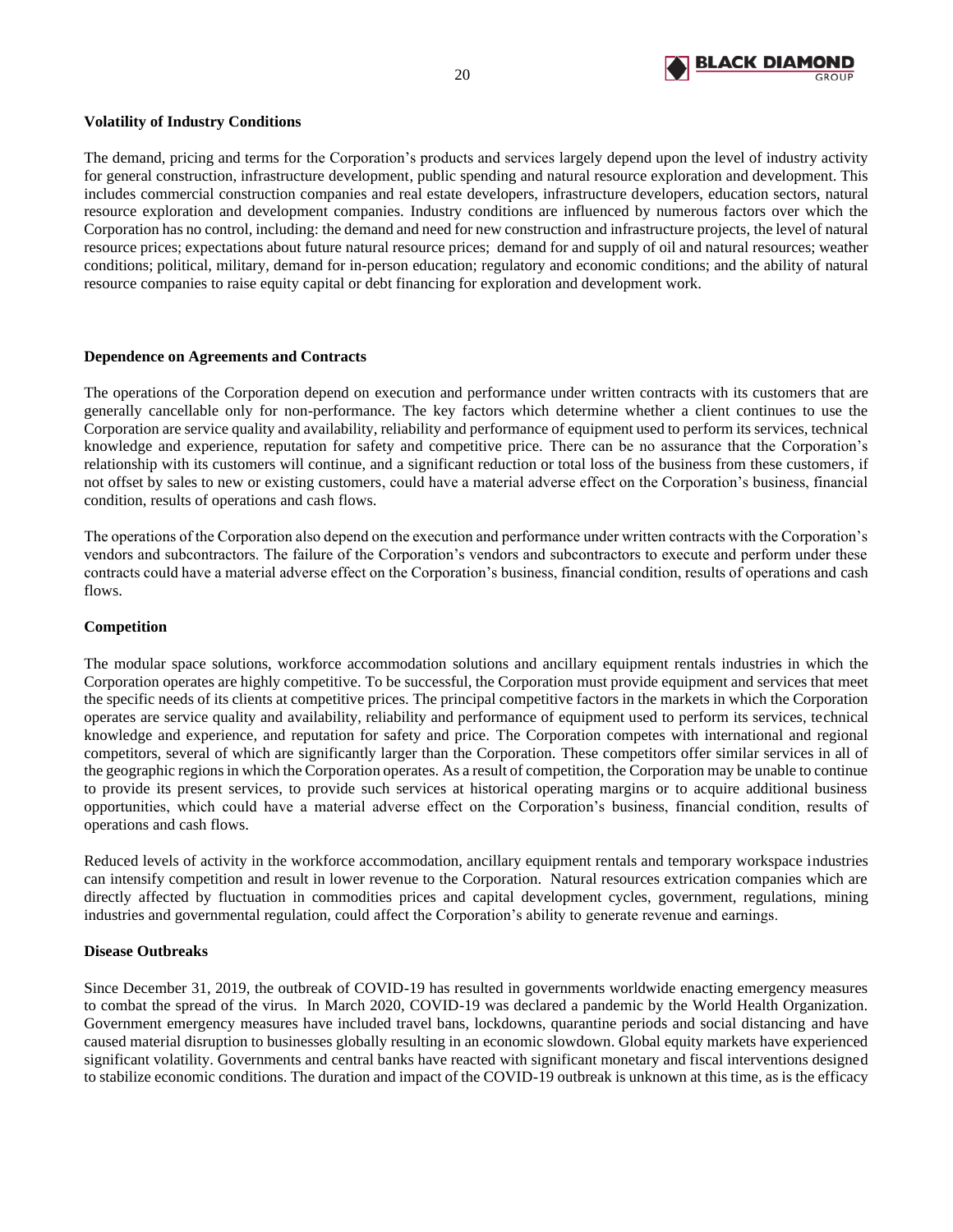

## **Volatility of Industry Conditions**

The demand, pricing and terms for the Corporation's products and services largely depend upon the level of industry activity for general construction, infrastructure development, public spending and natural resource exploration and development. This includes commercial construction companies and real estate developers, infrastructure developers, education sectors, natural resource exploration and development companies. Industry conditions are influenced by numerous factors over which the Corporation has no control, including: the demand and need for new construction and infrastructure projects, the level of natural resource prices; expectations about future natural resource prices; demand for and supply of oil and natural resources; weather conditions; political, military, demand for in-person education; regulatory and economic conditions; and the ability of natural resource companies to raise equity capital or debt financing for exploration and development work.

## **Dependence on Agreements and Contracts**

The operations of the Corporation depend on execution and performance under written contracts with its customers that are generally cancellable only for non-performance. The key factors which determine whether a client continues to use the Corporation are service quality and availability, reliability and performance of equipment used to perform its services, technical knowledge and experience, reputation for safety and competitive price. There can be no assurance that the Corporation's relationship with its customers will continue, and a significant reduction or total loss of the business from these customers, if not offset by sales to new or existing customers, could have a material adverse effect on the Corporation's business, financial condition, results of operations and cash flows.

The operations of the Corporation also depend on the execution and performance under written contracts with the Corporation's vendors and subcontractors. The failure of the Corporation's vendors and subcontractors to execute and perform under these contracts could have a material adverse effect on the Corporation's business, financial condition, results of operations and cash flows.

## **Competition**

The modular space solutions, workforce accommodation solutions and ancillary equipment rentals industries in which the Corporation operates are highly competitive. To be successful, the Corporation must provide equipment and services that meet the specific needs of its clients at competitive prices. The principal competitive factors in the markets in which the Corporation operates are service quality and availability, reliability and performance of equipment used to perform its services, technical knowledge and experience, and reputation for safety and price. The Corporation competes with international and regional competitors, several of which are significantly larger than the Corporation. These competitors offer similar services in all of the geographic regions in which the Corporation operates. As a result of competition, the Corporation may be unable to continue to provide its present services, to provide such services at historical operating margins or to acquire additional business opportunities, which could have a material adverse effect on the Corporation's business, financial condition, results of operations and cash flows.

Reduced levels of activity in the workforce accommodation, ancillary equipment rentals and temporary workspace industries can intensify competition and result in lower revenue to the Corporation. Natural resources extrication companies which are directly affected by fluctuation in commodities prices and capital development cycles, government, regulations, mining industries and governmental regulation, could affect the Corporation's ability to generate revenue and earnings.

#### **Disease Outbreaks**

Since December 31, 2019, the outbreak of COVID-19 has resulted in governments worldwide enacting emergency measures to combat the spread of the virus. In March 2020, COVID-19 was declared a pandemic by the World Health Organization. Government emergency measures have included travel bans, lockdowns, quarantine periods and social distancing and have caused material disruption to businesses globally resulting in an economic slowdown. Global equity markets have experienced significant volatility. Governments and central banks have reacted with significant monetary and fiscal interventions designed to stabilize economic conditions. The duration and impact of the COVID-19 outbreak is unknown at this time, as is the efficacy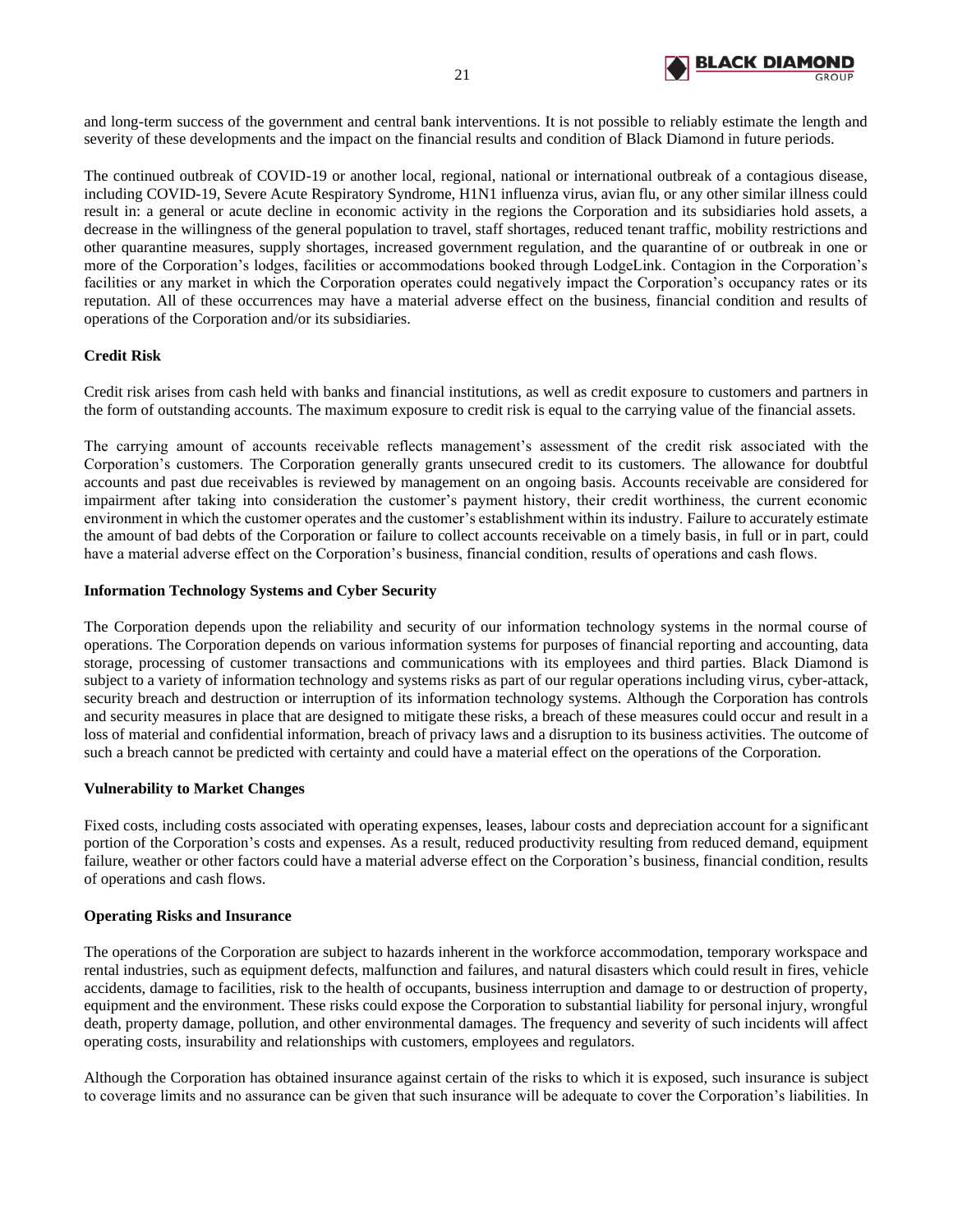

and long-term success of the government and central bank interventions. It is not possible to reliably estimate the length and severity of these developments and the impact on the financial results and condition of Black Diamond in future periods.

The continued outbreak of COVID-19 or another local, regional, national or international outbreak of a contagious disease, including COVID-19, Severe Acute Respiratory Syndrome, H1N1 influenza virus, avian flu, or any other similar illness could result in: a general or acute decline in economic activity in the regions the Corporation and its subsidiaries hold assets, a decrease in the willingness of the general population to travel, staff shortages, reduced tenant traffic, mobility restrictions and other quarantine measures, supply shortages, increased government regulation, and the quarantine of or outbreak in one or more of the Corporation's lodges, facilities or accommodations booked through LodgeLink. Contagion in the Corporation's facilities or any market in which the Corporation operates could negatively impact the Corporation's occupancy rates or its reputation. All of these occurrences may have a material adverse effect on the business, financial condition and results of operations of the Corporation and/or its subsidiaries.

# **Credit Risk**

Credit risk arises from cash held with banks and financial institutions, as well as credit exposure to customers and partners in the form of outstanding accounts. The maximum exposure to credit risk is equal to the carrying value of the financial assets.

The carrying amount of accounts receivable reflects management's assessment of the credit risk associated with the Corporation's customers. The Corporation generally grants unsecured credit to its customers. The allowance for doubtful accounts and past due receivables is reviewed by management on an ongoing basis. Accounts receivable are considered for impairment after taking into consideration the customer's payment history, their credit worthiness, the current economic environment in which the customer operates and the customer's establishment within its industry. Failure to accurately estimate the amount of bad debts of the Corporation or failure to collect accounts receivable on a timely basis, in full or in part, could have a material adverse effect on the Corporation's business, financial condition, results of operations and cash flows.

## **Information Technology Systems and Cyber Security**

The Corporation depends upon the reliability and security of our information technology systems in the normal course of operations. The Corporation depends on various information systems for purposes of financial reporting and accounting, data storage, processing of customer transactions and communications with its employees and third parties. Black Diamond is subject to a variety of information technology and systems risks as part of our regular operations including virus, cyber-attack, security breach and destruction or interruption of its information technology systems. Although the Corporation has controls and security measures in place that are designed to mitigate these risks, a breach of these measures could occur and result in a loss of material and confidential information, breach of privacy laws and a disruption to its business activities. The outcome of such a breach cannot be predicted with certainty and could have a material effect on the operations of the Corporation.

## **Vulnerability to Market Changes**

Fixed costs, including costs associated with operating expenses, leases, labour costs and depreciation account for a significant portion of the Corporation's costs and expenses. As a result, reduced productivity resulting from reduced demand, equipment failure, weather or other factors could have a material adverse effect on the Corporation's business, financial condition, results of operations and cash flows.

## **Operating Risks and Insurance**

The operations of the Corporation are subject to hazards inherent in the workforce accommodation, temporary workspace and rental industries, such as equipment defects, malfunction and failures, and natural disasters which could result in fires, vehicle accidents, damage to facilities, risk to the health of occupants, business interruption and damage to or destruction of property, equipment and the environment. These risks could expose the Corporation to substantial liability for personal injury, wrongful death, property damage, pollution, and other environmental damages. The frequency and severity of such incidents will affect operating costs, insurability and relationships with customers, employees and regulators.

Although the Corporation has obtained insurance against certain of the risks to which it is exposed, such insurance is subject to coverage limits and no assurance can be given that such insurance will be adequate to cover the Corporation's liabilities. In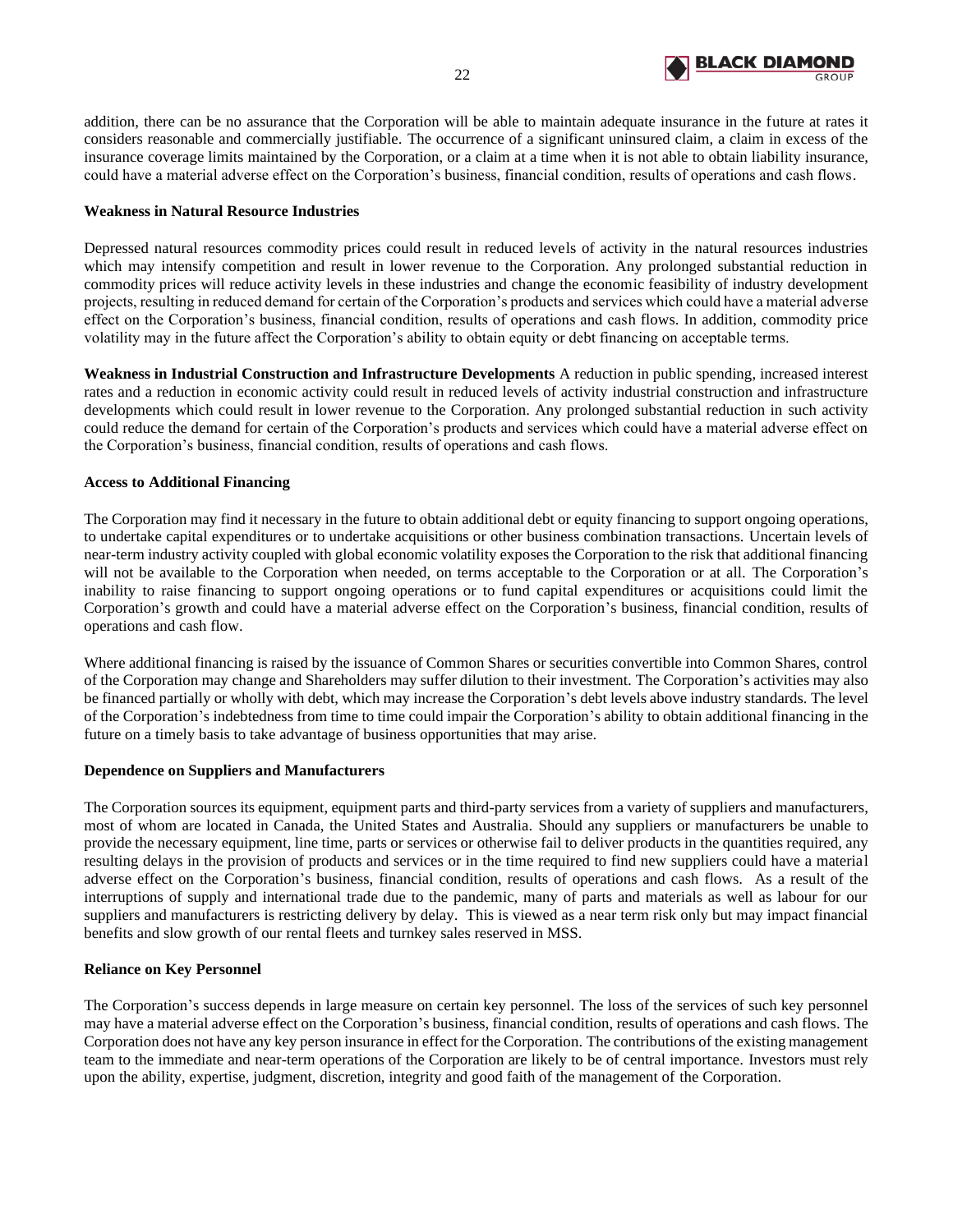

addition, there can be no assurance that the Corporation will be able to maintain adequate insurance in the future at rates it considers reasonable and commercially justifiable. The occurrence of a significant uninsured claim, a claim in excess of the insurance coverage limits maintained by the Corporation, or a claim at a time when it is not able to obtain liability insurance, could have a material adverse effect on the Corporation's business, financial condition, results of operations and cash flows.

# **Weakness in Natural Resource Industries**

Depressed natural resources commodity prices could result in reduced levels of activity in the natural resources industries which may intensify competition and result in lower revenue to the Corporation. Any prolonged substantial reduction in commodity prices will reduce activity levels in these industries and change the economic feasibility of industry development projects, resulting in reduced demand for certain of the Corporation's products and services which could have a material adverse effect on the Corporation's business, financial condition, results of operations and cash flows. In addition, commodity price volatility may in the future affect the Corporation's ability to obtain equity or debt financing on acceptable terms.

**Weakness in Industrial Construction and Infrastructure Developments** A reduction in public spending, increased interest rates and a reduction in economic activity could result in reduced levels of activity industrial construction and infrastructure developments which could result in lower revenue to the Corporation. Any prolonged substantial reduction in such activity could reduce the demand for certain of the Corporation's products and services which could have a material adverse effect on the Corporation's business, financial condition, results of operations and cash flows.

# **Access to Additional Financing**

The Corporation may find it necessary in the future to obtain additional debt or equity financing to support ongoing operations, to undertake capital expenditures or to undertake acquisitions or other business combination transactions. Uncertain levels of near-term industry activity coupled with global economic volatility exposes the Corporation to the risk that additional financing will not be available to the Corporation when needed, on terms acceptable to the Corporation or at all. The Corporation's inability to raise financing to support ongoing operations or to fund capital expenditures or acquisitions could limit the Corporation's growth and could have a material adverse effect on the Corporation's business, financial condition, results of operations and cash flow.

Where additional financing is raised by the issuance of Common Shares or securities convertible into Common Shares, control of the Corporation may change and Shareholders may suffer dilution to their investment. The Corporation's activities may also be financed partially or wholly with debt, which may increase the Corporation's debt levels above industry standards. The level of the Corporation's indebtedness from time to time could impair the Corporation's ability to obtain additional financing in the future on a timely basis to take advantage of business opportunities that may arise.

# **Dependence on Suppliers and Manufacturers**

The Corporation sources its equipment, equipment parts and third-party services from a variety of suppliers and manufacturers, most of whom are located in Canada, the United States and Australia. Should any suppliers or manufacturers be unable to provide the necessary equipment, line time, parts or services or otherwise fail to deliver products in the quantities required, any resulting delays in the provision of products and services or in the time required to find new suppliers could have a material adverse effect on the Corporation's business, financial condition, results of operations and cash flows. As a result of the interruptions of supply and international trade due to the pandemic, many of parts and materials as well as labour for our suppliers and manufacturers is restricting delivery by delay. This is viewed as a near term risk only but may impact financial benefits and slow growth of our rental fleets and turnkey sales reserved in MSS.

## **Reliance on Key Personnel**

The Corporation's success depends in large measure on certain key personnel. The loss of the services of such key personnel may have a material adverse effect on the Corporation's business, financial condition, results of operations and cash flows. The Corporation does not have any key person insurance in effect for the Corporation. The contributions of the existing management team to the immediate and near-term operations of the Corporation are likely to be of central importance. Investors must rely upon the ability, expertise, judgment, discretion, integrity and good faith of the management of the Corporation.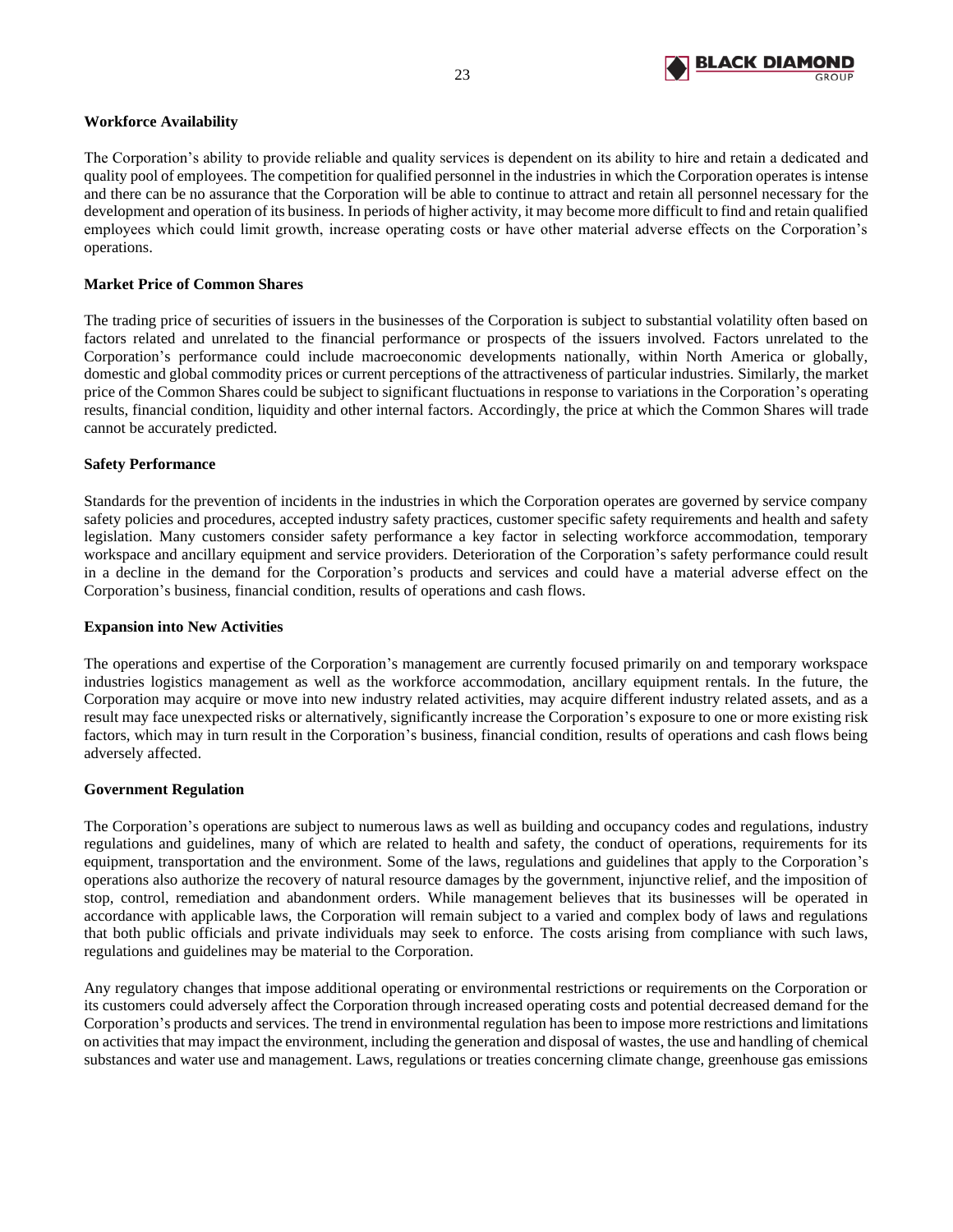

# **Workforce Availability**

The Corporation's ability to provide reliable and quality services is dependent on its ability to hire and retain a dedicated and quality pool of employees. The competition for qualified personnel in the industries in which the Corporation operates is intense and there can be no assurance that the Corporation will be able to continue to attract and retain all personnel necessary for the development and operation of its business. In periods of higher activity, it may become more difficult to find and retain qualified employees which could limit growth, increase operating costs or have other material adverse effects on the Corporation's operations.

## **Market Price of Common Shares**

The trading price of securities of issuers in the businesses of the Corporation is subject to substantial volatility often based on factors related and unrelated to the financial performance or prospects of the issuers involved. Factors unrelated to the Corporation's performance could include macroeconomic developments nationally, within North America or globally, domestic and global commodity prices or current perceptions of the attractiveness of particular industries. Similarly, the market price of the Common Shares could be subject to significant fluctuations in response to variations in the Corporation's operating results, financial condition, liquidity and other internal factors. Accordingly, the price at which the Common Shares will trade cannot be accurately predicted.

## **Safety Performance**

Standards for the prevention of incidents in the industries in which the Corporation operates are governed by service company safety policies and procedures, accepted industry safety practices, customer specific safety requirements and health and safety legislation. Many customers consider safety performance a key factor in selecting workforce accommodation, temporary workspace and ancillary equipment and service providers. Deterioration of the Corporation's safety performance could result in a decline in the demand for the Corporation's products and services and could have a material adverse effect on the Corporation's business, financial condition, results of operations and cash flows.

## **Expansion into New Activities**

The operations and expertise of the Corporation's management are currently focused primarily on and temporary workspace industries logistics management as well as the workforce accommodation, ancillary equipment rentals. In the future, the Corporation may acquire or move into new industry related activities, may acquire different industry related assets, and as a result may face unexpected risks or alternatively, significantly increase the Corporation's exposure to one or more existing risk factors, which may in turn result in the Corporation's business, financial condition, results of operations and cash flows being adversely affected.

## **Government Regulation**

The Corporation's operations are subject to numerous laws as well as building and occupancy codes and regulations, industry regulations and guidelines, many of which are related to health and safety, the conduct of operations, requirements for its equipment, transportation and the environment. Some of the laws, regulations and guidelines that apply to the Corporation's operations also authorize the recovery of natural resource damages by the government, injunctive relief, and the imposition of stop, control, remediation and abandonment orders. While management believes that its businesses will be operated in accordance with applicable laws, the Corporation will remain subject to a varied and complex body of laws and regulations that both public officials and private individuals may seek to enforce. The costs arising from compliance with such laws, regulations and guidelines may be material to the Corporation.

Any regulatory changes that impose additional operating or environmental restrictions or requirements on the Corporation or its customers could adversely affect the Corporation through increased operating costs and potential decreased demand for the Corporation's products and services. The trend in environmental regulation has been to impose more restrictions and limitations on activities that may impact the environment, including the generation and disposal of wastes, the use and handling of chemical substances and water use and management. Laws, regulations or treaties concerning climate change, greenhouse gas emissions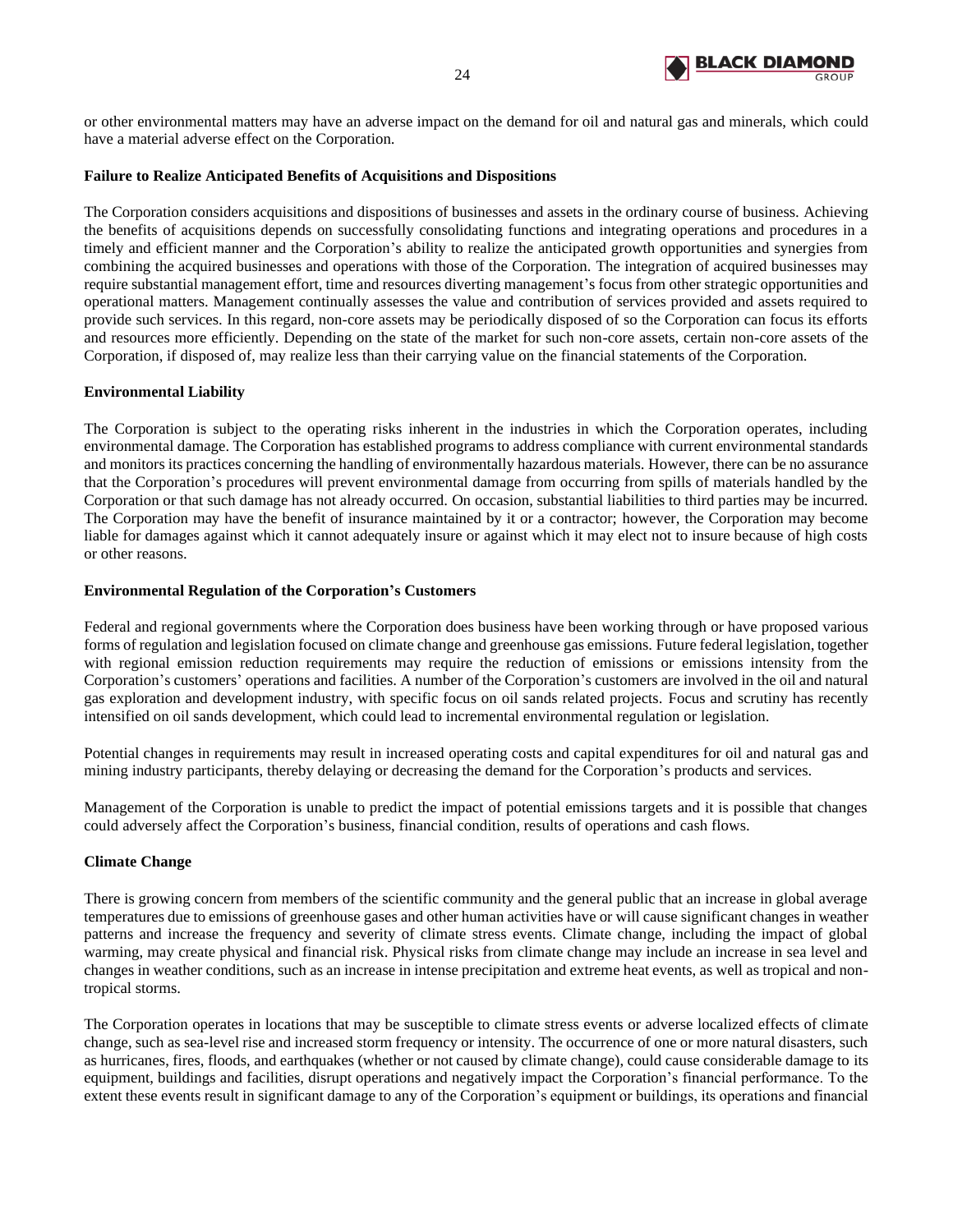

or other environmental matters may have an adverse impact on the demand for oil and natural gas and minerals, which could have a material adverse effect on the Corporation.

## **Failure to Realize Anticipated Benefits of Acquisitions and Dispositions**

The Corporation considers acquisitions and dispositions of businesses and assets in the ordinary course of business. Achieving the benefits of acquisitions depends on successfully consolidating functions and integrating operations and procedures in a timely and efficient manner and the Corporation's ability to realize the anticipated growth opportunities and synergies from combining the acquired businesses and operations with those of the Corporation. The integration of acquired businesses may require substantial management effort, time and resources diverting management's focus from other strategic opportunities and operational matters. Management continually assesses the value and contribution of services provided and assets required to provide such services. In this regard, non-core assets may be periodically disposed of so the Corporation can focus its efforts and resources more efficiently. Depending on the state of the market for such non-core assets, certain non-core assets of the Corporation, if disposed of, may realize less than their carrying value on the financial statements of the Corporation.

## **Environmental Liability**

The Corporation is subject to the operating risks inherent in the industries in which the Corporation operates, including environmental damage. The Corporation has established programs to address compliance with current environmental standards and monitors its practices concerning the handling of environmentally hazardous materials. However, there can be no assurance that the Corporation's procedures will prevent environmental damage from occurring from spills of materials handled by the Corporation or that such damage has not already occurred. On occasion, substantial liabilities to third parties may be incurred. The Corporation may have the benefit of insurance maintained by it or a contractor; however, the Corporation may become liable for damages against which it cannot adequately insure or against which it may elect not to insure because of high costs or other reasons.

#### **Environmental Regulation of the Corporation's Customers**

Federal and regional governments where the Corporation does business have been working through or have proposed various forms of regulation and legislation focused on climate change and greenhouse gas emissions. Future federal legislation, together with regional emission reduction requirements may require the reduction of emissions or emissions intensity from the Corporation's customers' operations and facilities. A number of the Corporation's customers are involved in the oil and natural gas exploration and development industry, with specific focus on oil sands related projects. Focus and scrutiny has recently intensified on oil sands development, which could lead to incremental environmental regulation or legislation.

Potential changes in requirements may result in increased operating costs and capital expenditures for oil and natural gas and mining industry participants, thereby delaying or decreasing the demand for the Corporation's products and services.

Management of the Corporation is unable to predict the impact of potential emissions targets and it is possible that changes could adversely affect the Corporation's business, financial condition, results of operations and cash flows.

#### **Climate Change**

There is growing concern from members of the scientific community and the general public that an increase in global average temperatures due to emissions of greenhouse gases and other human activities have or will cause significant changes in weather patterns and increase the frequency and severity of climate stress events. Climate change, including the impact of global warming, may create physical and financial risk. Physical risks from climate change may include an increase in sea level and changes in weather conditions, such as an increase in intense precipitation and extreme heat events, as well as tropical and nontropical storms.

The Corporation operates in locations that may be susceptible to climate stress events or adverse localized effects of climate change, such as sea-level rise and increased storm frequency or intensity. The occurrence of one or more natural disasters, such as hurricanes, fires, floods, and earthquakes (whether or not caused by climate change), could cause considerable damage to its equipment, buildings and facilities, disrupt operations and negatively impact the Corporation's financial performance. To the extent these events result in significant damage to any of the Corporation's equipment or buildings, its operations and financial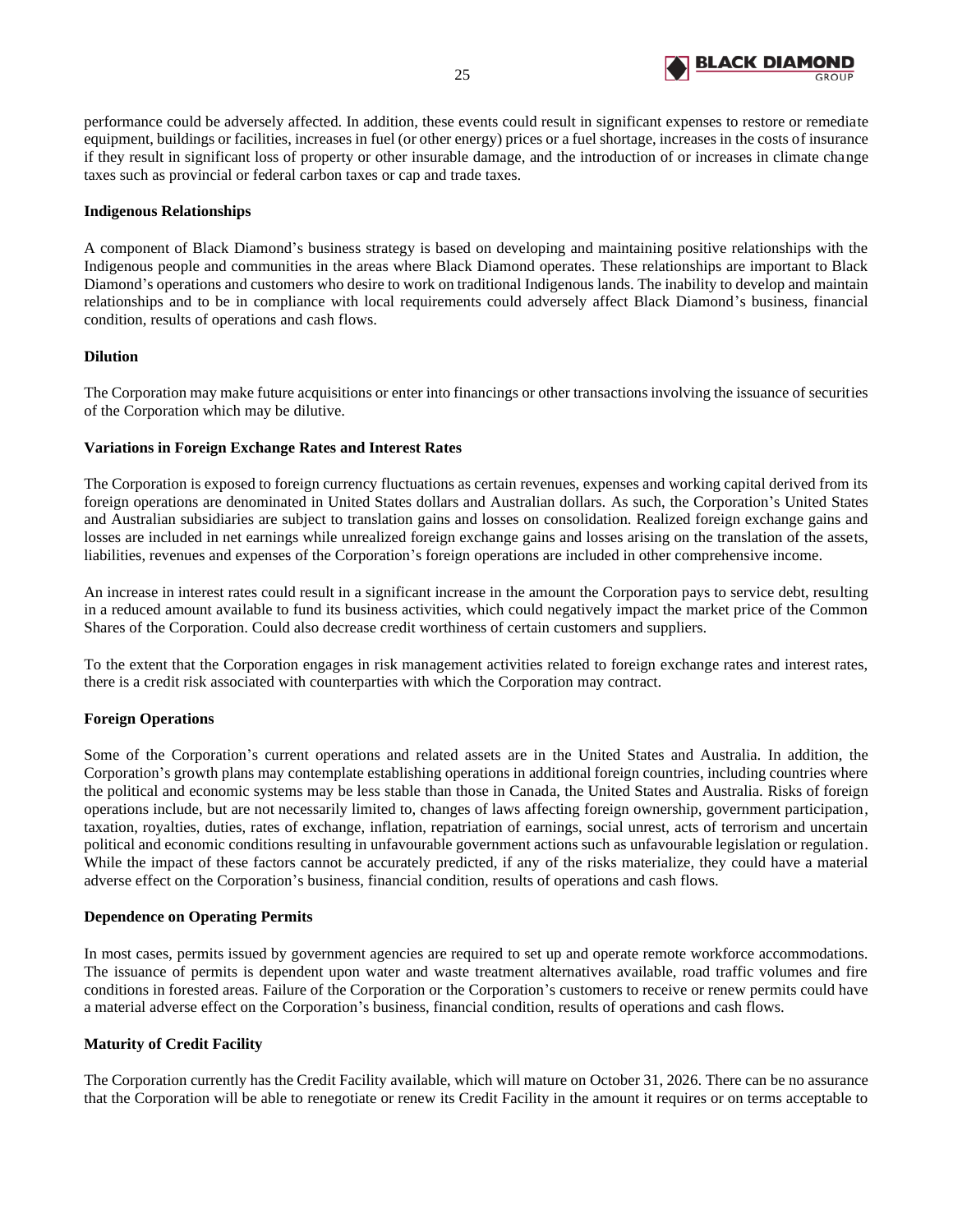

performance could be adversely affected. In addition, these events could result in significant expenses to restore or remediate equipment, buildings or facilities, increases in fuel (or other energy) prices or a fuel shortage, increases in the costs of insurance if they result in significant loss of property or other insurable damage, and the introduction of or increases in climate change taxes such as provincial or federal carbon taxes or cap and trade taxes.

## **Indigenous Relationships**

A component of Black Diamond's business strategy is based on developing and maintaining positive relationships with the Indigenous people and communities in the areas where Black Diamond operates. These relationships are important to Black Diamond's operations and customers who desire to work on traditional Indigenous lands. The inability to develop and maintain relationships and to be in compliance with local requirements could adversely affect Black Diamond's business, financial condition, results of operations and cash flows.

## **Dilution**

The Corporation may make future acquisitions or enter into financings or other transactions involving the issuance of securities of the Corporation which may be dilutive.

## **Variations in Foreign Exchange Rates and Interest Rates**

The Corporation is exposed to foreign currency fluctuations as certain revenues, expenses and working capital derived from its foreign operations are denominated in United States dollars and Australian dollars. As such, the Corporation's United States and Australian subsidiaries are subject to translation gains and losses on consolidation. Realized foreign exchange gains and losses are included in net earnings while unrealized foreign exchange gains and losses arising on the translation of the assets, liabilities, revenues and expenses of the Corporation's foreign operations are included in other comprehensive income.

An increase in interest rates could result in a significant increase in the amount the Corporation pays to service debt, resulting in a reduced amount available to fund its business activities, which could negatively impact the market price of the Common Shares of the Corporation. Could also decrease credit worthiness of certain customers and suppliers.

To the extent that the Corporation engages in risk management activities related to foreign exchange rates and interest rates, there is a credit risk associated with counterparties with which the Corporation may contract.

## **Foreign Operations**

Some of the Corporation's current operations and related assets are in the United States and Australia. In addition, the Corporation's growth plans may contemplate establishing operations in additional foreign countries, including countries where the political and economic systems may be less stable than those in Canada, the United States and Australia. Risks of foreign operations include, but are not necessarily limited to, changes of laws affecting foreign ownership, government participation, taxation, royalties, duties, rates of exchange, inflation, repatriation of earnings, social unrest, acts of terrorism and uncertain political and economic conditions resulting in unfavourable government actions such as unfavourable legislation or regulation. While the impact of these factors cannot be accurately predicted, if any of the risks materialize, they could have a material adverse effect on the Corporation's business, financial condition, results of operations and cash flows.

#### **Dependence on Operating Permits**

In most cases, permits issued by government agencies are required to set up and operate remote workforce accommodations. The issuance of permits is dependent upon water and waste treatment alternatives available, road traffic volumes and fire conditions in forested areas. Failure of the Corporation or the Corporation's customers to receive or renew permits could have a material adverse effect on the Corporation's business, financial condition, results of operations and cash flows.

# **Maturity of Credit Facility**

The Corporation currently has the Credit Facility available, which will mature on October 31, 2026. There can be no assurance that the Corporation will be able to renegotiate or renew its Credit Facility in the amount it requires or on terms acceptable to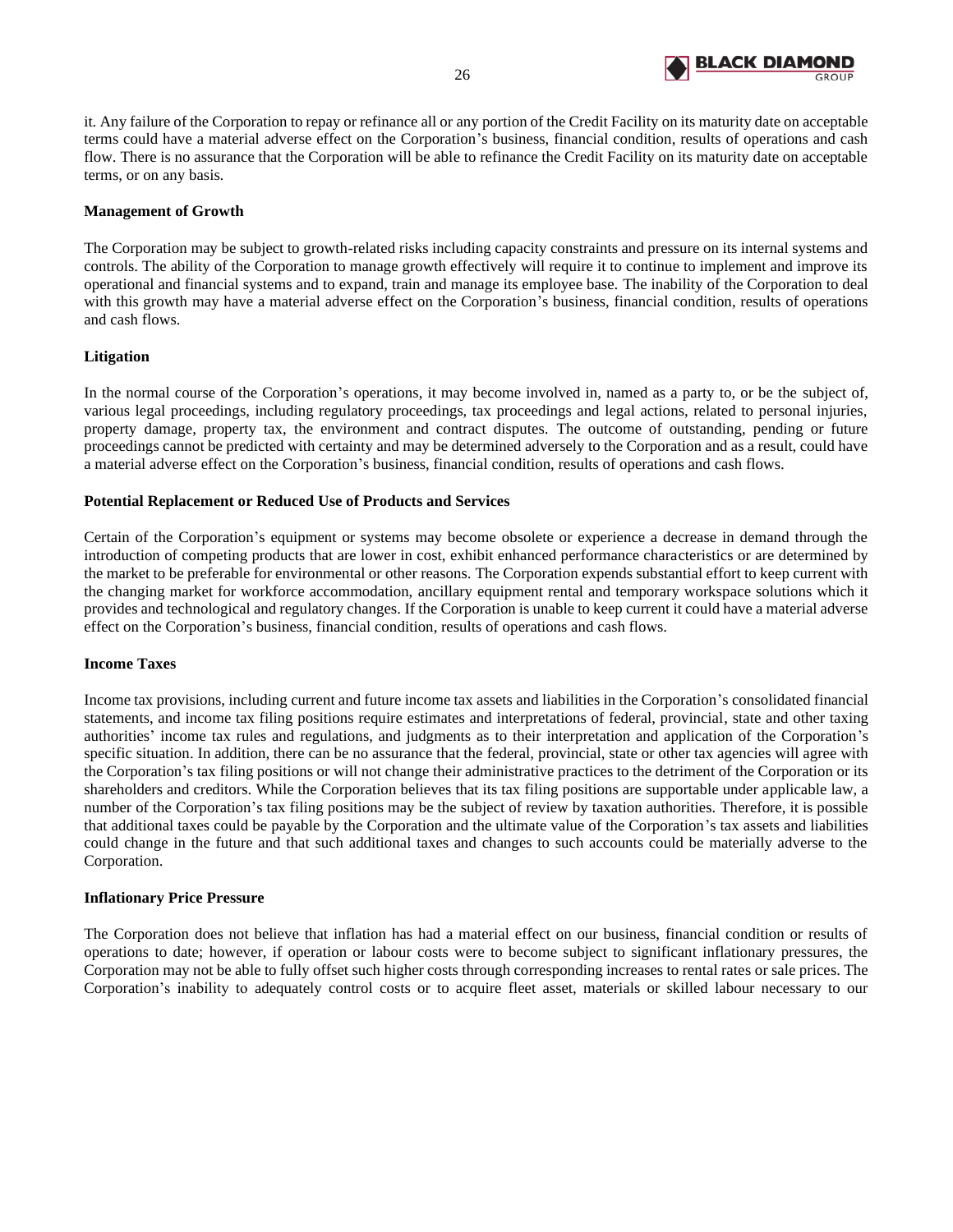

it. Any failure of the Corporation to repay or refinance all or any portion of the Credit Facility on its maturity date on acceptable terms could have a material adverse effect on the Corporation's business, financial condition, results of operations and cash flow. There is no assurance that the Corporation will be able to refinance the Credit Facility on its maturity date on acceptable terms, or on any basis.

## **Management of Growth**

The Corporation may be subject to growth-related risks including capacity constraints and pressure on its internal systems and controls. The ability of the Corporation to manage growth effectively will require it to continue to implement and improve its operational and financial systems and to expand, train and manage its employee base. The inability of the Corporation to deal with this growth may have a material adverse effect on the Corporation's business, financial condition, results of operations and cash flows.

# **Litigation**

In the normal course of the Corporation's operations, it may become involved in, named as a party to, or be the subject of, various legal proceedings, including regulatory proceedings, tax proceedings and legal actions, related to personal injuries, property damage, property tax, the environment and contract disputes. The outcome of outstanding, pending or future proceedings cannot be predicted with certainty and may be determined adversely to the Corporation and as a result, could have a material adverse effect on the Corporation's business, financial condition, results of operations and cash flows.

# **Potential Replacement or Reduced Use of Products and Services**

Certain of the Corporation's equipment or systems may become obsolete or experience a decrease in demand through the introduction of competing products that are lower in cost, exhibit enhanced performance characteristics or are determined by the market to be preferable for environmental or other reasons. The Corporation expends substantial effort to keep current with the changing market for workforce accommodation, ancillary equipment rental and temporary workspace solutions which it provides and technological and regulatory changes. If the Corporation is unable to keep current it could have a material adverse effect on the Corporation's business, financial condition, results of operations and cash flows.

## **Income Taxes**

Income tax provisions, including current and future income tax assets and liabilities in the Corporation's consolidated financial statements, and income tax filing positions require estimates and interpretations of federal, provincial, state and other taxing authorities' income tax rules and regulations, and judgments as to their interpretation and application of the Corporation's specific situation. In addition, there can be no assurance that the federal, provincial, state or other tax agencies will agree with the Corporation's tax filing positions or will not change their administrative practices to the detriment of the Corporation or its shareholders and creditors. While the Corporation believes that its tax filing positions are supportable under applicable law, a number of the Corporation's tax filing positions may be the subject of review by taxation authorities. Therefore, it is possible that additional taxes could be payable by the Corporation and the ultimate value of the Corporation's tax assets and liabilities could change in the future and that such additional taxes and changes to such accounts could be materially adverse to the Corporation.

## **Inflationary Price Pressure**

The Corporation does not believe that inflation has had a material effect on our business, financial condition or results of operations to date; however, if operation or labour costs were to become subject to significant inflationary pressures, the Corporation may not be able to fully offset such higher costs through corresponding increases to rental rates or sale prices. The Corporation's inability to adequately control costs or to acquire fleet asset, materials or skilled labour necessary to our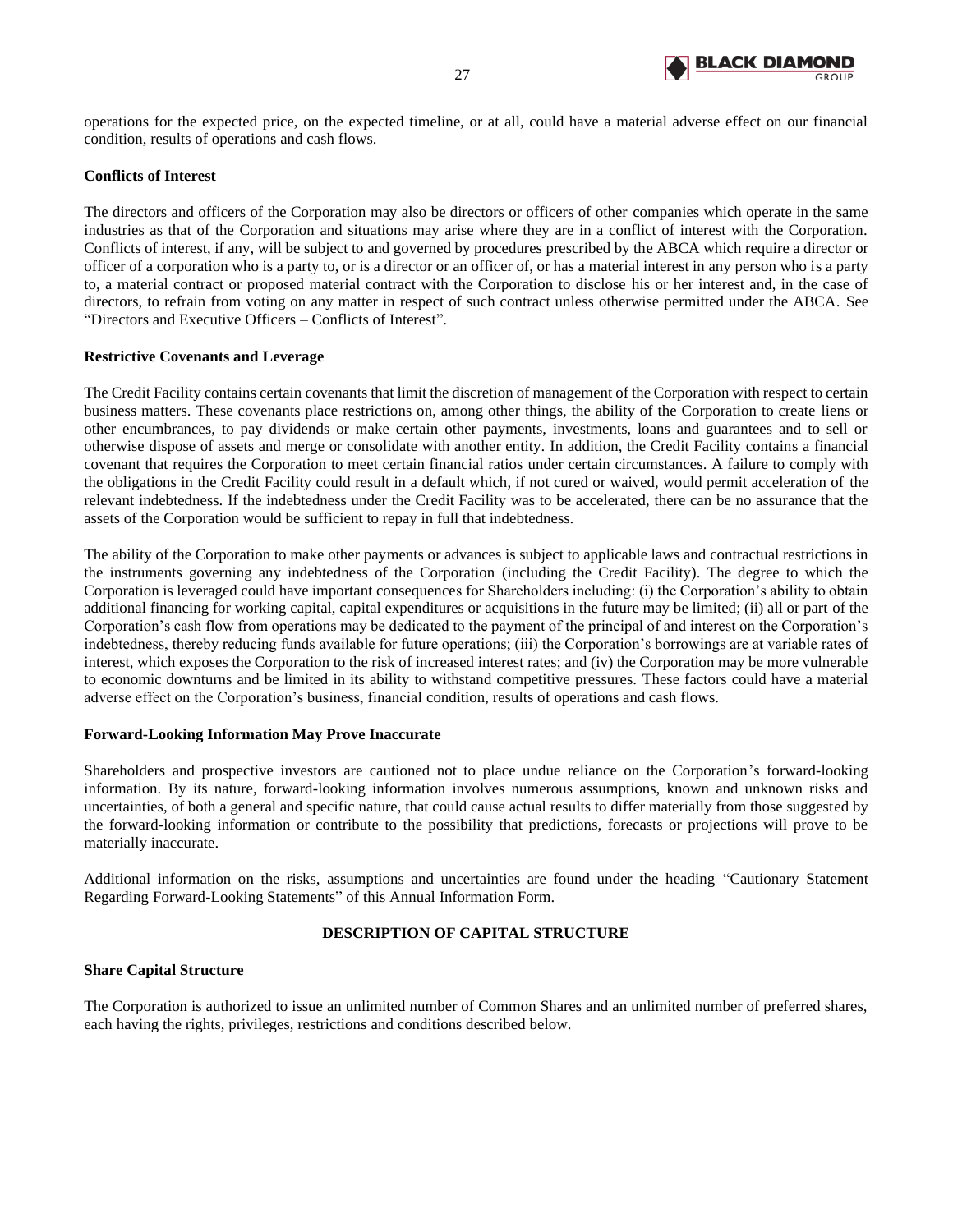

operations for the expected price, on the expected timeline, or at all, could have a material adverse effect on our financial condition, results of operations and cash flows.

## **Conflicts of Interest**

The directors and officers of the Corporation may also be directors or officers of other companies which operate in the same industries as that of the Corporation and situations may arise where they are in a conflict of interest with the Corporation. Conflicts of interest, if any, will be subject to and governed by procedures prescribed by the ABCA which require a director or officer of a corporation who is a party to, or is a director or an officer of, or has a material interest in any person who is a party to, a material contract or proposed material contract with the Corporation to disclose his or her interest and, in the case of directors, to refrain from voting on any matter in respect of such contract unless otherwise permitted under the ABCA. See "Directors and Executive Officers – Conflicts of Interest".

#### **Restrictive Covenants and Leverage**

The Credit Facility contains certain covenants that limit the discretion of management of the Corporation with respect to certain business matters. These covenants place restrictions on, among other things, the ability of the Corporation to create liens or other encumbrances, to pay dividends or make certain other payments, investments, loans and guarantees and to sell or otherwise dispose of assets and merge or consolidate with another entity. In addition, the Credit Facility contains a financial covenant that requires the Corporation to meet certain financial ratios under certain circumstances. A failure to comply with the obligations in the Credit Facility could result in a default which, if not cured or waived, would permit acceleration of the relevant indebtedness. If the indebtedness under the Credit Facility was to be accelerated, there can be no assurance that the assets of the Corporation would be sufficient to repay in full that indebtedness.

The ability of the Corporation to make other payments or advances is subject to applicable laws and contractual restrictions in the instruments governing any indebtedness of the Corporation (including the Credit Facility). The degree to which the Corporation is leveraged could have important consequences for Shareholders including: (i) the Corporation's ability to obtain additional financing for working capital, capital expenditures or acquisitions in the future may be limited; (ii) all or part of the Corporation's cash flow from operations may be dedicated to the payment of the principal of and interest on the Corporation's indebtedness, thereby reducing funds available for future operations; (iii) the Corporation's borrowings are at variable rates of interest, which exposes the Corporation to the risk of increased interest rates; and (iv) the Corporation may be more vulnerable to economic downturns and be limited in its ability to withstand competitive pressures. These factors could have a material adverse effect on the Corporation's business, financial condition, results of operations and cash flows.

#### **Forward-Looking Information May Prove Inaccurate**

Shareholders and prospective investors are cautioned not to place undue reliance on the Corporation's forward-looking information. By its nature, forward-looking information involves numerous assumptions, known and unknown risks and uncertainties, of both a general and specific nature, that could cause actual results to differ materially from those suggested by the forward-looking information or contribute to the possibility that predictions, forecasts or projections will prove to be materially inaccurate.

Additional information on the risks, assumptions and uncertainties are found under the heading "Cautionary Statement Regarding Forward-Looking Statements" of this Annual Information Form.

## **DESCRIPTION OF CAPITAL STRUCTURE**

#### <span id="page-28-0"></span>**Share Capital Structure**

The Corporation is authorized to issue an unlimited number of Common Shares and an unlimited number of preferred shares, each having the rights, privileges, restrictions and conditions described below.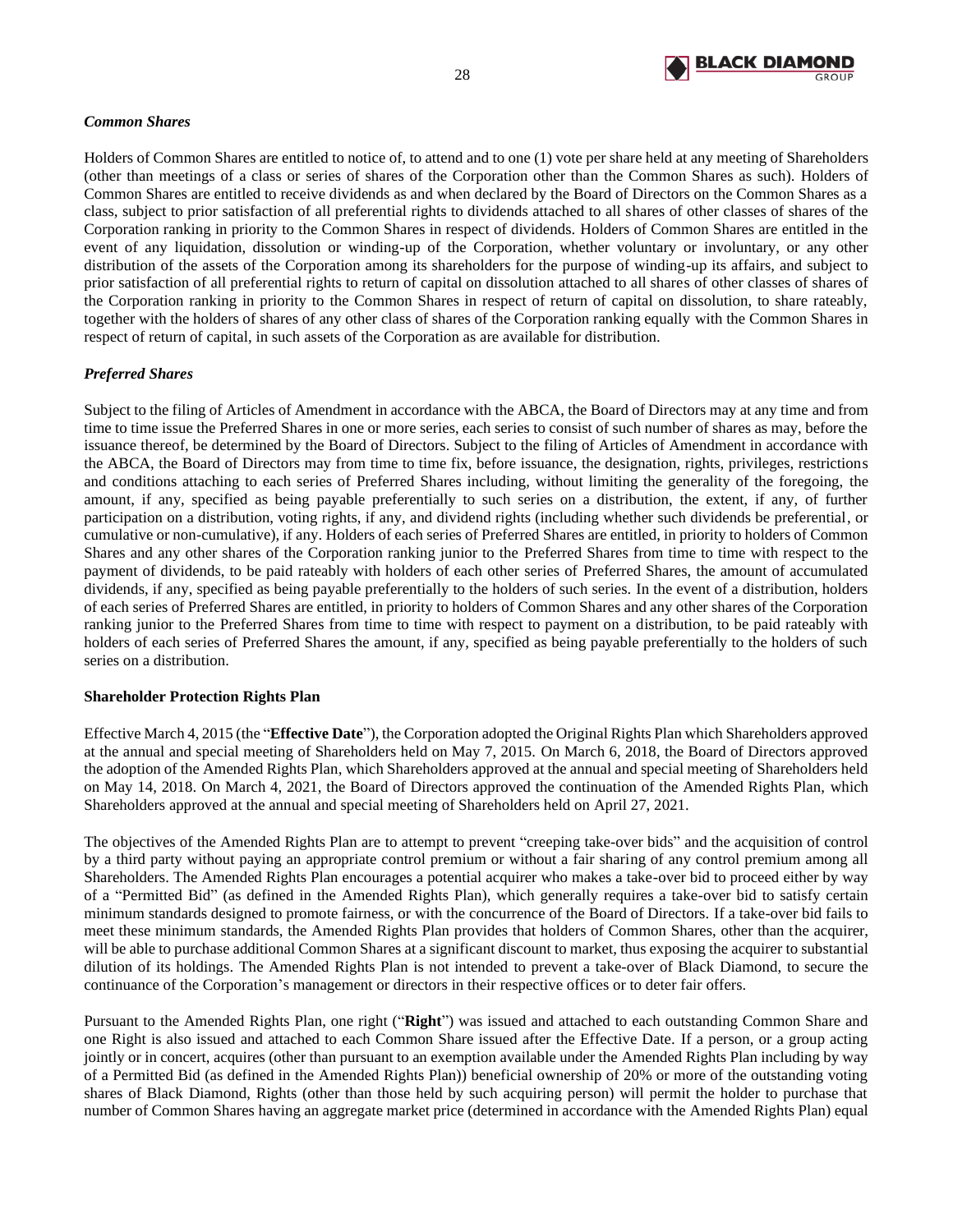

## *Common Shares*

Holders of Common Shares are entitled to notice of, to attend and to one (1) vote per share held at any meeting of Shareholders (other than meetings of a class or series of shares of the Corporation other than the Common Shares as such). Holders of Common Shares are entitled to receive dividends as and when declared by the Board of Directors on the Common Shares as a class, subject to prior satisfaction of all preferential rights to dividends attached to all shares of other classes of shares of the Corporation ranking in priority to the Common Shares in respect of dividends. Holders of Common Shares are entitled in the event of any liquidation, dissolution or winding-up of the Corporation, whether voluntary or involuntary, or any other distribution of the assets of the Corporation among its shareholders for the purpose of winding-up its affairs, and subject to prior satisfaction of all preferential rights to return of capital on dissolution attached to all shares of other classes of shares of the Corporation ranking in priority to the Common Shares in respect of return of capital on dissolution, to share rateably, together with the holders of shares of any other class of shares of the Corporation ranking equally with the Common Shares in respect of return of capital, in such assets of the Corporation as are available for distribution.

# *Preferred Shares*

Subject to the filing of Articles of Amendment in accordance with the ABCA, the Board of Directors may at any time and from time to time issue the Preferred Shares in one or more series, each series to consist of such number of shares as may, before the issuance thereof, be determined by the Board of Directors. Subject to the filing of Articles of Amendment in accordance with the ABCA, the Board of Directors may from time to time fix, before issuance, the designation, rights, privileges, restrictions and conditions attaching to each series of Preferred Shares including, without limiting the generality of the foregoing, the amount, if any, specified as being payable preferentially to such series on a distribution, the extent, if any, of further participation on a distribution, voting rights, if any, and dividend rights (including whether such dividends be preferential, or cumulative or non-cumulative), if any. Holders of each series of Preferred Shares are entitled, in priority to holders of Common Shares and any other shares of the Corporation ranking junior to the Preferred Shares from time to time with respect to the payment of dividends, to be paid rateably with holders of each other series of Preferred Shares, the amount of accumulated dividends, if any, specified as being payable preferentially to the holders of such series. In the event of a distribution, holders of each series of Preferred Shares are entitled, in priority to holders of Common Shares and any other shares of the Corporation ranking junior to the Preferred Shares from time to time with respect to payment on a distribution, to be paid rateably with holders of each series of Preferred Shares the amount, if any, specified as being payable preferentially to the holders of such series on a distribution.

# **Shareholder Protection Rights Plan**

Effective March 4, 2015 (the "**Effective Date**"), the Corporation adopted the Original Rights Plan which Shareholders approved at the annual and special meeting of Shareholders held on May 7, 2015. On March 6, 2018, the Board of Directors approved the adoption of the Amended Rights Plan, which Shareholders approved at the annual and special meeting of Shareholders held on May 14, 2018. On March 4, 2021, the Board of Directors approved the continuation of the Amended Rights Plan, which Shareholders approved at the annual and special meeting of Shareholders held on April 27, 2021.

The objectives of the Amended Rights Plan are to attempt to prevent "creeping take-over bids" and the acquisition of control by a third party without paying an appropriate control premium or without a fair sharing of any control premium among all Shareholders. The Amended Rights Plan encourages a potential acquirer who makes a take-over bid to proceed either by way of a "Permitted Bid" (as defined in the Amended Rights Plan), which generally requires a take-over bid to satisfy certain minimum standards designed to promote fairness, or with the concurrence of the Board of Directors. If a take-over bid fails to meet these minimum standards, the Amended Rights Plan provides that holders of Common Shares, other than the acquirer, will be able to purchase additional Common Shares at a significant discount to market, thus exposing the acquirer to substantial dilution of its holdings. The Amended Rights Plan is not intended to prevent a take-over of Black Diamond, to secure the continuance of the Corporation's management or directors in their respective offices or to deter fair offers.

Pursuant to the Amended Rights Plan, one right ("**Right**") was issued and attached to each outstanding Common Share and one Right is also issued and attached to each Common Share issued after the Effective Date. If a person, or a group acting jointly or in concert, acquires (other than pursuant to an exemption available under the Amended Rights Plan including by way of a Permitted Bid (as defined in the Amended Rights Plan)) beneficial ownership of 20% or more of the outstanding voting shares of Black Diamond, Rights (other than those held by such acquiring person) will permit the holder to purchase that number of Common Shares having an aggregate market price (determined in accordance with the Amended Rights Plan) equal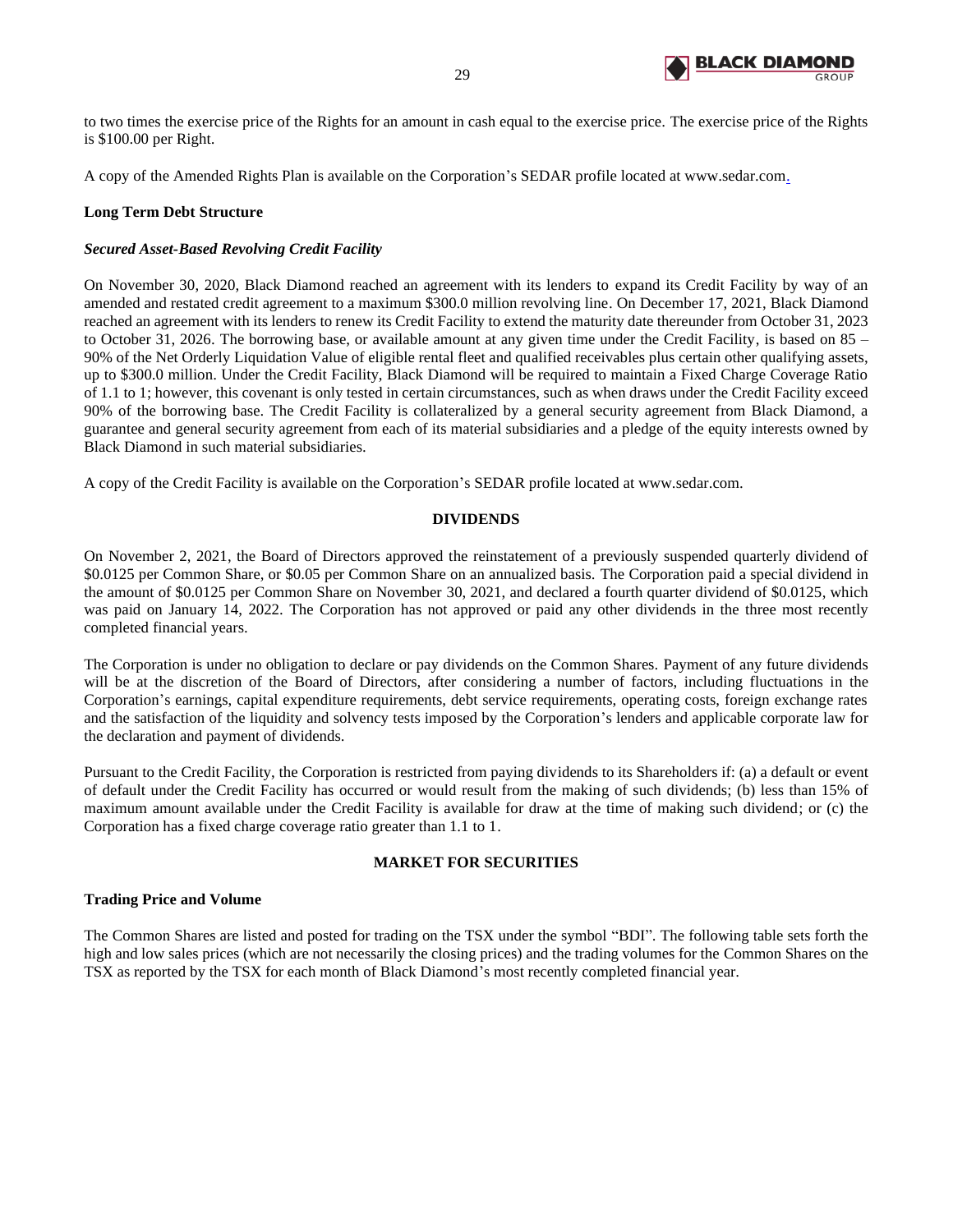

to two times the exercise price of the Rights for an amount in cash equal to the exercise price. The exercise price of the Rights is \$100.00 per Right.

A copy of the Amended Rights Plan is available on the Corporation's SEDAR profile located at www.sedar.com.

## **Long Term Debt Structure**

## *Secured Asset-Based Revolving Credit Facility*

On November 30, 2020, Black Diamond reached an agreement with its lenders to expand its Credit Facility by way of an amended and restated credit agreement to a maximum \$300.0 million revolving line. On December 17, 2021, Black Diamond reached an agreement with its lenders to renew its Credit Facility to extend the maturity date thereunder from October 31, 2023 to October 31, 2026. The borrowing base, or available amount at any given time under the Credit Facility, is based on 85 – 90% of the Net Orderly Liquidation Value of eligible rental fleet and qualified receivables plus certain other qualifying assets, up to \$300.0 million. Under the Credit Facility, Black Diamond will be required to maintain a Fixed Charge Coverage Ratio of 1.1 to 1; however, this covenant is only tested in certain circumstances, such as when draws under the Credit Facility exceed 90% of the borrowing base. The Credit Facility is collateralized by a general security agreement from Black Diamond, a guarantee and general security agreement from each of its material subsidiaries and a pledge of the equity interests owned by Black Diamond in such material subsidiaries.

<span id="page-30-0"></span>A copy of the Credit Facility is available on the Corporation's SEDAR profile located at www.sedar.com.

## **DIVIDENDS**

On November 2, 2021, the Board of Directors approved the reinstatement of a previously suspended quarterly dividend of \$0.0125 per Common Share, or \$0.05 per Common Share on an annualized basis. The Corporation paid a special dividend in the amount of \$0.0125 per Common Share on November 30, 2021, and declared a fourth quarter dividend of \$0.0125, which was paid on January 14, 2022. The Corporation has not approved or paid any other dividends in the three most recently completed financial years.

The Corporation is under no obligation to declare or pay dividends on the Common Shares. Payment of any future dividends will be at the discretion of the Board of Directors, after considering a number of factors, including fluctuations in the Corporation's earnings, capital expenditure requirements, debt service requirements, operating costs, foreign exchange rates and the satisfaction of the liquidity and solvency tests imposed by the Corporation's lenders and applicable corporate law for the declaration and payment of dividends.

Pursuant to the Credit Facility, the Corporation is restricted from paying dividends to its Shareholders if: (a) a default or event of default under the Credit Facility has occurred or would result from the making of such dividends; (b) less than 15% of maximum amount available under the Credit Facility is available for draw at the time of making such dividend; or (c) the Corporation has a fixed charge coverage ratio greater than 1.1 to 1.

# **MARKET FOR SECURITIES**

## <span id="page-30-1"></span>**Trading Price and Volume**

The Common Shares are listed and posted for trading on the TSX under the symbol "BDI". The following table sets forth the high and low sales prices (which are not necessarily the closing prices) and the trading volumes for the Common Shares on the TSX as reported by the TSX for each month of Black Diamond's most recently completed financial year.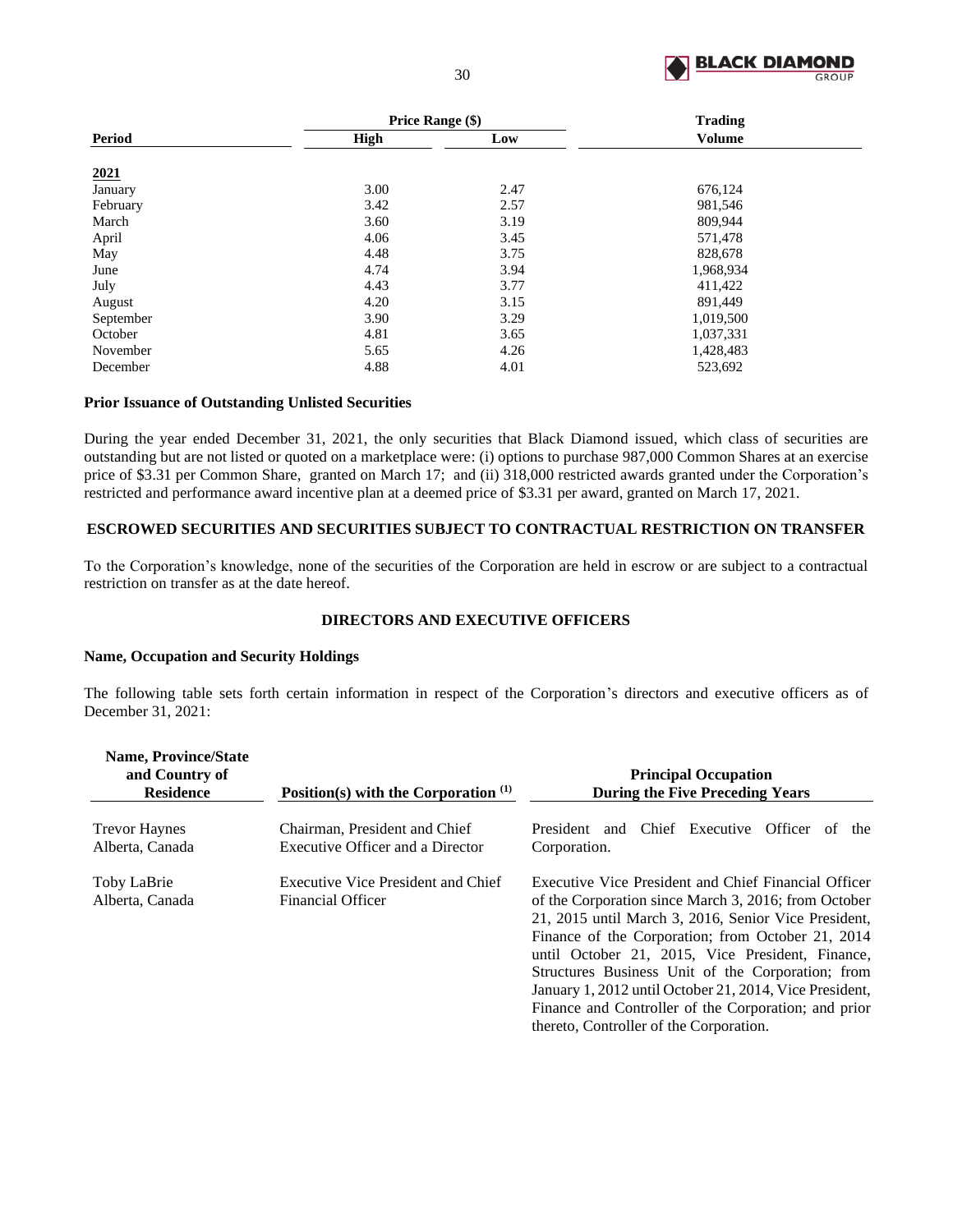

|               | <b>Price Range (\$)</b> |      | <b>Trading</b> |  |  |
|---------------|-------------------------|------|----------------|--|--|
| <b>Period</b> | High                    | Low  | <b>Volume</b>  |  |  |
| 2021          |                         |      |                |  |  |
| January       | 3.00                    | 2.47 | 676,124        |  |  |
| February      | 3.42                    | 2.57 | 981,546        |  |  |
| March         | 3.60                    | 3.19 | 809,944        |  |  |
| April         | 4.06                    | 3.45 | 571,478        |  |  |
| May           | 4.48                    | 3.75 | 828,678        |  |  |
| June          | 4.74                    | 3.94 | 1,968,934      |  |  |
| July          | 4.43                    | 3.77 | 411,422        |  |  |
| August        | 4.20                    | 3.15 | 891,449        |  |  |
| September     | 3.90                    | 3.29 | 1,019,500      |  |  |
| October       | 4.81                    | 3.65 | 1,037,331      |  |  |
| November      | 5.65                    | 4.26 | 1,428,483      |  |  |
| December      | 4.88                    | 4.01 | 523,692        |  |  |

## **Prior Issuance of Outstanding Unlisted Securities**

During the year ended December 31, 2021, the only securities that Black Diamond issued, which class of securities are outstanding but are not listed or quoted on a marketplace were: (i) options to purchase 987,000 Common Shares at an exercise price of \$3.31 per Common Share, granted on March 17; and (ii) 318,000 restricted awards granted under the Corporation's restricted and performance award incentive plan at a deemed price of \$3.31 per award, granted on March 17, 2021.

## <span id="page-31-0"></span>**ESCROWED SECURITIES AND SECURITIES SUBJECT TO CONTRACTUAL RESTRICTION ON TRANSFER**

To the Corporation's knowledge, none of the securities of the Corporation are held in escrow or are subject to a contractual restriction on transfer as at the date hereof.

## **DIRECTORS AND EXECUTIVE OFFICERS**

#### <span id="page-31-1"></span>**Name, Occupation and Security Holdings**

The following table sets forth certain information in respect of the Corporation's directors and executive officers as of December 31, 2021:

| <b>Name, Province/State</b><br>and Country of<br><b>Residence</b> | Position(s) with the Corporation $(1)$                            | <b>Principal Occupation</b><br><b>During the Five Preceding Years</b>                                                                                                                                                                                                                                                                                                                                                                                                                            |
|-------------------------------------------------------------------|-------------------------------------------------------------------|--------------------------------------------------------------------------------------------------------------------------------------------------------------------------------------------------------------------------------------------------------------------------------------------------------------------------------------------------------------------------------------------------------------------------------------------------------------------------------------------------|
| <b>Trevor Haynes</b><br>Alberta, Canada                           | Chairman, President and Chief<br>Executive Officer and a Director | President and Chief Executive Officer<br>the<br>of<br>Corporation.                                                                                                                                                                                                                                                                                                                                                                                                                               |
| Toby LaBrie<br>Alberta, Canada                                    | Executive Vice President and Chief<br><b>Financial Officer</b>    | Executive Vice President and Chief Financial Officer<br>of the Corporation since March 3, 2016; from October<br>21, 2015 until March 3, 2016, Senior Vice President,<br>Finance of the Corporation; from October 21, 2014<br>until October 21, 2015, Vice President, Finance,<br>Structures Business Unit of the Corporation; from<br>January 1, 2012 until October 21, 2014, Vice President,<br>Finance and Controller of the Corporation; and prior<br>thereto, Controller of the Corporation. |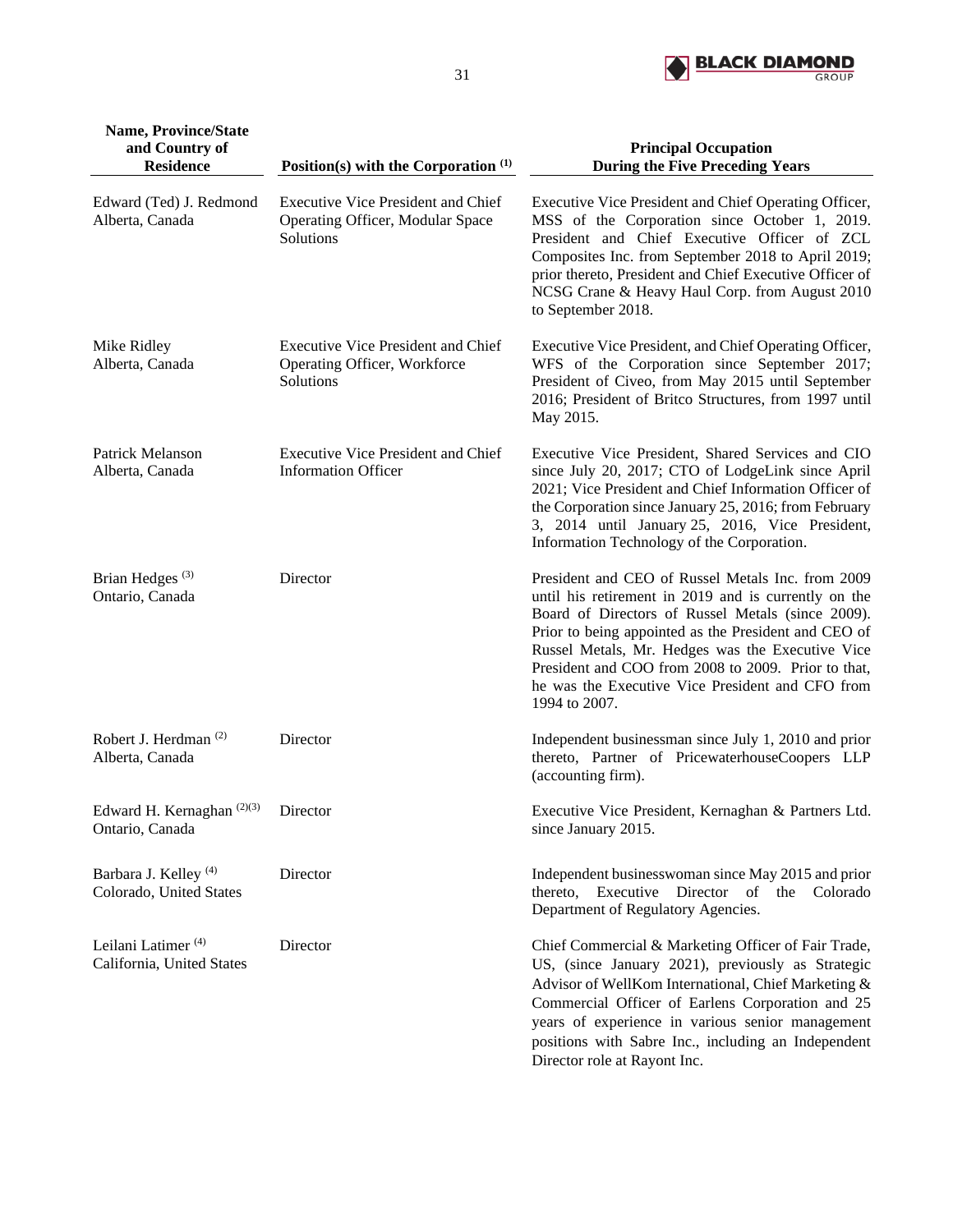

| <b>Name, Province/State</b><br>and Country of               |                                                                                            | <b>Principal Occupation</b>                                                                                                                                                                                                                                                                                                                                                                            |
|-------------------------------------------------------------|--------------------------------------------------------------------------------------------|--------------------------------------------------------------------------------------------------------------------------------------------------------------------------------------------------------------------------------------------------------------------------------------------------------------------------------------------------------------------------------------------------------|
| <b>Residence</b>                                            | Position(s) with the Corporation $(1)$                                                     | <b>During the Five Preceding Years</b>                                                                                                                                                                                                                                                                                                                                                                 |
| Edward (Ted) J. Redmond<br>Alberta, Canada                  | <b>Executive Vice President and Chief</b><br>Operating Officer, Modular Space<br>Solutions | Executive Vice President and Chief Operating Officer,<br>MSS of the Corporation since October 1, 2019.<br>President and Chief Executive Officer of ZCL<br>Composites Inc. from September 2018 to April 2019;<br>prior thereto, President and Chief Executive Officer of<br>NCSG Crane & Heavy Haul Corp. from August 2010<br>to September 2018.                                                        |
| Mike Ridley<br>Alberta, Canada                              | <b>Executive Vice President and Chief</b><br>Operating Officer, Workforce<br>Solutions     | Executive Vice President, and Chief Operating Officer,<br>WFS of the Corporation since September 2017;<br>President of Civeo, from May 2015 until September<br>2016; President of Britco Structures, from 1997 until<br>May 2015.                                                                                                                                                                      |
| Patrick Melanson<br>Alberta, Canada                         | <b>Executive Vice President and Chief</b><br><b>Information Officer</b>                    | Executive Vice President, Shared Services and CIO<br>since July 20, 2017; CTO of LodgeLink since April<br>2021; Vice President and Chief Information Officer of<br>the Corporation since January 25, 2016; from February<br>3, 2014 until January 25, 2016, Vice President,<br>Information Technology of the Corporation.                                                                              |
| Brian Hedges <sup>(3)</sup><br>Ontario, Canada              | Director                                                                                   | President and CEO of Russel Metals Inc. from 2009<br>until his retirement in 2019 and is currently on the<br>Board of Directors of Russel Metals (since 2009).<br>Prior to being appointed as the President and CEO of<br>Russel Metals, Mr. Hedges was the Executive Vice<br>President and COO from 2008 to 2009. Prior to that,<br>he was the Executive Vice President and CFO from<br>1994 to 2007. |
| Robert J. Herdman <sup>(2)</sup><br>Alberta, Canada         | Director                                                                                   | Independent businessman since July 1, 2010 and prior<br>thereto, Partner of PricewaterhouseCoopers LLP<br>(accounting firm).                                                                                                                                                                                                                                                                           |
| Edward H. Kernaghan <sup>(2)(3)</sup><br>Ontario, Canada    | Director                                                                                   | Executive Vice President, Kernaghan & Partners Ltd.<br>since January 2015.                                                                                                                                                                                                                                                                                                                             |
| Barbara J. Kelley <sup>(4)</sup><br>Colorado, United States | Director                                                                                   | Independent businesswoman since May 2015 and prior<br>thereto, Executive Director of the Colorado<br>Department of Regulatory Agencies.                                                                                                                                                                                                                                                                |
| Leilani Latimer <sup>(4)</sup><br>California, United States | Director                                                                                   | Chief Commercial & Marketing Officer of Fair Trade,<br>US, (since January 2021), previously as Strategic<br>Advisor of WellKom International, Chief Marketing &<br>Commercial Officer of Earlens Corporation and 25<br>years of experience in various senior management<br>positions with Sabre Inc., including an Independent<br>Director role at Rayont Inc.                                         |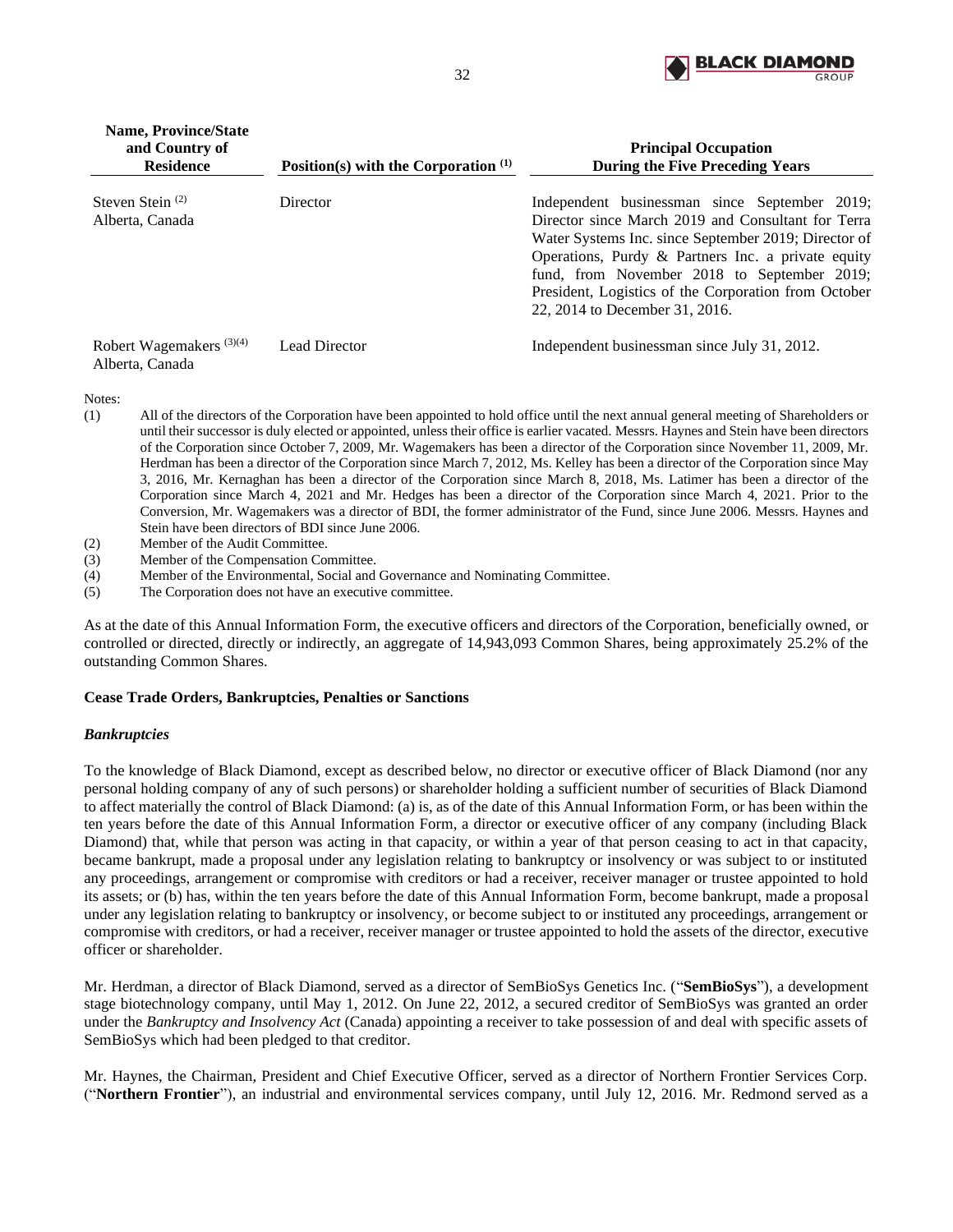

| <b>Name, Province/State</b><br>and Country of<br><b>Residence</b> | Position(s) with the Corporation $(1)$ | <b>Principal Occupation</b><br><b>During the Five Preceding Years</b>                                                                                                                                                                                                                                                                                      |
|-------------------------------------------------------------------|----------------------------------------|------------------------------------------------------------------------------------------------------------------------------------------------------------------------------------------------------------------------------------------------------------------------------------------------------------------------------------------------------------|
| Steven Stein $(2)$<br>Alberta, Canada                             | Director                               | Independent businessman since September 2019;<br>Director since March 2019 and Consultant for Terra<br>Water Systems Inc. since September 2019; Director of<br>Operations, Purdy & Partners Inc. a private equity<br>fund, from November 2018 to September 2019;<br>President, Logistics of the Corporation from October<br>22, 2014 to December 31, 2016. |
| Robert Wagemakers $(3)(4)$<br>Alberta, Canada                     | <b>Lead Director</b>                   | Independent businessman since July 31, 2012.                                                                                                                                                                                                                                                                                                               |

Notes:

- (1) All of the directors of the Corporation have been appointed to hold office until the next annual general meeting of Shareholders or until their successor is duly elected or appointed, unless their office is earlier vacated. Messrs. Haynes and Stein have been directors of the Corporation since October 7, 2009, Mr. Wagemakers has been a director of the Corporation since November 11, 2009, Mr. Herdman has been a director of the Corporation since March 7, 2012, Ms. Kelley has been a director of the Corporation since May 3, 2016, Mr. Kernaghan has been a director of the Corporation since March 8, 2018, Ms. Latimer has been a director of the Corporation since March 4, 2021 and Mr. Hedges has been a director of the Corporation since March 4, 2021. Prior to the Conversion, Mr. Wagemakers was a director of BDI, the former administrator of the Fund, since June 2006. Messrs. Haynes and Stein have been directors of BDI since June 2006.
- (2) Member of the Audit Committee.
- (3) Member of the Compensation Committee.
- (4) Member of the Environmental, Social and Governance and Nominating Committee.
- (5) The Corporation does not have an executive committee.

As at the date of this Annual Information Form, the executive officers and directors of the Corporation, beneficially owned, or controlled or directed, directly or indirectly, an aggregate of 14,943,093 Common Shares, being approximately 25.2% of the outstanding Common Shares.

## **Cease Trade Orders, Bankruptcies, Penalties or Sanctions**

#### *Bankruptcies*

To the knowledge of Black Diamond, except as described below, no director or executive officer of Black Diamond (nor any personal holding company of any of such persons) or shareholder holding a sufficient number of securities of Black Diamond to affect materially the control of Black Diamond: (a) is, as of the date of this Annual Information Form, or has been within the ten years before the date of this Annual Information Form, a director or executive officer of any company (including Black Diamond) that, while that person was acting in that capacity, or within a year of that person ceasing to act in that capacity, became bankrupt, made a proposal under any legislation relating to bankruptcy or insolvency or was subject to or instituted any proceedings, arrangement or compromise with creditors or had a receiver, receiver manager or trustee appointed to hold its assets; or (b) has, within the ten years before the date of this Annual Information Form, become bankrupt, made a proposal under any legislation relating to bankruptcy or insolvency, or become subject to or instituted any proceedings, arrangement or compromise with creditors, or had a receiver, receiver manager or trustee appointed to hold the assets of the director, executive officer or shareholder.

Mr. Herdman, a director of Black Diamond, served as a director of SemBioSys Genetics Inc. ("**SemBioSys**"), a development stage biotechnology company, until May 1, 2012. On June 22, 2012, a secured creditor of SemBioSys was granted an order under the *Bankruptcy and Insolvency Act* (Canada) appointing a receiver to take possession of and deal with specific assets of SemBioSys which had been pledged to that creditor.

Mr. Haynes, the Chairman, President and Chief Executive Officer, served as a director of Northern Frontier Services Corp. ("**Northern Frontier**"), an industrial and environmental services company, until July 12, 2016. Mr. Redmond served as a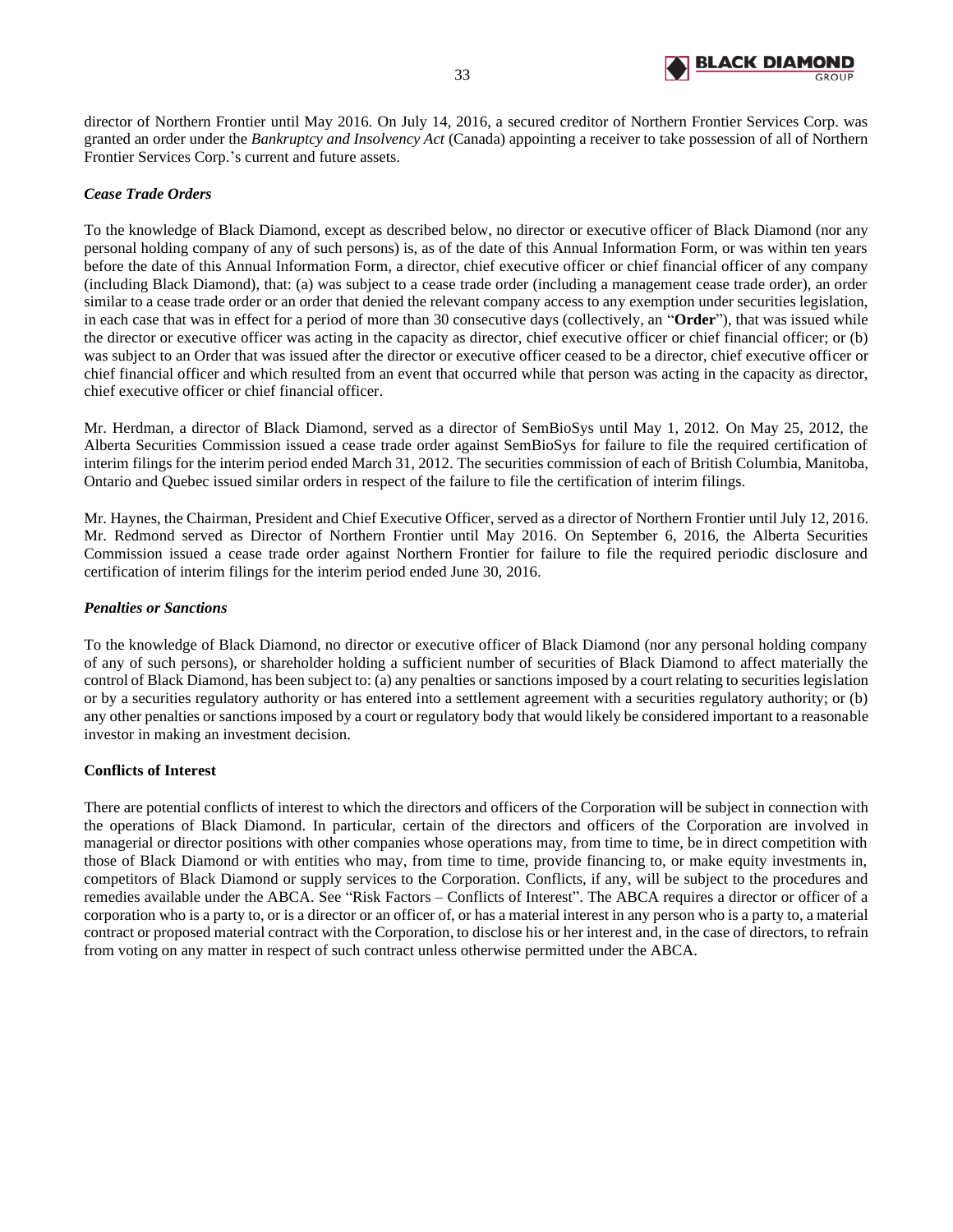

director of Northern Frontier until May 2016. On July 14, 2016, a secured creditor of Northern Frontier Services Corp. was granted an order under the *Bankruptcy and Insolvency Act* (Canada) appointing a receiver to take possession of all of Northern Frontier Services Corp.'s current and future assets.

# *Cease Trade Orders*

To the knowledge of Black Diamond, except as described below, no director or executive officer of Black Diamond (nor any personal holding company of any of such persons) is, as of the date of this Annual Information Form, or was within ten years before the date of this Annual Information Form, a director, chief executive officer or chief financial officer of any company (including Black Diamond), that: (a) was subject to a cease trade order (including a management cease trade order), an order similar to a cease trade order or an order that denied the relevant company access to any exemption under securities legislation, in each case that was in effect for a period of more than 30 consecutive days (collectively, an "**Order**"), that was issued while the director or executive officer was acting in the capacity as director, chief executive officer or chief financial officer; or (b) was subject to an Order that was issued after the director or executive officer ceased to be a director, chief executive officer or chief financial officer and which resulted from an event that occurred while that person was acting in the capacity as director, chief executive officer or chief financial officer.

Mr. Herdman, a director of Black Diamond, served as a director of SemBioSys until May 1, 2012. On May 25, 2012, the Alberta Securities Commission issued a cease trade order against SemBioSys for failure to file the required certification of interim filings for the interim period ended March 31, 2012. The securities commission of each of British Columbia, Manitoba, Ontario and Quebec issued similar orders in respect of the failure to file the certification of interim filings.

Mr. Haynes, the Chairman, President and Chief Executive Officer, served as a director of Northern Frontier until July 12, 2016. Mr. Redmond served as Director of Northern Frontier until May 2016. On September 6, 2016, the Alberta Securities Commission issued a cease trade order against Northern Frontier for failure to file the required periodic disclosure and certification of interim filings for the interim period ended June 30, 2016.

## *Penalties or Sanctions*

To the knowledge of Black Diamond, no director or executive officer of Black Diamond (nor any personal holding company of any of such persons), or shareholder holding a sufficient number of securities of Black Diamond to affect materially the control of Black Diamond, has been subject to: (a) any penalties or sanctions imposed by a court relating to securities legislation or by a securities regulatory authority or has entered into a settlement agreement with a securities regulatory authority; or (b) any other penalties or sanctions imposed by a court or regulatory body that would likely be considered important to a reasonable investor in making an investment decision.

## **Conflicts of Interest**

There are potential conflicts of interest to which the directors and officers of the Corporation will be subject in connection with the operations of Black Diamond. In particular, certain of the directors and officers of the Corporation are involved in managerial or director positions with other companies whose operations may, from time to time, be in direct competition with those of Black Diamond or with entities who may, from time to time, provide financing to, or make equity investments in, competitors of Black Diamond or supply services to the Corporation. Conflicts, if any, will be subject to the procedures and remedies available under the ABCA. See "Risk Factors – Conflicts of Interest". The ABCA requires a director or officer of a corporation who is a party to, or is a director or an officer of, or has a material interest in any person who is a party to, a material contract or proposed material contract with the Corporation, to disclose his or her interest and, in the case of directors, to refrain from voting on any matter in respect of such contract unless otherwise permitted under the ABCA.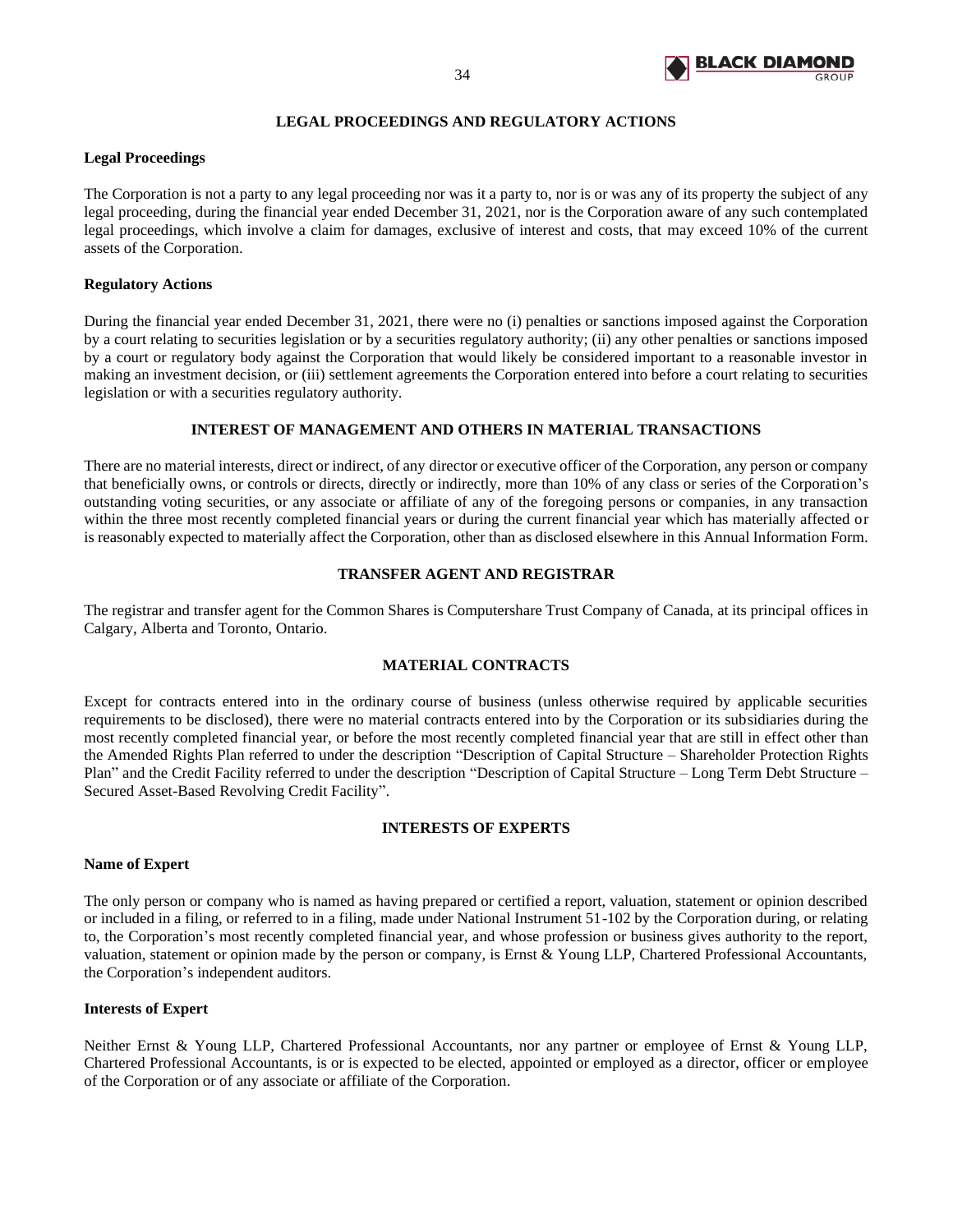

# **LEGAL PROCEEDINGS AND REGULATORY ACTIONS**

## <span id="page-35-0"></span>**Legal Proceedings**

The Corporation is not a party to any legal proceeding nor was it a party to, nor is or was any of its property the subject of any legal proceeding, during the financial year ended December 31, 2021, nor is the Corporation aware of any such contemplated legal proceedings, which involve a claim for damages, exclusive of interest and costs, that may exceed 10% of the current assets of the Corporation.

## **Regulatory Actions**

During the financial year ended December 31, 2021, there were no (i) penalties or sanctions imposed against the Corporation by a court relating to securities legislation or by a securities regulatory authority; (ii) any other penalties or sanctions imposed by a court or regulatory body against the Corporation that would likely be considered important to a reasonable investor in making an investment decision, or (iii) settlement agreements the Corporation entered into before a court relating to securities legislation or with a securities regulatory authority.

# **INTEREST OF MANAGEMENT AND OTHERS IN MATERIAL TRANSACTIONS**

<span id="page-35-1"></span>There are no material interests, direct or indirect, of any director or executive officer of the Corporation, any person or company that beneficially owns, or controls or directs, directly or indirectly, more than 10% of any class or series of the Corporation's outstanding voting securities, or any associate or affiliate of any of the foregoing persons or companies, in any transaction within the three most recently completed financial years or during the current financial year which has materially affected or is reasonably expected to materially affect the Corporation, other than as disclosed elsewhere in this Annual Information Form.

## **TRANSFER AGENT AND REGISTRAR**

<span id="page-35-2"></span>The registrar and transfer agent for the Common Shares is Computershare Trust Company of Canada, at its principal offices in Calgary, Alberta and Toronto, Ontario.

## **MATERIAL CONTRACTS**

<span id="page-35-3"></span>Except for contracts entered into in the ordinary course of business (unless otherwise required by applicable securities requirements to be disclosed), there were no material contracts entered into by the Corporation or its subsidiaries during the most recently completed financial year, or before the most recently completed financial year that are still in effect other than the Amended Rights Plan referred to under the description "Description of Capital Structure – Shareholder Protection Rights Plan" and the Credit Facility referred to under the description "Description of Capital Structure – Long Term Debt Structure – Secured Asset-Based Revolving Credit Facility".

#### **INTERESTS OF EXPERTS**

#### <span id="page-35-4"></span>**Name of Expert**

The only person or company who is named as having prepared or certified a report, valuation, statement or opinion described or included in a filing, or referred to in a filing, made under National Instrument 51-102 by the Corporation during, or relating to, the Corporation's most recently completed financial year, and whose profession or business gives authority to the report, valuation, statement or opinion made by the person or company, is Ernst & Young LLP, Chartered Professional Accountants, the Corporation's independent auditors.

#### **Interests of Expert**

Neither Ernst & Young LLP, Chartered Professional Accountants, nor any partner or employee of Ernst & Young LLP, Chartered Professional Accountants, is or is expected to be elected, appointed or employed as a director, officer or employee of the Corporation or of any associate or affiliate of the Corporation.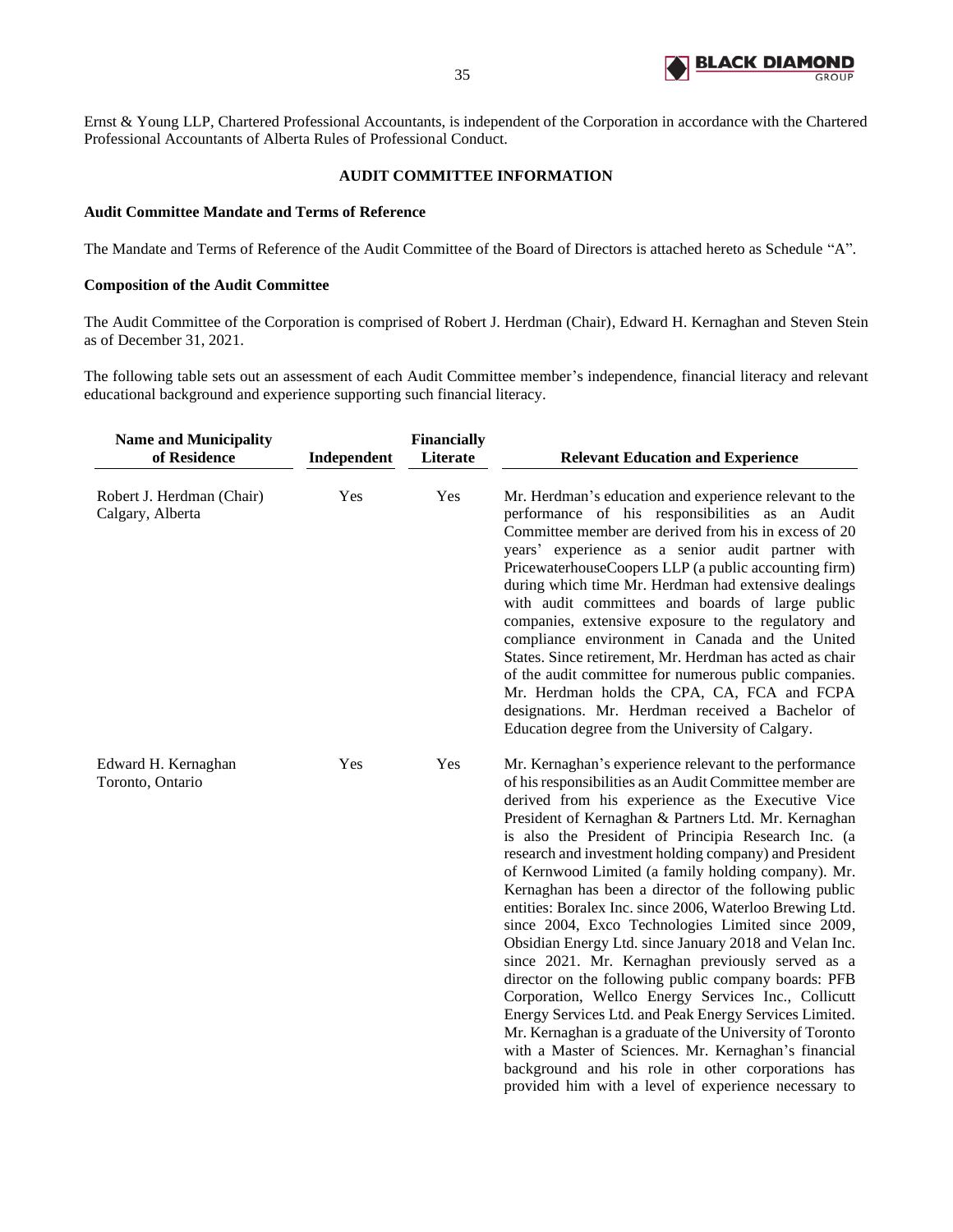

Ernst & Young LLP, Chartered Professional Accountants, is independent of the Corporation in accordance with the Chartered Professional Accountants of Alberta Rules of Professional Conduct.

# **AUDIT COMMITTEE INFORMATION**

## <span id="page-36-0"></span>**Audit Committee Mandate and Terms of Reference**

The Mandate and Terms of Reference of the Audit Committee of the Board of Directors is attached hereto as Schedule "A".

# **Composition of the Audit Committee**

The Audit Committee of the Corporation is comprised of Robert J. Herdman (Chair), Edward H. Kernaghan and Steven Stein as of December 31, 2021.

The following table sets out an assessment of each Audit Committee member's independence, financial literacy and relevant educational background and experience supporting such financial literacy.

| <b>Name and Municipality</b><br>of Residence  | Independent | <b>Financially</b><br>Literate | <b>Relevant Education and Experience</b>                                                                                                                                                                                                                                                                                                                                                                                                                                                                                                                                                                                                                                                                                                                                                                                                                                                                                                                                                                                                                                                                  |
|-----------------------------------------------|-------------|--------------------------------|-----------------------------------------------------------------------------------------------------------------------------------------------------------------------------------------------------------------------------------------------------------------------------------------------------------------------------------------------------------------------------------------------------------------------------------------------------------------------------------------------------------------------------------------------------------------------------------------------------------------------------------------------------------------------------------------------------------------------------------------------------------------------------------------------------------------------------------------------------------------------------------------------------------------------------------------------------------------------------------------------------------------------------------------------------------------------------------------------------------|
| Robert J. Herdman (Chair)<br>Calgary, Alberta | Yes         | Yes                            | Mr. Herdman's education and experience relevant to the<br>performance of his responsibilities as an Audit<br>Committee member are derived from his in excess of 20<br>years' experience as a senior audit partner with<br>PricewaterhouseCoopers LLP (a public accounting firm)<br>during which time Mr. Herdman had extensive dealings<br>with audit committees and boards of large public<br>companies, extensive exposure to the regulatory and<br>compliance environment in Canada and the United<br>States. Since retirement, Mr. Herdman has acted as chair<br>of the audit committee for numerous public companies.<br>Mr. Herdman holds the CPA, CA, FCA and FCPA<br>designations. Mr. Herdman received a Bachelor of<br>Education degree from the University of Calgary.                                                                                                                                                                                                                                                                                                                         |
| Edward H. Kernaghan<br>Toronto, Ontario       | Yes         | Yes                            | Mr. Kernaghan's experience relevant to the performance<br>of his responsibilities as an Audit Committee member are<br>derived from his experience as the Executive Vice<br>President of Kernaghan & Partners Ltd. Mr. Kernaghan<br>is also the President of Principia Research Inc. (a<br>research and investment holding company) and President<br>of Kernwood Limited (a family holding company). Mr.<br>Kernaghan has been a director of the following public<br>entities: Boralex Inc. since 2006, Waterloo Brewing Ltd.<br>since 2004, Exco Technologies Limited since 2009,<br>Obsidian Energy Ltd. since January 2018 and Velan Inc.<br>since 2021. Mr. Kernaghan previously served as a<br>director on the following public company boards: PFB<br>Corporation, Wellco Energy Services Inc., Collicutt<br>Energy Services Ltd. and Peak Energy Services Limited.<br>Mr. Kernaghan is a graduate of the University of Toronto<br>with a Master of Sciences. Mr. Kernaghan's financial<br>background and his role in other corporations has<br>provided him with a level of experience necessary to |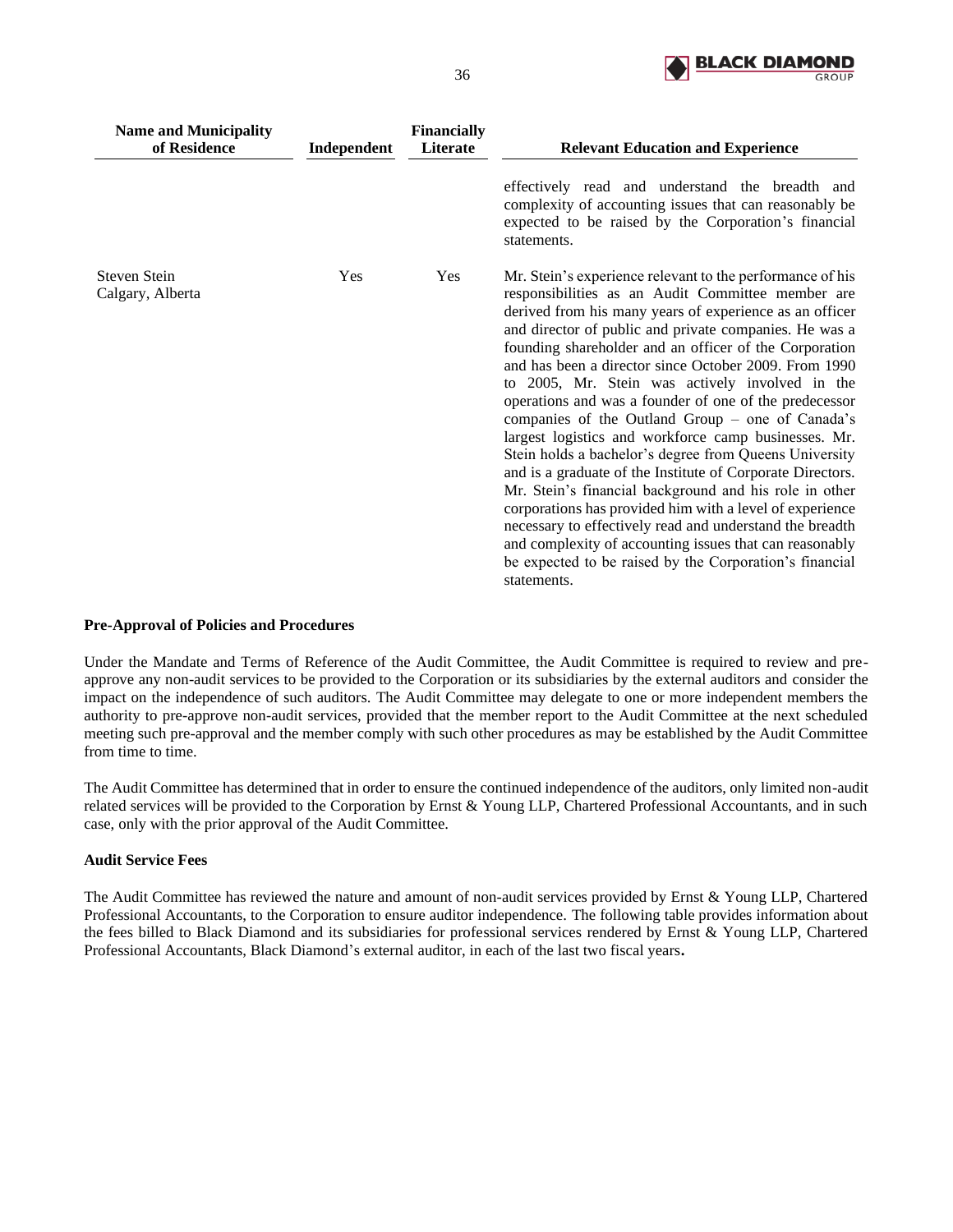

| <b>Name and Municipality</b><br>of Residence | Independent | <b>Financially</b><br><b>Literate</b> | <b>Relevant Education and Experience</b>                                                                                                                                                                                                                                                                                                                                                                                                                                                                                                                                                                                                                                                                                                                                                                                                                                                                                                                                                                                       |
|----------------------------------------------|-------------|---------------------------------------|--------------------------------------------------------------------------------------------------------------------------------------------------------------------------------------------------------------------------------------------------------------------------------------------------------------------------------------------------------------------------------------------------------------------------------------------------------------------------------------------------------------------------------------------------------------------------------------------------------------------------------------------------------------------------------------------------------------------------------------------------------------------------------------------------------------------------------------------------------------------------------------------------------------------------------------------------------------------------------------------------------------------------------|
|                                              |             |                                       | effectively read and understand the breadth and<br>complexity of accounting issues that can reasonably be<br>expected to be raised by the Corporation's financial<br>statements.                                                                                                                                                                                                                                                                                                                                                                                                                                                                                                                                                                                                                                                                                                                                                                                                                                               |
| Steven Stein<br>Calgary, Alberta             | Yes         | Yes                                   | Mr. Stein's experience relevant to the performance of his<br>responsibilities as an Audit Committee member are<br>derived from his many years of experience as an officer<br>and director of public and private companies. He was a<br>founding shareholder and an officer of the Corporation<br>and has been a director since October 2009. From 1990<br>to 2005, Mr. Stein was actively involved in the<br>operations and was a founder of one of the predecessor<br>companies of the Outland Group – one of Canada's<br>largest logistics and workforce camp businesses. Mr.<br>Stein holds a bachelor's degree from Queens University<br>and is a graduate of the Institute of Corporate Directors.<br>Mr. Stein's financial background and his role in other<br>corporations has provided him with a level of experience<br>necessary to effectively read and understand the breadth<br>and complexity of accounting issues that can reasonably<br>be expected to be raised by the Corporation's financial<br>statements. |

## **Pre-Approval of Policies and Procedures**

Under the Mandate and Terms of Reference of the Audit Committee, the Audit Committee is required to review and preapprove any non-audit services to be provided to the Corporation or its subsidiaries by the external auditors and consider the impact on the independence of such auditors. The Audit Committee may delegate to one or more independent members the authority to pre-approve non-audit services, provided that the member report to the Audit Committee at the next scheduled meeting such pre-approval and the member comply with such other procedures as may be established by the Audit Committee from time to time.

The Audit Committee has determined that in order to ensure the continued independence of the auditors, only limited non-audit related services will be provided to the Corporation by Ernst & Young LLP, Chartered Professional Accountants, and in such case, only with the prior approval of the Audit Committee.

## **Audit Service Fees**

The Audit Committee has reviewed the nature and amount of non-audit services provided by Ernst & Young LLP, Chartered Professional Accountants, to the Corporation to ensure auditor independence. The following table provides information about the fees billed to Black Diamond and its subsidiaries for professional services rendered by Ernst & Young LLP, Chartered Professional Accountants, Black Diamond's external auditor, in each of the last two fiscal years**.**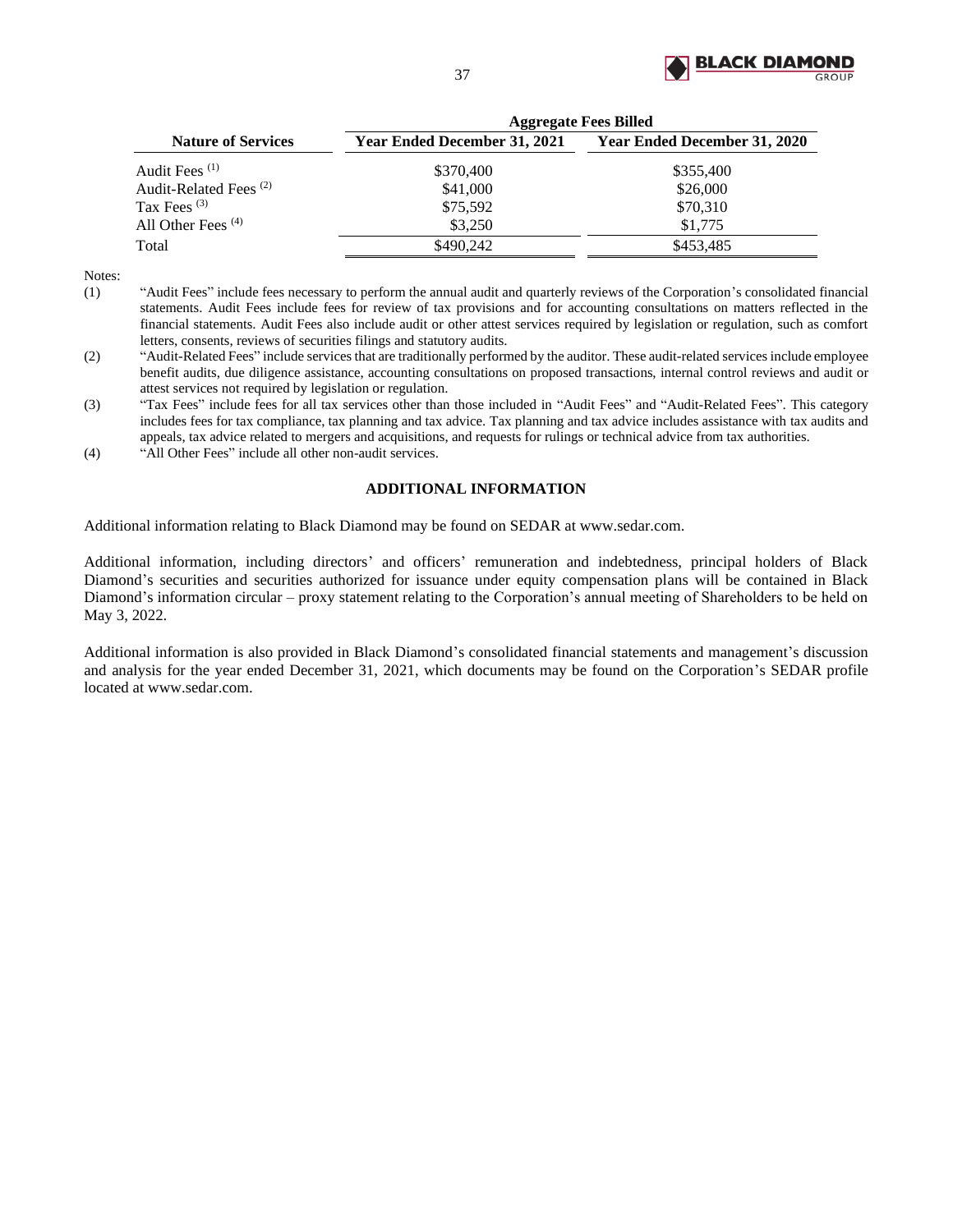

|                                   | <b>Aggregate Fees Billed</b> |                                     |  |  |  |
|-----------------------------------|------------------------------|-------------------------------------|--|--|--|
| <b>Nature of Services</b>         | Year Ended December 31, 2021 | <b>Year Ended December 31, 2020</b> |  |  |  |
| Audit Fees $(1)$                  | \$370,400                    | \$355,400                           |  |  |  |
| Audit-Related Fees <sup>(2)</sup> | \$41,000                     | \$26,000                            |  |  |  |
| Tax Fees $(3)$                    | \$75,592                     | \$70,310                            |  |  |  |
| All Other Fees $(4)$              | \$3,250                      | \$1,775                             |  |  |  |
| Total                             | \$490.242                    | \$453,485                           |  |  |  |

Notes:

- (1) "Audit Fees" include fees necessary to perform the annual audit and quarterly reviews of the Corporation's consolidated financial statements. Audit Fees include fees for review of tax provisions and for accounting consultations on matters reflected in the financial statements. Audit Fees also include audit or other attest services required by legislation or regulation, such as comfort letters, consents, reviews of securities filings and statutory audits.
- (2) "Audit-Related Fees" include services that are traditionally performed by the auditor. These audit-related services include employee benefit audits, due diligence assistance, accounting consultations on proposed transactions, internal control reviews and audit or attest services not required by legislation or regulation.
- (3) "Tax Fees" include fees for all tax services other than those included in "Audit Fees" and "Audit-Related Fees". This category includes fees for tax compliance, tax planning and tax advice. Tax planning and tax advice includes assistance with tax audits and appeals, tax advice related to mergers and acquisitions, and requests for rulings or technical advice from tax authorities.

<span id="page-38-0"></span>(4) "All Other Fees" include all other non-audit services.

# **ADDITIONAL INFORMATION**

Additional information relating to Black Diamond may be found on SEDAR at www.sedar.com.

Additional information, including directors' and officers' remuneration and indebtedness, principal holders of Black Diamond's securities and securities authorized for issuance under equity compensation plans will be contained in Black Diamond's information circular – proxy statement relating to the Corporation's annual meeting of Shareholders to be held on May 3, 2022.

Additional information is also provided in Black Diamond's consolidated financial statements and management's discussion and analysis for the year ended December 31, 2021, which documents may be found on the Corporation's SEDAR profile located at www.sedar.com.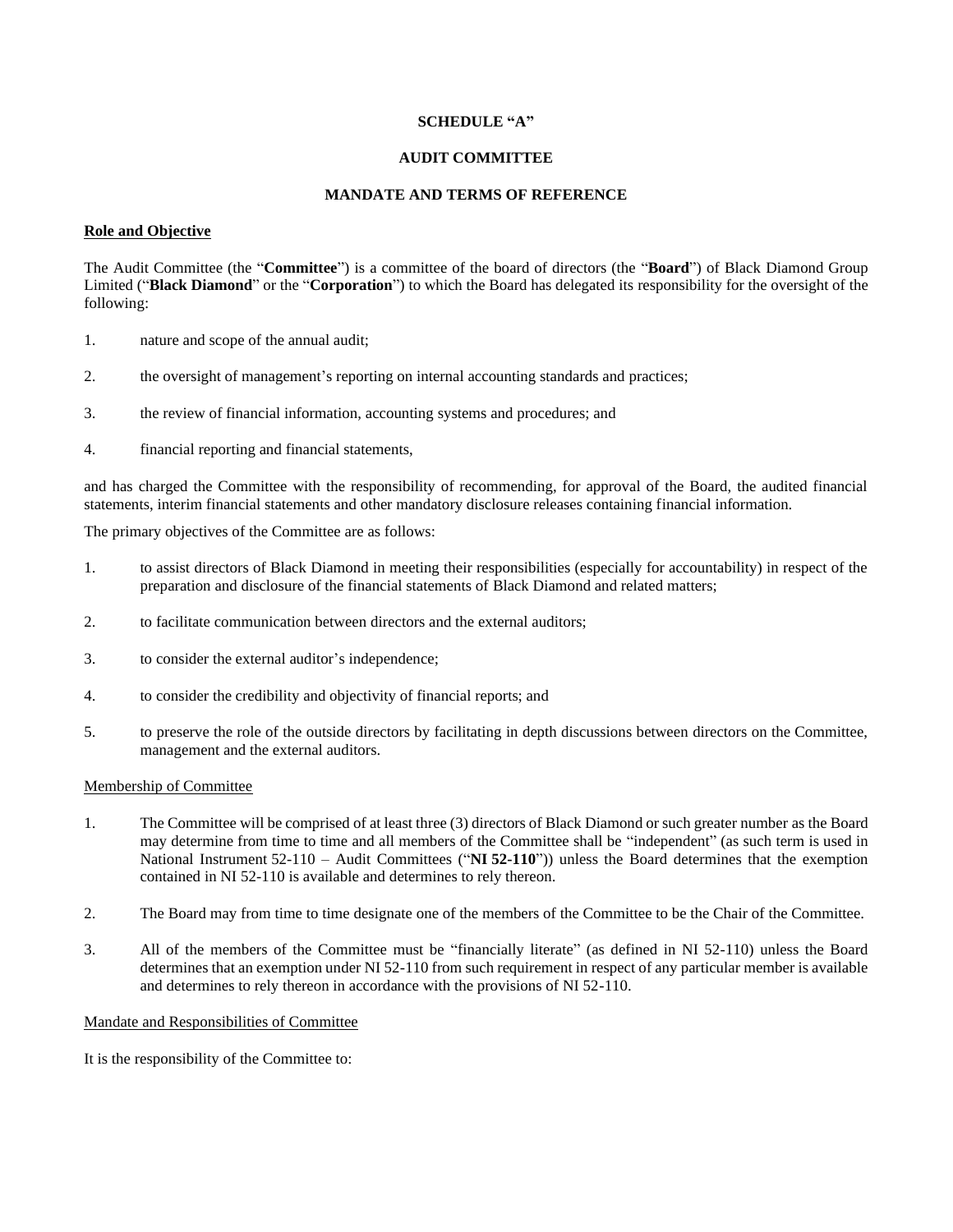## **SCHEDULE "A"**

## **AUDIT COMMITTEE**

#### **MANDATE AND TERMS OF REFERENCE**

# **Role and Objective**

The Audit Committee (the "**Committee**") is a committee of the board of directors (the "**Board**") of Black Diamond Group Limited ("**Black Diamond**" or the "**Corporation**") to which the Board has delegated its responsibility for the oversight of the following:

- 1. nature and scope of the annual audit;
- 2. the oversight of management's reporting on internal accounting standards and practices;
- 3. the review of financial information, accounting systems and procedures; and
- 4. financial reporting and financial statements,

and has charged the Committee with the responsibility of recommending, for approval of the Board, the audited financial statements, interim financial statements and other mandatory disclosure releases containing financial information.

The primary objectives of the Committee are as follows:

- 1. to assist directors of Black Diamond in meeting their responsibilities (especially for accountability) in respect of the preparation and disclosure of the financial statements of Black Diamond and related matters;
- 2. to facilitate communication between directors and the external auditors;
- 3. to consider the external auditor's independence;
- 4. to consider the credibility and objectivity of financial reports; and
- 5. to preserve the role of the outside directors by facilitating in depth discussions between directors on the Committee, management and the external auditors.

# Membership of Committee

- 1. The Committee will be comprised of at least three (3) directors of Black Diamond or such greater number as the Board may determine from time to time and all members of the Committee shall be "independent" (as such term is used in National Instrument 52-110 – Audit Committees ("**NI 52-110**")) unless the Board determines that the exemption contained in NI 52-110 is available and determines to rely thereon.
- 2. The Board may from time to time designate one of the members of the Committee to be the Chair of the Committee.
- 3. All of the members of the Committee must be "financially literate" (as defined in NI 52-110) unless the Board determines that an exemption under NI 52-110 from such requirement in respect of any particular member is available and determines to rely thereon in accordance with the provisions of NI 52-110.

#### Mandate and Responsibilities of Committee

It is the responsibility of the Committee to: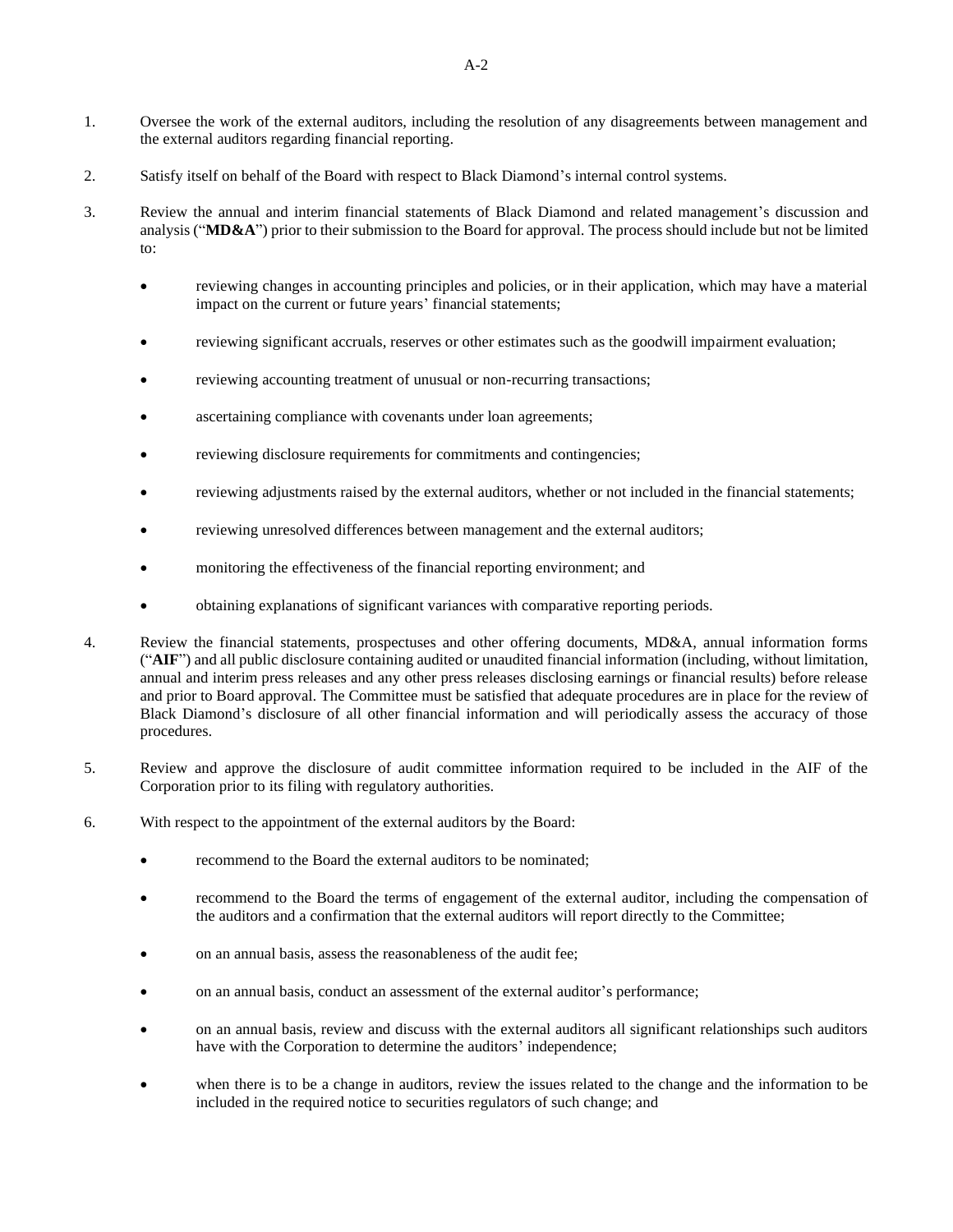- 1. Oversee the work of the external auditors, including the resolution of any disagreements between management and the external auditors regarding financial reporting.
- 2. Satisfy itself on behalf of the Board with respect to Black Diamond's internal control systems.
- 3. Review the annual and interim financial statements of Black Diamond and related management's discussion and analysis ("**MD&A**") prior to their submission to the Board for approval. The process should include but not be limited to:
	- reviewing changes in accounting principles and policies, or in their application, which may have a material impact on the current or future years' financial statements;
	- reviewing significant accruals, reserves or other estimates such as the goodwill impairment evaluation;
	- reviewing accounting treatment of unusual or non-recurring transactions;
	- ascertaining compliance with covenants under loan agreements;
	- reviewing disclosure requirements for commitments and contingencies;
	- reviewing adjustments raised by the external auditors, whether or not included in the financial statements;
	- reviewing unresolved differences between management and the external auditors;
	- monitoring the effectiveness of the financial reporting environment; and
	- obtaining explanations of significant variances with comparative reporting periods.
- 4. Review the financial statements, prospectuses and other offering documents, MD&A, annual information forms ("**AIF**") and all public disclosure containing audited or unaudited financial information (including, without limitation, annual and interim press releases and any other press releases disclosing earnings or financial results) before release and prior to Board approval. The Committee must be satisfied that adequate procedures are in place for the review of Black Diamond's disclosure of all other financial information and will periodically assess the accuracy of those procedures.
- 5. Review and approve the disclosure of audit committee information required to be included in the AIF of the Corporation prior to its filing with regulatory authorities.
- 6. With respect to the appointment of the external auditors by the Board:
	- recommend to the Board the external auditors to be nominated;
	- recommend to the Board the terms of engagement of the external auditor, including the compensation of the auditors and a confirmation that the external auditors will report directly to the Committee;
	- on an annual basis, assess the reasonableness of the audit fee;
	- on an annual basis, conduct an assessment of the external auditor's performance;
	- on an annual basis, review and discuss with the external auditors all significant relationships such auditors have with the Corporation to determine the auditors' independence;
	- when there is to be a change in auditors, review the issues related to the change and the information to be included in the required notice to securities regulators of such change; and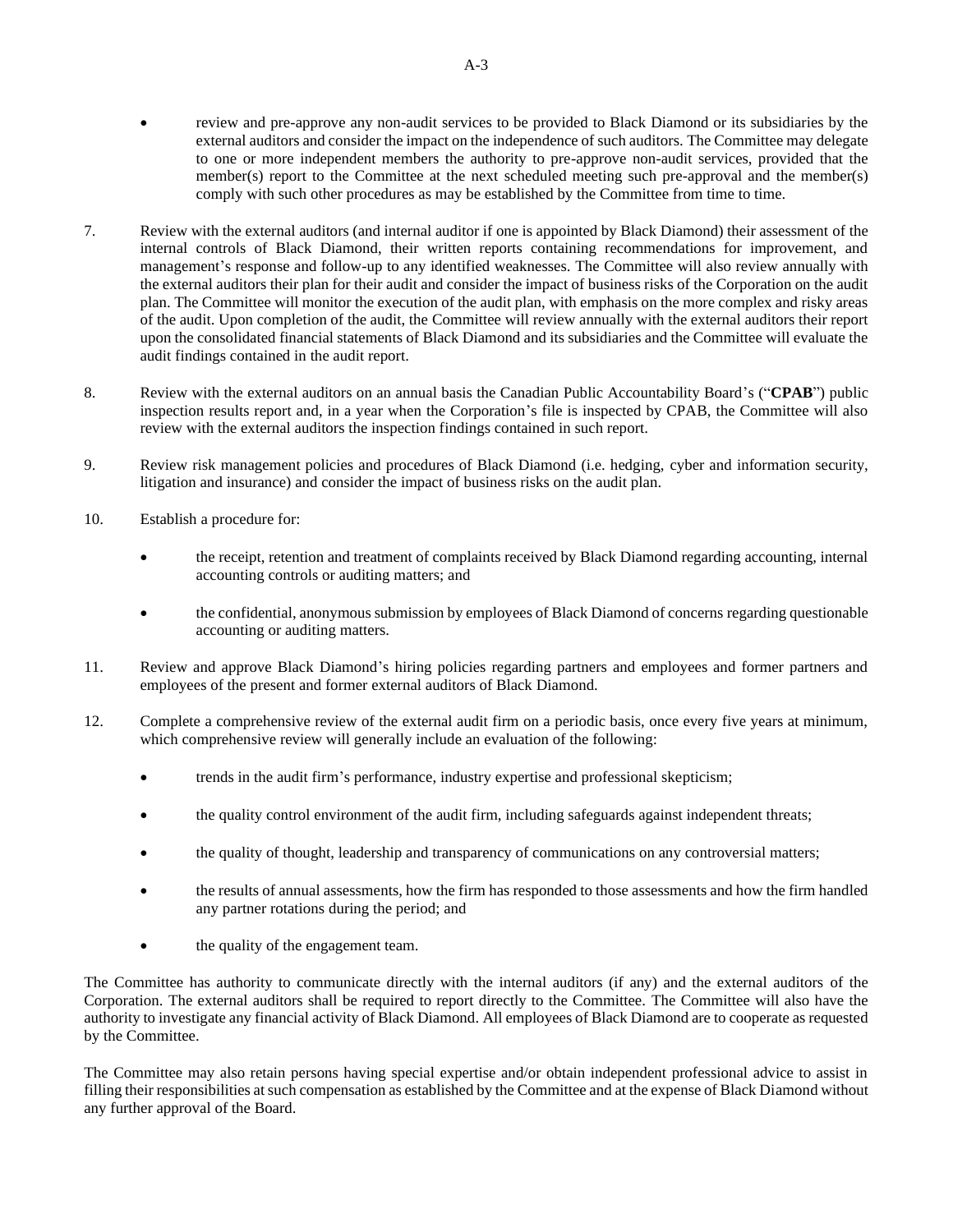- review and pre-approve any non-audit services to be provided to Black Diamond or its subsidiaries by the external auditors and consider the impact on the independence of such auditors. The Committee may delegate to one or more independent members the authority to pre-approve non-audit services, provided that the member(s) report to the Committee at the next scheduled meeting such pre-approval and the member(s) comply with such other procedures as may be established by the Committee from time to time.
- 7. Review with the external auditors (and internal auditor if one is appointed by Black Diamond) their assessment of the internal controls of Black Diamond, their written reports containing recommendations for improvement, and management's response and follow-up to any identified weaknesses. The Committee will also review annually with the external auditors their plan for their audit and consider the impact of business risks of the Corporation on the audit plan. The Committee will monitor the execution of the audit plan, with emphasis on the more complex and risky areas of the audit. Upon completion of the audit, the Committee will review annually with the external auditors their report upon the consolidated financial statements of Black Diamond and its subsidiaries and the Committee will evaluate the audit findings contained in the audit report.
- 8. Review with the external auditors on an annual basis the Canadian Public Accountability Board's ("**CPAB**") public inspection results report and, in a year when the Corporation's file is inspected by CPAB, the Committee will also review with the external auditors the inspection findings contained in such report.
- 9. Review risk management policies and procedures of Black Diamond (i.e. hedging, cyber and information security, litigation and insurance) and consider the impact of business risks on the audit plan.
- 10. Establish a procedure for:
	- the receipt, retention and treatment of complaints received by Black Diamond regarding accounting, internal accounting controls or auditing matters; and
	- the confidential, anonymous submission by employees of Black Diamond of concerns regarding questionable accounting or auditing matters.
- 11. Review and approve Black Diamond's hiring policies regarding partners and employees and former partners and employees of the present and former external auditors of Black Diamond.
- 12. Complete a comprehensive review of the external audit firm on a periodic basis, once every five years at minimum, which comprehensive review will generally include an evaluation of the following:
	- trends in the audit firm's performance, industry expertise and professional skepticism;
	- the quality control environment of the audit firm, including safeguards against independent threats;
	- the quality of thought, leadership and transparency of communications on any controversial matters;
	- the results of annual assessments, how the firm has responded to those assessments and how the firm handled any partner rotations during the period; and
	- the quality of the engagement team.

The Committee has authority to communicate directly with the internal auditors (if any) and the external auditors of the Corporation. The external auditors shall be required to report directly to the Committee. The Committee will also have the authority to investigate any financial activity of Black Diamond. All employees of Black Diamond are to cooperate as requested by the Committee.

The Committee may also retain persons having special expertise and/or obtain independent professional advice to assist in filling their responsibilities at such compensation as established by the Committee and at the expense of Black Diamond without any further approval of the Board.